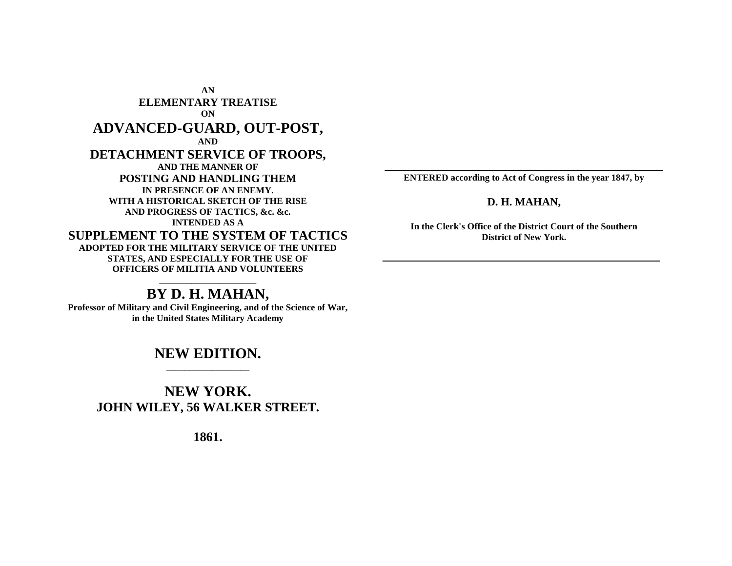**AN ELEMENTARY TREATISE ON ADVANCED-GUARD, OUT-POST, AND DETACHMENT SERVICE OF TROOPS, AND THE MANNER OF POSTING AND HANDLING THEM IN PRESENCE OF AN ENEMY. WITH A HISTORICAL SKETCH OF THE RISE AND PROGRESS OF TACTICS, &c. &c. INTENDED AS A SUPPLEMENT TO THE SYSTEM OF TACTICS ADOPTED FOR THE MILITARY SERVICE OF THE UNITED STATES, AND ESPECIALLY FOR THE USE OF OFFICERS OF MILITIA AND VOLUNTEERS** \_\_\_\_\_\_\_\_\_\_\_\_\_\_\_\_\_\_\_\_\_

# **BY D. H. MAHAN,**

**Professor of Military and Civil Engineering, and of the Science of War, in the United States Military Academy**

## **NEW EDITION.** \_\_\_\_\_\_\_\_\_\_\_\_\_\_\_\_\_\_

# **NEW YORK. JOHN WILEY, 56 WALKER STREET.**

**1861.**

**\_\_\_\_\_\_\_\_\_\_\_\_\_\_\_\_\_\_\_\_\_\_\_\_\_\_\_\_\_\_\_\_\_\_\_\_\_\_\_\_\_\_\_ ENTERED according to Act of Congress in the year 1847, by**

### **D. H. MAHAN,**

**In the Clerk's Office of the District Court of the Southern District of New York.**

 $\overline{\phantom{a}}$  , where  $\overline{\phantom{a}}$  , where  $\overline{\phantom{a}}$  , where  $\overline{\phantom{a}}$  , where  $\overline{\phantom{a}}$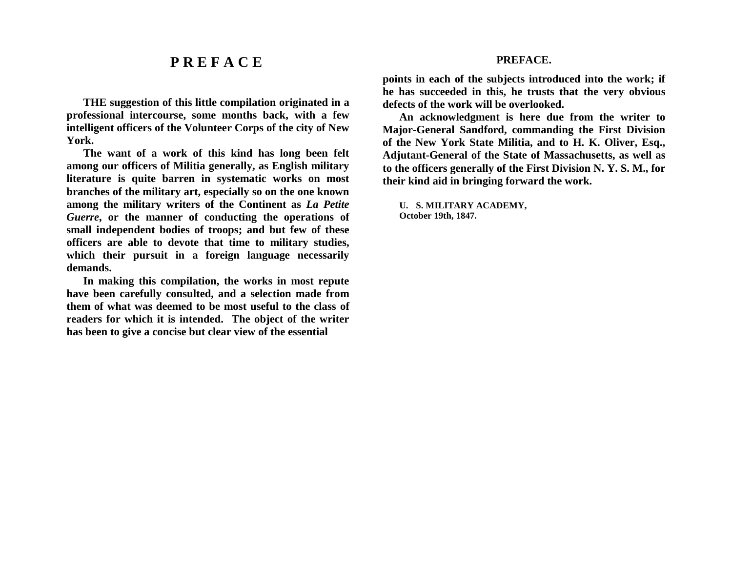# **P R E F A C E**

**THE suggestion of this little compilation originated in a professional intercourse, some months back, with a few intelligent officers of the Volunteer Corps of the city of New York.**

**The want of a work of this kind has long been felt among our officers of Militia generally, as English military literature is quite barren in systematic works on most branches of the military art, especially so on the one known among the military writers of the Continent as** *La Petite Guerre***, or the manner of conducting the operations of small independent bodies of troops; and but few of these officers are able to devote that time to military studies, which their pursuit in a foreign language necessarily demands.**

**In making this compilation, the works in most repute have been carefully consulted, and a selection made from them of what was deemed to be most useful to the class of readers for which it is intended. The object of the writer has been to give a concise but clear view of the essential**

### **PREFACE.**

**points in each of the subjects introduced into the work; if he has succeeded in this, he trusts that the very obvious defects of the work will be overlooked.**

**An acknowledgment is here due from the writer to Major-General Sandford, commanding the First Division of the New York State Militia, and to H. K. Oliver, Esq., Adjutant-General of the State of Massachusetts, as well as to the officers generally of the First Division N. Y. S. M., for their kind aid in bringing forward the work.**

**U. S. MILITARY ACADEMY, October 19th, 1847.**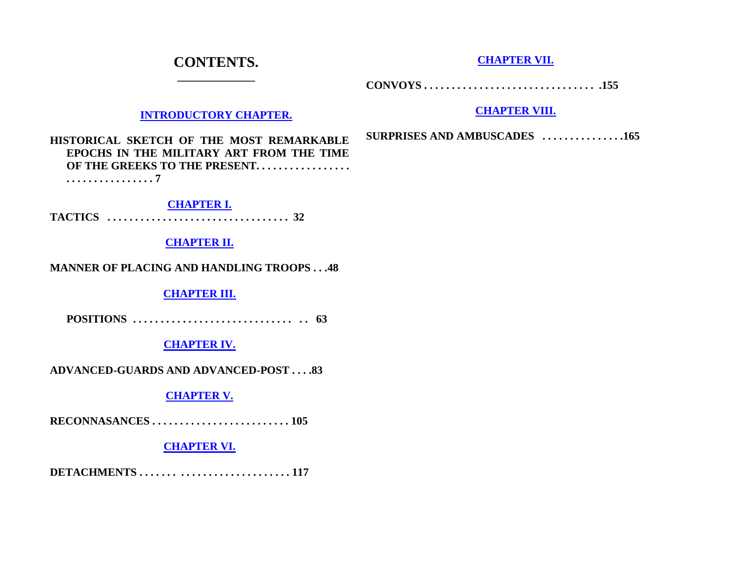# **CONTENTS. \_\_\_\_\_\_\_\_\_\_\_\_\_\_**

**[CHAPTER VII.](http://home.att.net/~MrsMajor/Mahons.htm#CH7)**

**CONVOYS . . . . . . . . . . . . . . . . . . . . . . . . . . . . . . . .155**

## **[INTRODUCTORY CHAPTER.](http://home.att.net/~MrsMajor/Mahons.htm#INTRO)**

### **[CHAPTER VIII.](http://home.att.net/~MrsMajor/Mahons.htm#CH8)**

**HISTORICAL SKETCH OF THE MOST REMARKABLE EPOCHS IN THE MILITARY ART FROM THE TIME**  OF THE GREEKS TO THE PRESENT. . . . . . . . . . . . . . . . . . **. . . . . . . . . . . . . . . . 7**

**[CHAPTER I.](http://home.att.net/~MrsMajor/Mahons.htm#CH1) TACTICS . . . . . . . . . . . . . . . . . . . . . . . . . . . . . . . . . 32**

### **[CHAPTER II.](http://home.att.net/~MrsMajor/Mahons.htm#CH2)**

### **MANNER OF PLACING AND HANDLING TROOPS . . .48**

**[CHAPTER III.](http://home.att.net/~MrsMajor/Mahons.htm#CH3)**

**POSITIONS . . . . . . . . . . . . . . . . . . . . . . . . . . . . . . . 63**

## **[CHAPTER IV.](http://home.att.net/~MrsMajor/Mahons.htm#CH4)**

**ADVANCED-GUARDS AND ADVANCED-POST . . . .83**

## **[CHAPTER V.](http://home.att.net/~MrsMajor/Mahons.htm#CH5)**

**RECONNASANCES . . . . . . . . . . . . . . . . . . . . . . . . . 105**

## **[CHAPTER VI.](http://home.att.net/~MrsMajor/Mahons.htm#CH6)**

**DETACHMENTS . . . . . . . . . . . . . . . . . . . . . . . . . . . 117**

**SURPRISES AND AMBUSCADES . . . . . . . . . . . . . . .165**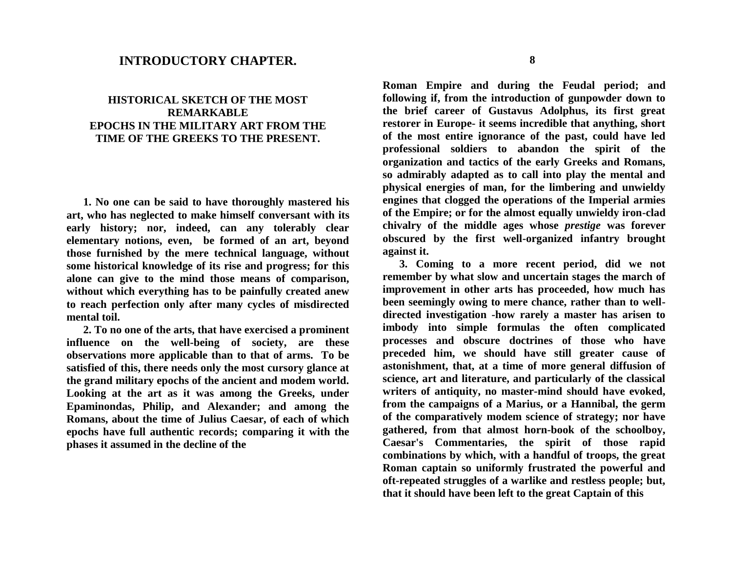## **INTRODUCTORY CHAPTER.**

## **HISTORICAL SKETCH OF THE MOST REMARKABLE EPOCHS IN THE MILITARY ART FROM THE TIME OF THE GREEKS TO THE PRESENT.**

**1. No one can be said to have thoroughly mastered his art, who has neglected to make himself conversant with its early history; nor, indeed, can any tolerably clear elementary notions, even, be formed of an art, beyond those furnished by the mere technical language, without some historical knowledge of its rise and progress; for this alone can give to the mind those means of comparison, without which everything has to be painfully created anew to reach perfection only after many cycles of misdirected mental toil.**

**2. To no one of the arts, that have exercised a prominent influence on the well-being of society, are these observations more applicable than to that of arms. To be satisfied of this, there needs only the most cursory glance at the grand military epochs of the ancient and modem world. Looking at the art as it was among the Greeks, under Epaminondas, Philip, and Alexander; and among the Romans, about the time of Julius Caesar, of each of which epochs have full authentic records; comparing it with the phases it assumed in the decline of the**

**Roman Empire and during the Feudal period; and following if, from the introduction of gunpowder down to the brief career of Gustavus Adolphus, its first great restorer in Europe- it seems incredible that anything, short of the most entire ignorance of the past, could have led professional soldiers to abandon the spirit of the organization and tactics of the early Greeks and Romans, so admirably adapted as to call into play the mental and physical energies of man, for the limbering and unwieldy engines that clogged the operations of the Imperial armies of the Empire; or for the almost equally unwieldy iron-clad chivalry of the middle ages whose** *prestige* **was forever obscured by the first well-organized infantry brought against it.**

**3. Coming to a more recent period, did we not remember by what slow and uncertain stages the march of improvement in other arts has proceeded, how much has been seemingly owing to mere chance, rather than to welldirected investigation -how rarely a master has arisen to imbody into simple formulas the often complicated processes and obscure doctrines of those who have preceded him, we should have still greater cause of astonishment, that, at a time of more general diffusion of science, art and literature, and particularly of the classical writers of antiquity, no master-mind should have evoked, from the campaigns of a Marius, or a Hannibal, the germ of the comparatively modem science of strategy; nor have gathered, from that almost horn-book of the schoolboy, Caesar's Commentaries, the spirit of those rapid combinations by which, with a handful of troops, the great Roman captain so uniformly frustrated the powerful and oft-repeated struggles of a warlike and restless people; but, that it should have been left to the great Captain of this**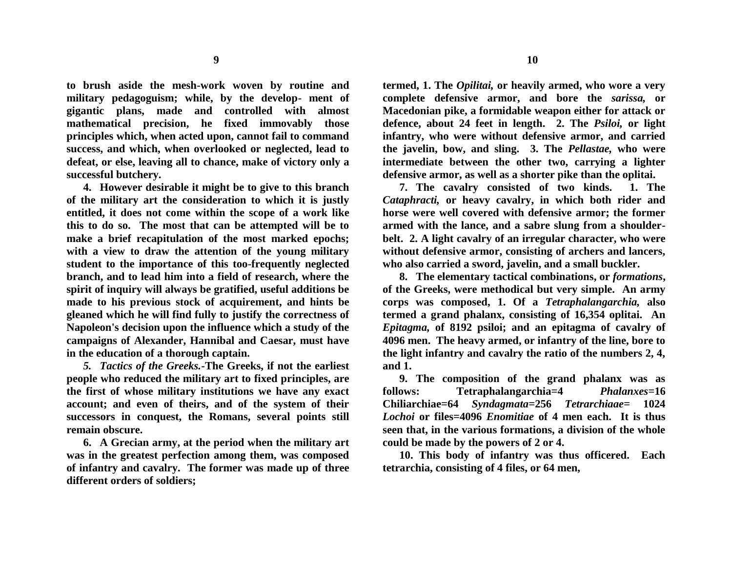**to brush aside the mesh-work woven by routine and military pedagoguism; while, by the develop- ment of gigantic plans, made and controlled with almost mathematical precision, he fixed immovably those principles which, when acted upon, cannot fail to command success, and which, when overlooked or neglected, lead to defeat, or else, leaving all to chance, make of victory only a successful butchery.**

**4. However desirable it might be to give to this branch of the military art the consideration to which it is justly entitled, it does not come within the scope of a work like this to do so. The most that can be attempted will be to make a brief recapitulation of the most marked epochs; with a view to draw the attention of the young military student to the importance of this too-frequently neglected branch, and to lead him into a field of research, where the spirit of inquiry will always be gratified, useful additions be made to his previous stock of acquirement, and hints be gleaned which he will find fully to justify the correctness of Napoleon's decision upon the influence which a study of the campaigns of Alexander, Hannibal and Caesar, must have in the education of a thorough captain.**

*5. Tactics of the Greeks.-***The Greeks, if not the earliest people who reduced the military art to fixed principles, are the first of whose military institutions we have any exact account; and even of theirs, and of the system of their successors in conquest, the Romans, several points still remain obscure.**

**6. A Grecian army, at the period when the military art was in the greatest perfection among them, was composed of infantry and cavalry. The former was made up of three different orders of soldiers;**

**termed, 1. The** *Opilitai,* **or heavily armed, who wore a very complete defensive armor, and bore the** *sarissa,* **or Macedonian pike, a formidable weapon either for attack or defence, about 24 feet in length. 2. The** *Psiloi,* **or light infantry, who were without defensive armor, and carried the javelin, bow, and sling. 3. The** *Pellastae,* **who were intermediate between the other two, carrying a lighter defensive armor, as well as a shorter pike than the oplitai.**

**7. The cavalry consisted of two kinds. 1. The**  *Cataphracti,* **or heavy cavalry, in which both rider and horse were well covered with defensive armor; the former armed with the lance, and a sabre slung from a shoulderbelt. 2. A light cavalry of an irregular character, who were without defensive armor, consisting of archers and lancers, who also carried a sword, javelin, and a small buckler.**

**8. The elementary tactical combinations, or** *formations***, of the Greeks, were methodical but very simple. An army corps was composed, 1. Of a** *Tetraphalangarchia,* **also termed a grand phalanx, consisting of 16,354 oplitai. An**  *Epitagma,* **of 8192 psiloi; and an epitagma of cavalry of 4096 men. The heavy armed, or infantry of the line, bore to the light infantry and cavalry the ratio of the numbers 2, 4, and 1.**

**9. The composition of the grand phalanx was as follows: Tetraphalangarchia=4** *Phalanxes=***16 Chiliarchiae=64** *Syndagmata***=256** *Tetrarchiaae=* **1024**  *Lochoi* **or files=4096** *Enomitiae* **of 4 men each. It is thus seen that, in the various formations, a division of the whole could be made by the powers of 2 or 4.**

**10. This body of infantry was thus officered. Each tetrarchia, consisting of 4 files, or 64 men,**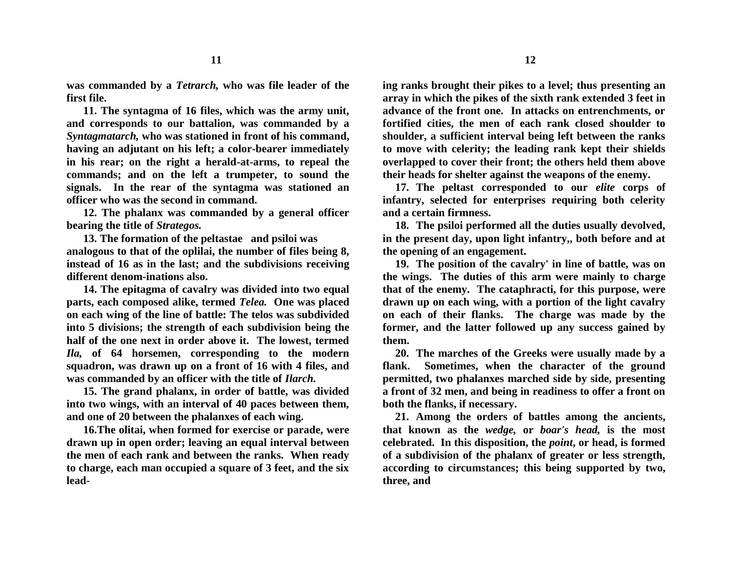**was commanded by a** *Tetrarch,* **who was file leader of the first file.**

**11. The syntagma of 16 files, which was the army unit, and corresponds to our battalion, was commanded by a**  *Syntagmatarch,* **who was stationed in front of his command, having an adjutant on his left; a color-bearer immediately in his rear; on the right a herald-at-arms, to repeal the commands; and on the left a trumpeter, to sound the signals. In the rear of the syntagma was stationed an officer who was the second in command.**

**12. The phalanx was commanded by a general officer bearing the title of** *Strategos.*

**13. The formation of the peltastae and psiloi was analogous to that of the oplilai, the number of files being 8, instead of 16 as in the last; and the subdivisions receiving different denom-inations also.**

**14. The epitagma of cavalry was divided into two equal parts, each composed alike, termed** *Telea.* **One was placed on each wing of the line of battle: The telos was subdivided into 5 divisions; the strength of each subdivision being the half of the one next in order above it. The lowest, termed**  *Ila,* **of 64 horsemen, corresponding to the modern squadron, was drawn up on a front of 16 with 4 files, and was commanded by an officer with the title of** *Ilarch.*

**15. The grand phalanx, in order of battle, was divided into two wings, with an interval of 40 paces between them, and one of 20 between the phalanxes of each wing.**

**16.The olitai, when formed for exercise or parade, were drawn up in open order; leaving an equal interval between the men of each rank and between the ranks. When ready to charge, each man occupied a square of 3 feet, and the six lead-**

**ing ranks brought their pikes to a level; thus presenting an array in which the pikes of the sixth rank extended 3 feet in advance of the front one. In attacks on entrenchments, or fortified cities, the men of each rank closed shoulder to shoulder, a sufficient interval being left between the ranks to move with celerity; the leading rank kept their shields overlapped to cover their front; the others held them above their heads for shelter against the weapons of the enemy.**

**17. The peltast corresponded to our** *elite* **corps of infantry, selected for enterprises requiring both celerity and a certain firmness.**

**18. The psiloi performed all the duties usually devolved, in the present day, upon light infantry,, both before and at the opening of an engagement.**

**19. The position of the cavalry' in line of battle, was on the wings. The duties of this arm were mainly to charge that of the enemy. The cataphracti, for this purpose, were drawn up on each wing, with a portion of the light cavalry on each of their flanks. The charge was made by the former, and the latter followed up any success gained by them.**

**20. The marches of the Greeks were usually made by a flank. Sometimes, when the character of the ground permitted, two phalanxes marched side by side, presenting a front of 32 men, and being in readiness to offer a front on both the flanks, if necessary.**

**21. Among the orders of battles among the ancients, that known as the** *wedge,* **or** *boar's head,* **is the most celebrated. In this disposition, the** *point***, or head, is formed of a subdivision of the phalanx of greater or less strength, according to circumstances; this being supported by two, three, and**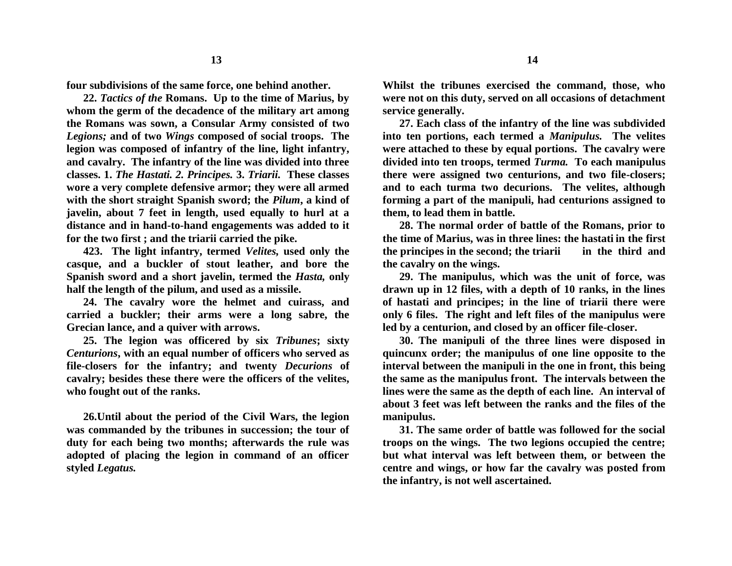**four subdivisions of the same force, one behind another.**

**22.** *Tactics of the* **Romans. Up to the time of Marius, by whom the germ of the decadence of the military art among the Romans was sown, a Consular Army consisted of two**  *Legions;* **and of two** *Wings* **composed of social troops. The legion was composed of infantry of the line, light infantry, and cavalry. The infantry of the line was divided into three classes. 1.** *The Hastati. 2. Principes.* **3.** *Triarii.* **These classes wore a very complete defensive armor; they were all armed with the short straight Spanish sword; the** *Pilum***, a kind of javelin, about 7 feet in length, used equally to hurl at a distance and in hand-to-hand engagements was added to it for the two first ; and the triarii carried the pike.**

**423. The light infantry, termed** *Velites,* **used only the casque, and a buckler of stout leather, and bore the Spanish sword and a short javelin, termed the** *Hasta,* **only half the length of the pilum, and used as a missile.**

**24. The cavalry wore the helmet and cuirass, and carried a buckler; their arms were a long sabre, the Grecian lance, and a quiver with arrows.**

**25. The legion was officered by six** *Tribunes***; sixty**  *Centurions***, with an equal number of officers who served as file-closers for the infantry; and twenty** *Decurions* **of cavalry; besides these there were the officers of the velites, who fought out of the ranks.**

**26.Until about the period of the Civil Wars, the legion was commanded by the tribunes in succession; the tour of duty for each being two months; afterwards the rule was adopted of placing the legion in command of an officer styled** *Legatus.*

**Whilst the tribunes exercised the command, those, who were not on this duty, served on all occasions of detachment service generally.**

**27. Each class of the infantry of the line was subdivided into ten portions, each termed a** *Manipulus.* **The velites were attached to these by equal portions. The cavalry were divided into ten troops, termed** *Turma.* **To each manipulus there were assigned two centurions, and two file-closers; and to each turma two decurions. The velites, although forming a part of the manipuli, had centurions assigned to them, to lead them in battle.**

**28. The normal order of battle of the Romans, prior to the time of Marius, was in three lines: the hastati in the first the principes in the second; the triarii in the third and the cavalry on the wings.**

**29. The manipulus, which was the unit of force, was drawn up in 12 files, with a depth of 10 ranks, in the lines of hastati and principes; in the line of triarii there were only 6 files. The right and left files of the manipulus were led by a centurion, and closed by an officer file-closer.**

**30. The manipuli of the three lines were disposed in quincunx order; the manipulus of one line opposite to the interval between the manipuli in the one in front, this being the same as the manipulus front. The intervals between the lines were the same as the depth of each line. An interval of about 3 feet was left between the ranks and the files of the manipulus.**

**31. The same order of battle was followed for the social troops on the wings. The two legions occupied the centre; but what interval was left between them, or between the centre and wings, or how far the cavalry was posted from the infantry, is not well ascertained.**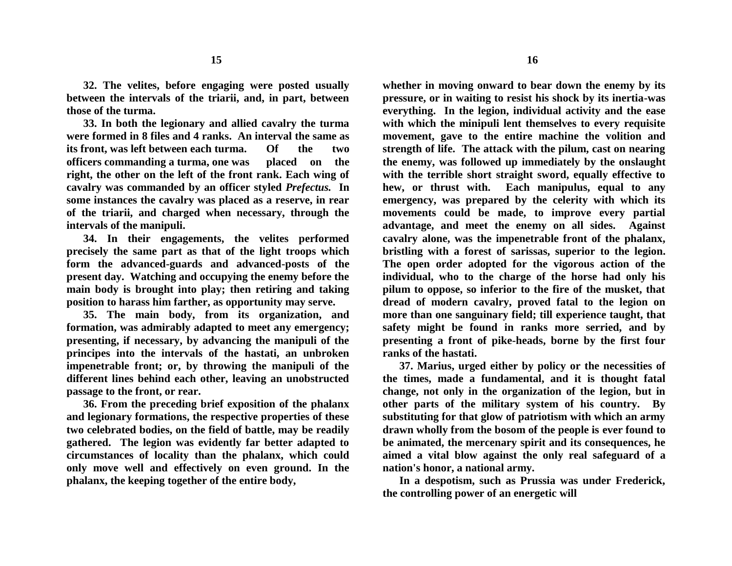**32. The velites, before engaging were posted usually between the intervals of the triarii, and, in part, between those of the turma.**

**33. In both the legionary and allied cavalry the turma were formed in 8 files and 4 ranks. An interval the same as its front, was left between each turma. Of the two officers commanding a turma, one was placed on the right, the other on the left of the front rank. Each wing of cavalry was commanded by an officer styled** *Prefectus.* **In some instances the cavalry was placed as a reserve, in rear of the triarii, and charged when necessary, through the intervals of the manipuli.**

**34. In their engagements, the velites performed precisely the same part as that of the light troops which form the advanced-guards and advanced-posts of the present day. Watching and occupying the enemy before the main body is brought into play; then retiring and taking position to harass him farther, as opportunity may serve.**

**35. The main body, from its organization, and formation, was admirably adapted to meet any emergency; presenting, if necessary, by advancing the manipuli of the principes into the intervals of the hastati, an unbroken impenetrable front; or, by throwing the manipuli of the different lines behind each other, leaving an unobstructed passage to the front, or rear.**

**36. From the preceding brief exposition of the phalanx and legionary formations, the respective properties of these two celebrated bodies, on the field of battle, may be readily gathered. The legion was evidently far better adapted to circumstances of locality than the phalanx, which could only move well and effectively on even ground. In the phalanx, the keeping together of the entire body,**

**whether in moving onward to bear down the enemy by its pressure, or in waiting to resist his shock by its inertia-was everything. In the legion, individual activity and the ease with which the minipuli lent themselves to every requisite movement, gave to the entire machine the volition and strength of life. The attack with the pilum, cast on nearing the enemy, was followed up immediately by the onslaught with the terrible short straight sword, equally effective to hew, or thrust with. Each manipulus, equal to any emergency, was prepared by the celerity with which its movements could be made, to improve every partial advantage, and meet the enemy on all sides. Against cavalry alone, was the impenetrable front of the phalanx, bristling with a forest of sarissas, superior to the legion. The open order adopted for the vigorous action of the individual, who to the charge of the horse had only his pilum to oppose, so inferior to the fire of the musket, that dread of modern cavalry, proved fatal to the legion on more than one sanguinary field; till experience taught, that safety might be found in ranks more serried, and by presenting a front of pike-heads, borne by the first four** 

**37. Marius, urged either by policy or the necessities of the times, made a fundamental, and it is thought fatal change, not only in the organization of the legion, but in other parts of the military system of his country. By substituting for that glow of patriotism with which an army drawn wholly from the bosom of the people is ever found to be animated, the mercenary spirit and its consequences, he aimed a vital blow against the only real safeguard of a nation's honor, a national army.**

**ranks of the hastati.**

**In a despotism, such as Prussia was under Frederick, the controlling power of an energetic will**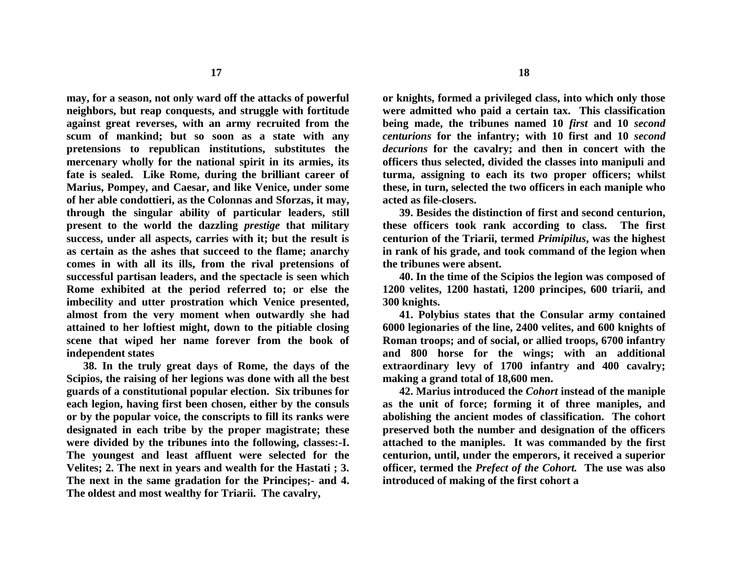**may, for a season, not only ward off the attacks of powerful neighbors, but reap conquests, and struggle with fortitude against great reverses, with an army recruited from the scum of mankind; but so soon as a state with any pretensions to republican institutions, substitutes the mercenary wholly for the national spirit in its armies, its fate is sealed. Like Rome, during the brilliant career of Marius, Pompey, and Caesar, and like Venice, under some of her able condottieri, as the Colonnas and Sforzas, it may, through the singular ability of particular leaders, still present to the world the dazzling** *prestige* **that military success, under all aspects, carries with it; but the result is as certain as the ashes that succeed to the flame; anarchy comes in with all its ills, from the rival pretensions of successful partisan leaders, and the spectacle is seen which Rome exhibited at the period referred to; or else the imbecility and utter prostration which Venice presented, almost from the very moment when outwardly she had attained to her loftiest might, down to the pitiable closing scene that wiped her name forever from the book of independent states**

**38. In the truly great days of Rome, the days of the Scipios, the raising of her legions was done with all the best guards of a constitutional popular election. Six tribunes for each legion, having first been chosen, either by the consuls or by the popular voice, the conscripts to fill its ranks were designated in each tribe by the proper magistrate; these were divided by the tribunes into the following, classes:-I. The youngest and least affluent were selected for the Velites; 2. The next in years and wealth for the Hastati ; 3. The next in the same gradation for the Principes;- and 4. The oldest and most wealthy for Triarii. The cavalry,**

**or knights, formed a privileged class, into which only those were admitted who paid a certain tax. This classification being made, the tribunes named 10** *first* **and 10** *second centurions* **for the infantry; with 10 first and 10** *second decurions* **for the cavalry; and then in concert with the officers thus selected, divided the classes into manipuli and turma, assigning to each its two proper officers; whilst these, in turn, selected the two officers in each maniple who acted as file-closers.**

**39. Besides the distinction of first and second centurion, these officers took rank according to class. The first centurion of the Triarii, termed** *Primipilus***, was the highest in rank of his grade, and took command of the legion when the tribunes were absent.**

**40. In the time of the Scipios the legion was composed of 1200 velites, 1200 hastati, 1200 principes, 600 triarii, and 300 knights.**

**41. Polybius states that the Consular army contained 6000 legionaries of the line, 2400 velites, and 600 knights of Roman troops; and of social, or allied troops, 6700 infantry and 800 horse for the wings; with an additional extraordinary levy of 1700 infantry and 400 cavalry; making a grand total of 18,600 men.**

**42. Marius introduced the** *Cohort* **instead of the maniple as the unit of force; forming it of three maniples, and abolishing the ancient modes of classification. The cohort preserved both the number and designation of the officers attached to the maniples. It was commanded by the first centurion, until, under the emperors, it received a superior officer, termed the** *Prefect of the Cohort.* **The use was also introduced of making of the first cohort a**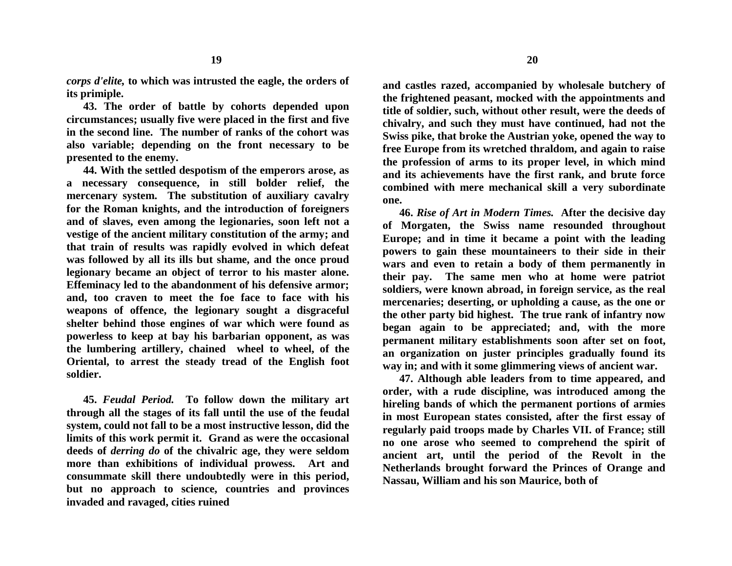*corps d'elite,* **to which was intrusted the eagle, the orders of its primiple.**

**43. The order of battle by cohorts depended upon circumstances; usually five were placed in the first and five in the second line. The number of ranks of the cohort was also variable; depending on the front necessary to be presented to the enemy.**

**44. With the settled despotism of the emperors arose, as a necessary consequence, in still bolder relief, the mercenary system. The substitution of auxiliary cavalry for the Roman knights, and the introduction of foreigners and of slaves, even among the legionaries, soon left not a vestige of the ancient military constitution of the army; and that train of results was rapidly evolved in which defeat was followed by all its ills but shame, and the once proud legionary became an object of terror to his master alone. Effeminacy led to the abandonment of his defensive armor; and, too craven to meet the foe face to face with his weapons of offence, the legionary sought a disgraceful shelter behind those engines of war which were found as powerless to keep at bay his barbarian opponent, as was the lumbering artillery, chained wheel to wheel, of the Oriental, to arrest the steady tread of the English foot soldier.**

**45.** *Feudal Period.* **To follow down the military art through all the stages of its fall until the use of the feudal system, could not fall to be a most instructive lesson, did the limits of this work permit it. Grand as were the occasional deeds of** *derring do* **of the chivalric age, they were seldom more than exhibitions of individual prowess. Art and consummate skill there undoubtedly were in this period, but no approach to science, countries and provinces invaded and ravaged, cities ruined**

**and castles razed, accompanied by wholesale butchery of the frightened peasant, mocked with the appointments and title of soldier, such, without other result, were the deeds of chivalry, and such they must have continued, had not the Swiss pike, that broke the Austrian yoke, opened the way to free Europe from its wretched thraldom, and again to raise the profession of arms to its proper level, in which mind and its achievements have the first rank, and brute force combined with mere mechanical skill a very subordinate one.**

**46.** *Rise of Art in Modern Times.* **After the decisive day of Morgaten, the Swiss name resounded throughout Europe; and in time it became a point with the leading powers to gain these mountaineers to their side in their wars and even to retain a body of them permanently in their pay. The same men who at home were patriot soldiers, were known abroad, in foreign service, as the real mercenaries; deserting, or upholding a cause, as the one or the other party bid highest. The true rank of infantry now began again to be appreciated; and, with the more permanent military establishments soon after set on foot, an organization on juster principles gradually found its way in; and with it some glimmering views of ancient war.**

**47. Although able leaders from to time appeared, and order, with a rude discipline, was introduced among the hireling bands of which the permanent portions of armies in most European states consisted, after the first essay of regularly paid troops made by Charles VII. of France; still no one arose who seemed to comprehend the spirit of ancient art, until the period of the Revolt in the Netherlands brought forward the Princes of Orange and Nassau, William and his son Maurice, both of**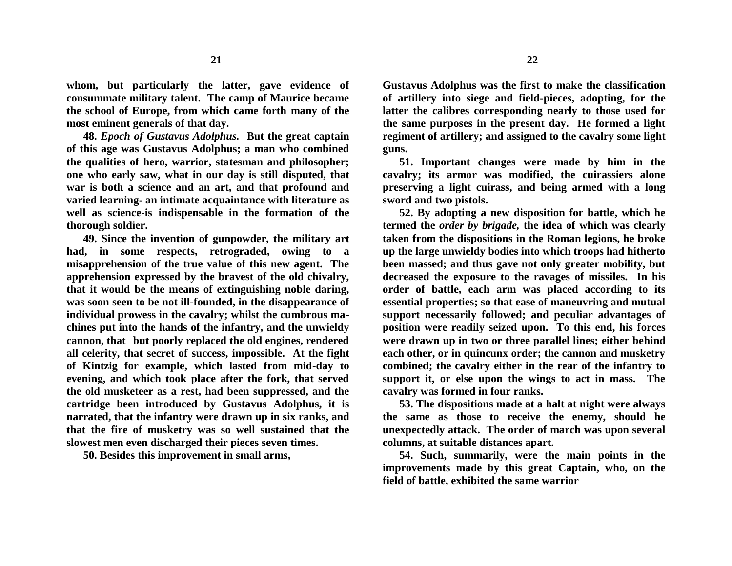**whom, but particularly the latter, gave evidence of consummate military talent. The camp of Maurice became the school of Europe, from which came forth many of the most eminent generals of that day.**

**48.** *Epoch of Gustavus Adolphus.* **But the great captain of this age was Gustavus Adolphus; a man who combined the qualities of hero, warrior, statesman and philosopher; one who early saw, what in our day is still disputed, that war is both a science and an art, and that profound and varied learning- an intimate acquaintance with literature as well as science-is indispensable in the formation of the thorough soldier.**

**49. Since the invention of gunpowder, the military art had, in some respects, retrograded, owing to a misapprehension of the true value of this new agent. The apprehension expressed by the bravest of the old chivalry, that it would be the means of extinguishing noble daring, was soon seen to be not ill-founded, in the disappearance of individual prowess in the cavalry; whilst the cumbrous machines put into the hands of the infantry, and the unwieldy cannon, that but poorly replaced the old engines, rendered all celerity, that secret of success, impossible. At the fight of Kintzig for example, which lasted from mid-day to evening, and which took place after the fork, that served the old musketeer as a rest, had been suppressed, and the cartridge been introduced by Gustavus Adolphus, it is narrated, that the infantry were drawn up in six ranks, and that the fire of musketry was so well sustained that the slowest men even discharged their pieces seven times.**

**50. Besides this improvement in small arms,**

**Gustavus Adolphus was the first to make the classification of artillery into siege and field-pieces, adopting, for the latter the calibres corresponding nearly to those used for the same purposes in the present day. He formed a light regiment of artillery; and assigned to the cavalry some light guns.**

**51. Important changes were made by him in the cavalry; its armor was modified, the cuirassiers alone preserving a light cuirass, and being armed with a long sword and two pistols.**

**52. By adopting a new disposition for battle, which he termed the** *order by brigade,* **the idea of which was clearly taken from the dispositions in the Roman legions, he broke up the large unwieldy bodies into which troops had hitherto been massed; and thus gave not only greater mobility, but decreased the exposure to the ravages of missiles. In his order of battle, each arm was placed according to its essential properties; so that ease of maneuvring and mutual support necessarily followed; and peculiar advantages of position were readily seized upon. To this end, his forces were drawn up in two or three parallel lines; either behind each other, or in quincunx order; the cannon and musketry combined; the cavalry either in the rear of the infantry to support it, or else upon the wings to act in mass. The cavalry was formed in four ranks.**

**53. The dispositions made at a halt at night were always the same as those to receive the enemy, should he unexpectedly attack. The order of march was upon several columns, at suitable distances apart.**

**54. Such, summarily, were the main points in the improvements made by this great Captain, who, on the field of battle, exhibited the same warrior**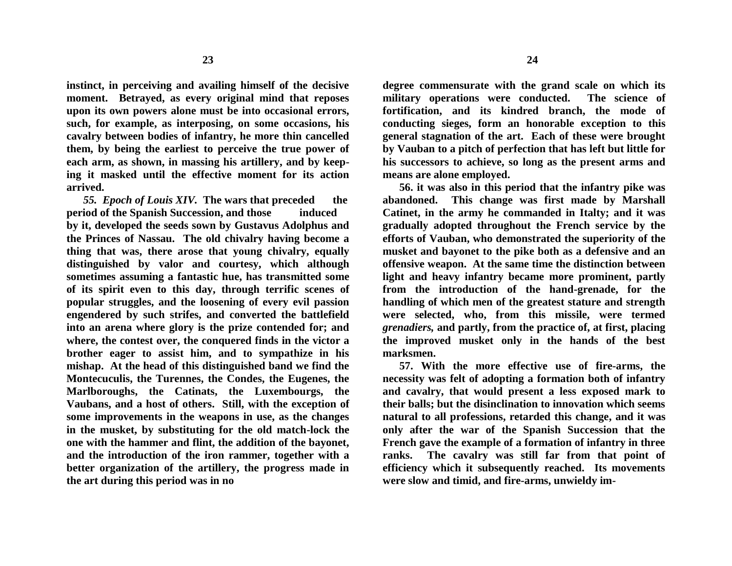**instinct, in perceiving and availing himself of the decisive moment. Betrayed, as every original mind that reposes upon its own powers alone must be into occasional errors, such, for example, as interposing, on some occasions, his cavalry between bodies of infantry, he more thin cancelled them, by being the earliest to perceive the true power of each arm, as shown, in massing his artillery, and by keeping it masked until the effective moment for its action arrived.**

*55. Epoch of Louis XIV.* **The wars that preceded the period of the Spanish Succession, and those induced by it, developed the seeds sown by Gustavus Adolphus and the Princes of Nassau. The old chivalry having become a thing that was, there arose that young chivalry, equally distinguished by valor and courtesy, which although sometimes assuming a fantastic hue, has transmitted some of its spirit even to this day, through terrific scenes of popular struggles, and the loosening of every evil passion engendered by such strifes, and converted the battlefield into an arena where glory is the prize contended for; and where, the contest over, the conquered finds in the victor a brother eager to assist him, and to sympathize in his mishap. At the head of this distinguished band we find the Montecuculis, the Turennes, the Condes, the Eugenes, the Marlboroughs, the Catinats, the Luxembourgs, the Vaubans, and a host of others. Still, with the exception of some improvements in the weapons in use, as the changes in the musket, by substituting for the old match-lock the one with the hammer and flint, the addition of the bayonet, and the introduction of the iron rammer, together with a better organization of the artillery, the progress made in the art during this period was in no**

**degree commensurate with the grand scale on which its military operations were conducted. The science of fortification, and its kindred branch, the mode of conducting sieges, form an honorable exception to this general stagnation of the art. Each of these were brought by Vauban to a pitch of perfection that has left but little for his successors to achieve, so long as the present arms and means are alone employed.**

**56. it was also in this period that the infantry pike was abandoned. This change was first made by Marshall Catinet, in the army he commanded in Italty; and it was gradually adopted throughout the French service by the efforts of Vauban, who demonstrated the superiority of the musket and bayonet to the pike both as a defensive and an offensive weapon. At the same time the distinction between light and heavy infantry became more prominent, partly from the introduction of the hand-grenade, for the handling of which men of the greatest stature and strength were selected, who, from this missile, were termed**  *grenadiers,* **and partly, from the practice of, at first, placing the improved musket only in the hands of the best marksmen.**

**57. With the more effective use of fire-arms, the necessity was felt of adopting a formation both of infantry and cavalry, that would present a less exposed mark to their balls; but the disinclination to innovation which seems natural to all professions, retarded this change, and it was only after the war of the Spanish Succession that the French gave the example of a formation of infantry in three ranks. The cavalry was still far from that point of efficiency which it subsequently reached. Its movements were slow and timid, and fire-arms, unwieldy im-**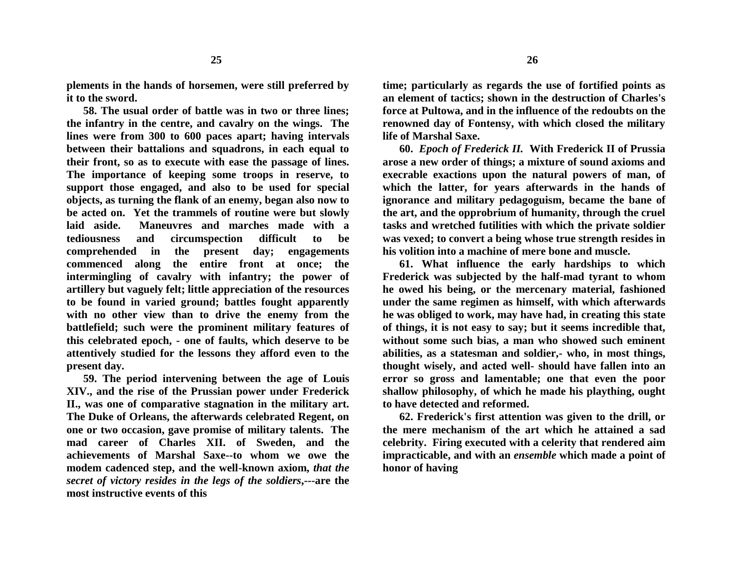**plements in the hands of horsemen, were still preferred by it to the sword.**

**58. The usual order of battle was in two or three lines; the infantry in the centre, and cavalry on the wings. The lines were from 300 to 600 paces apart; having intervals between their battalions and squadrons, in each equal to their front, so as to execute with ease the passage of lines. The importance of keeping some troops in reserve, to support those engaged, and also to be used for special objects, as turning the flank of an enemy, began also now to be acted on. Yet the trammels of routine were but slowly laid aside. Maneuvres and marches made with a tediousness and circumspection difficult to be comprehended in the present day; engagements commenced along the entire front at once; the intermingling of cavalry with infantry; the power of artillery but vaguely felt; little appreciation of the resources to be found in varied ground; battles fought apparently with no other view than to drive the enemy from the battlefield; such were the prominent military features of this celebrated epoch, - one of faults, which deserve to be attentively studied for the lessons they afford even to the present day.**

**59. The period intervening between the age of Louis XIV., and the rise of the Prussian power under Frederick II., was one of comparative stagnation in the military art. The Duke of Orleans, the afterwards celebrated Regent, on one or two occasion, gave promise of military talents. The mad career of Charles XII. of Sweden, and the achievements of Marshal Saxe--to whom we owe the modem cadenced step, and the well-known axiom,** *that the secret of victory resides in the legs of the soldiers***,---are the most instructive events of this**

**time; particularly as regards the use of fortified points as an element of tactics; shown in the destruction of Charles's force at Pultowa, and in the influence of the redoubts on the renowned day of Fontensy, with which closed the military life of Marshal Saxe.**

**60.** *Epoch of Frederick II.* **With Frederick II of Prussia arose a new order of things; a mixture of sound axioms and execrable exactions upon the natural powers of man, of which the latter, for years afterwards in the hands of ignorance and military pedagoguism, became the bane of the art, and the opprobrium of humanity, through the cruel tasks and wretched futilities with which the private soldier was vexed; to convert a being whose true strength resides in his volition into a machine of mere bone and muscle.**

**61. What influence the early hardships to which Frederick was subjected by the half-mad tyrant to whom he owed his being, or the mercenary material, fashioned under the same regimen as himself, with which afterwards he was obliged to work, may have had, in creating this state of things, it is not easy to say; but it seems incredible that, without some such bias, a man who showed such eminent abilities, as a statesman and soldier,- who, in most things, thought wisely, and acted well- should have fallen into an error so gross and lamentable; one that even the poor shallow philosophy, of which he made his plaything, ought to have detected and reformed.**

**62. Frederick's first attention was given to the drill, or the mere mechanism of the art which he attained a sad celebrity. Firing executed with a celerity that rendered aim impracticable, and with an** *ensemble* **which made a point of honor of having**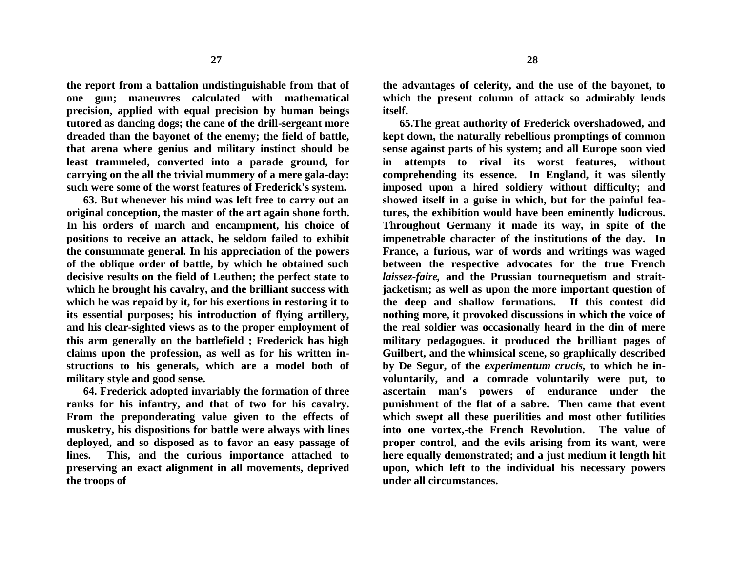**the report from a battalion undistinguishable from that of one gun; maneuvres calculated with mathematical precision, applied with equal precision by human beings tutored as dancing dogs; the cane of the drill-sergeant more dreaded than the bayonet of the enemy; the field of battle, that arena where genius and military instinct should be least trammeled, converted into a parade ground, for carrying on the all the trivial mummery of a mere gala-day: such were some of the worst features of Frederick's system.**

**63. But whenever his mind was left free to carry out an original conception, the master of the art again shone forth. In his orders of march and encampment, his choice of positions to receive an attack, he seldom failed to exhibit the consummate general. In his appreciation of the powers of the oblique order of battle, by which he obtained such decisive results on the field of Leuthen; the perfect state to which he brought his cavalry, and the brilliant success with which he was repaid by it, for his exertions in restoring it to its essential purposes; his introduction of flying artillery, and his clear-sighted views as to the proper employment of this arm generally on the battlefield ; Frederick has high claims upon the profession, as well as for his written instructions to his generals, which are a model both of military style and good sense.**

**64. Frederick adopted invariably the formation of three ranks for his infantry, and that of two for his cavalry. From the preponderating value given to the effects of musketry, his dispositions for battle were always with lines deployed, and so disposed as to favor an easy passage of lines. This, and the curious importance attached to preserving an exact alignment in all movements, deprived the troops of**

**the advantages of celerity, and the use of the bayonet, to which the present column of attack so admirably lends** 

**itself.**

**65.The great authority of Frederick overshadowed, and kept down, the naturally rebellious promptings of common sense against parts of his system; and all Europe soon vied in attempts to rival its worst features, without comprehending its essence. In England, it was silently imposed upon a hired soldiery without difficulty; and showed itself in a guise in which, but for the painful features, the exhibition would have been eminently ludicrous. Throughout Germany it made its way, in spite of the impenetrable character of the institutions of the day. In France, a furious, war of words and writings was waged between the respective advocates for the true French**  *laissez-faire,* **and the Prussian tournequetism and straitjacketism; as well as upon the more important question of the deep and shallow formations. If this contest did nothing more, it provoked discussions in which the voice of the real soldier was occasionally heard in the din of mere military pedagogues. it produced the brilliant pages of Guilbert, and the whimsical scene, so graphically described by De Segur, of the** *experimentum crucis,* **to which he involuntarily, and a comrade voluntarily were put, to ascertain man's powers of endurance under the punishment of the flat of a sabre. Then came that event which swept all these puerilities and most other futilities into one vortex,-the French Revolution. The value of proper control, and the evils arising from its want, were here equally demonstrated; and a just medium it length hit upon, which left to the individual his necessary powers under all circumstances.**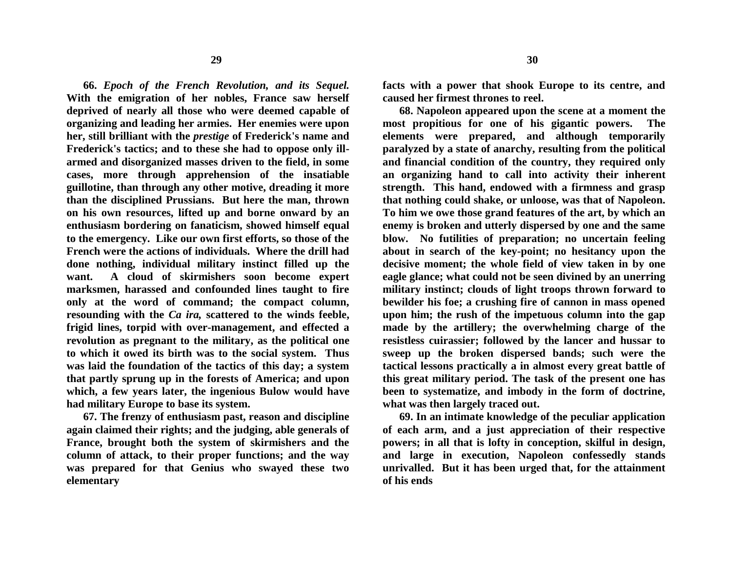**66.** *Epoch of the French Revolution, and its Sequel.* **With the emigration of her nobles, France saw herself deprived of nearly all those who were deemed capable of organizing and leading her armies. Her enemies were upon her, still brilliant with the** *prestige* **of Frederick's name and Frederick's tactics; and to these she had to oppose only illarmed and disorganized masses driven to the field, in some cases, more through apprehension of the insatiable guillotine, than through any other motive, dreading it more than the disciplined Prussians. But here the man, thrown on his own resources, lifted up and borne onward by an enthusiasm bordering on fanaticism, showed himself equal to the emergency. Like our own first efforts, so those of the French were the actions of individuals. Where the drill had done nothing, individual military instinct filled up the want. A cloud of skirmishers soon become expert marksmen, harassed and confounded lines taught to fire only at the word of command; the compact column, resounding with the** *Ca ira,* **scattered to the winds feeble, frigid lines, torpid with over-management, and effected a revolution as pregnant to the military, as the political one to which it owed its birth was to the social system. Thus was laid the foundation of the tactics of this day; a system that partly sprung up in the forests of America; and upon which, a few years later, the ingenious Bulow would have had military Europe to base its system.**

**67. The frenzy of enthusiasm past, reason and discipline again claimed their rights; and the judging, able generals of France, brought both the system of skirmishers and the column of attack, to their proper functions; and the way was prepared for that Genius who swayed these two elementary** 

**facts with a power that shook Europe to its centre, and caused her firmest thrones to reel.**

**68. Napoleon appeared upon the scene at a moment the most propitious for one of his gigantic powers. The elements were prepared, and although temporarily paralyzed by a state of anarchy, resulting from the political and financial condition of the country, they required only an organizing hand to call into activity their inherent strength. This hand, endowed with a firmness and grasp that nothing could shake, or unloose, was that of Napoleon. To him we owe those grand features of the art, by which an enemy is broken and utterly dispersed by one and the same blow. No futilities of preparation; no uncertain feeling about in search of the key-point; no hesitancy upon the decisive moment; the whole field of view taken in by one eagle glance; what could not be seen divined by an unerring military instinct; clouds of light troops thrown forward to bewilder his foe; a crushing fire of cannon in mass opened upon him; the rush of the impetuous column into the gap made by the artillery; the overwhelming charge of the resistless cuirassier; followed by the lancer and hussar to sweep up the broken dispersed bands; such were the tactical lessons practically a in almost every great battle of this great military period. The task of the present one has been to systematize, and imbody in the form of doctrine, what was then largely traced out.**

**69. In an intimate knowledge of the peculiar application of each arm, and a just appreciation of their respective powers; in all that is lofty in conception, skilful in design, and large in execution, Napoleon confessedly stands unrivalled. But it has been urged that, for the attainment of his ends**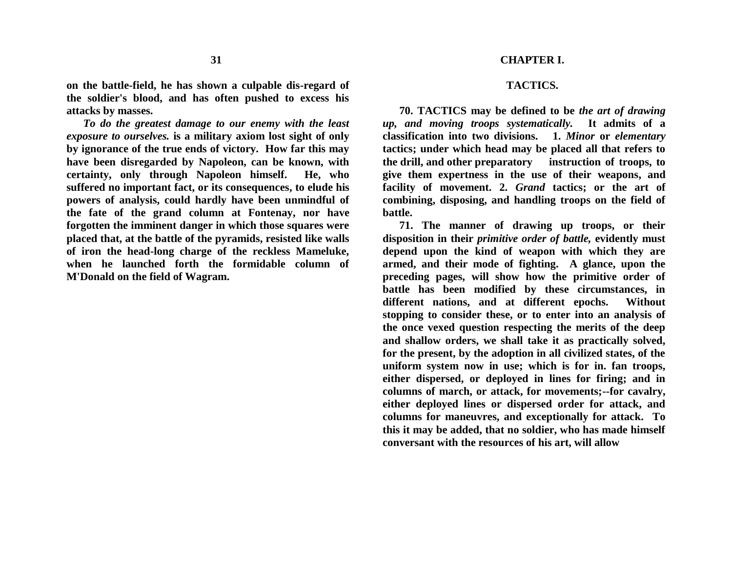### **CHAPTER I.**

#### **TACTICS.**

**on the battle-field, he has shown a culpable dis-regard of the soldier's blood, and has often pushed to excess his attacks by masses.** *To do the greatest damage to our enemy with the least* 

*exposure to ourselves.* **is a military axiom lost sight of only by ignorance of the true ends of victory. How far this may have been disregarded by Napoleon, can be known, with certainty, only through Napoleon himself. He, who suffered no important fact, or its consequences, to elude his powers of analysis, could hardly have been unmindful of the fate of the grand column at Fontenay, nor have forgotten the imminent danger in which those squares were placed that, at the battle of the pyramids, resisted like walls of iron the head-long charge of the reckless Mameluke, when he launched forth the formidable column of M'Donald on the field of Wagram.**

**70. TACTICS may be defined to be** *the art of drawing up, and moving troops systematically.* **It admits of a classification into two divisions. 1.** *Minor* **or** *elementary* **tactics; under which head may be placed all that refers to the drill, and other preparatory instruction of troops, to give them expertness in the use of their weapons, and facility of movement. 2.** *Grand* **tactics; or the art of combining, disposing, and handling troops on the field of battle.** 

**71. The manner of drawing up troops, or their disposition in their** *primitive order of battle,* **evidently must depend upon the kind of weapon with which they are armed, and their mode of fighting. A glance, upon the preceding pages, will show how the primitive order of battle has been modified by these circumstances, in different nations, and at different epochs. Without stopping to consider these, or to enter into an analysis of the once vexed question respecting the merits of the deep and shallow orders, we shall take it as practically solved, for the present, by the adoption in all civilized states, of the uniform system now in use; which is for in. fan troops, either dispersed, or deployed in lines for firing; and in columns of march, or attack, for movements;--for cavalry, either deployed lines or dispersed order for attack, and columns for maneuvres, and exceptionally for attack. To this it may be added, that no soldier, who has made himself conversant with the resources of his art, will allow**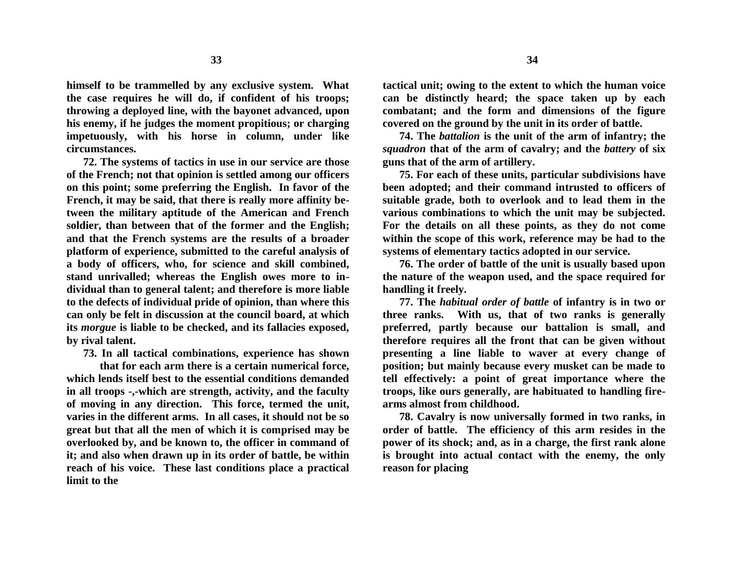**himself to be trammelled by any exclusive system. What the case requires he will do, if confident of his troops; throwing a deployed line, with the bayonet advanced, upon his enemy, if he judges the moment propitious; or charging impetuously, with his horse in column, under like circumstances.**

**72. The systems of tactics in use in our service are those of the French; not that opinion is settled among our officers on this point; some preferring the English. In favor of the French, it may be said, that there is really more affinity between the military aptitude of the American and French soldier, than between that of the former and the English; and that the French systems are the results of a broader platform of experience, submitted to the careful analysis of a body of officers, who, for science and skill combined, stand unrivalled; whereas the English owes more to individual than to general talent; and therefore is more liable to the defects of individual pride of opinion, than where this can only be felt in discussion at the council board, at which its** *morgue* **is liable to be checked, and its fallacies exposed, by rival talent.**

**73. In all tactical combinations, experience has shown**

**that for each arm there is a certain numerical force, which lends itself best to the essential conditions demanded in all troops -,-which are strength, activity, and the faculty of moving in any direction. This force, termed the unit, varies in the different arms. In all cases, it should not be so great but that all the men of which it is comprised may be overlooked by, and be known to, the officer in command of it; and also when drawn up in its order of battle, be within reach of his voice. These last conditions place a practical limit to the**

**tactical unit; owing to the extent to which the human voice can be distinctly heard; the space taken up by each combatant; and the form and dimensions of the figure covered on the ground by the unit in its order of battle.**

**74. The** *battalion* **is the unit of the arm of infantry; the**  *squadron* **that of the arm of cavalry; and the** *battery* **of six guns that of the arm of artillery.**

**75. For each of these units, particular subdivisions have been adopted; and their command intrusted to officers of suitable grade, both to overlook and to lead them in the various combinations to which the unit may be subjected. For the details on all these points, as they do not come within the scope of this work, reference may be had to the systems of elementary tactics adopted in our service.**

**76. The order of battle of the unit is usually based upon the nature of the weapon used, and the space required for handling it freely.**

**77. The** *habitual order of battle* **of infantry is in two or three ranks. With us, that of two ranks is generally preferred, partly because our battalion is small, and therefore requires all the front that can be given without presenting a line liable to waver at every change of position; but mainly because every musket can be made to tell effectively: a point of great importance where the troops, like ours generally, are habituated to handling firearms almost from childhood.**

**78. Cavalry is now universally formed in two ranks, in order of battle. The efficiency of this arm resides in the power of its shock; and, as in a charge, the first rank alone is brought into actual contact with the enemy, the only reason for placing**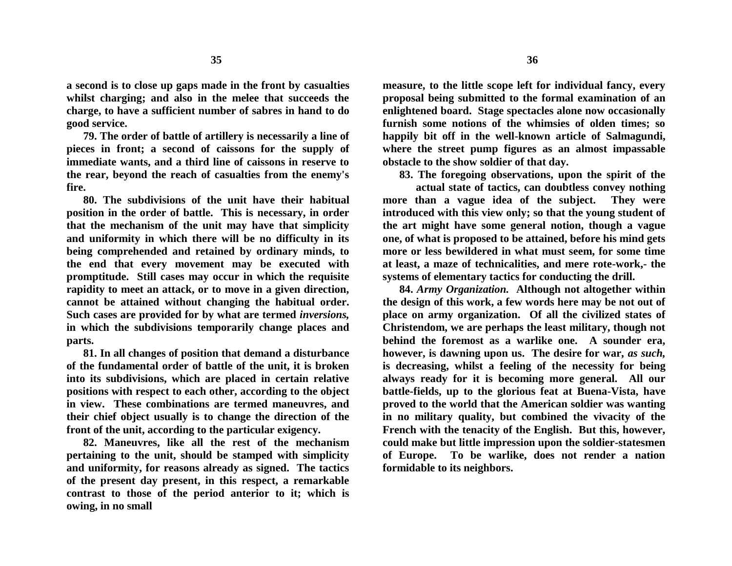**a second is to close up gaps made in the front by casualties whilst charging; and also in the melee that succeeds the charge, to have a sufficient number of sabres in hand to do good service.**

**35**

**79. The order of battle of artillery is necessarily a line of pieces in front; a second of caissons for the supply of immediate wants, and a third line of caissons in reserve to the rear, beyond the reach of casualties from the enemy's fire.**

**80. The subdivisions of the unit have their habitual position in the order of battle. This is necessary, in order that the mechanism of the unit may have that simplicity and uniformity in which there will be no difficulty in its being comprehended and retained by ordinary minds, to the end that every movement may be executed with promptitude. Still cases may occur in which the requisite rapidity to meet an attack, or to move in a given direction, cannot be attained without changing the habitual order. Such cases are provided for by what are termed** *inversions,*  **in which the subdivisions temporarily change places and parts.**

**81. In all changes of position that demand a disturbance of the fundamental order of battle of the unit, it is broken into its subdivisions, which are placed in certain relative positions with respect to each other, according to the object in view. These combinations are termed maneuvres, and their chief object usually is to change the direction of the front of the unit, according to the particular exigency.**

**82. Maneuvres, like all the rest of the mechanism pertaining to the unit, should be stamped with simplicity and uniformity, for reasons already as signed. The tactics of the present day present, in this respect, a remarkable contrast to those of the period anterior to it; which is owing, in no small**

**measure, to the little scope left for individual fancy, every proposal being submitted to the formal examination of an enlightened board. Stage spectacles alone now occasionally furnish some notions of the whimsies of olden times; so happily bit off in the well-known article of Salmagundi, where the street pump figures as an almost impassable obstacle to the show soldier of that day.**

**83. The foregoing observations, upon the spirit of the**

**actual state of tactics, can doubtless convey nothing more than a vague idea of the subject. They were introduced with this view only; so that the young student of the art might have some general notion, though a vague one, of what is proposed to be attained, before his mind gets more or less bewildered in what must seem, for some time at least, a maze of technicalities, and mere rote-work,- the systems of elementary tactics for conducting the drill.**

**84.** *Army Organization.* **Although not altogether within the design of this work, a few words here may be not out of place on army organization. Of all the civilized states of Christendom, we are perhaps the least military, though not behind the foremost as a warlike one. A sounder era, however, is dawning upon us. The desire for war,** *as such,*  **is decreasing, whilst a feeling of the necessity for being always ready for it is becoming more general. All our battle-fields, up to the glorious feat at Buena-Vista, have proved to the world that the American soldier was wanting in no military quality, but combined the vivacity of the French with the tenacity of the English. But this, however, could make but little impression upon the soldier-statesmen of Europe. To be warlike, does not render a nation formidable to its neighbors.**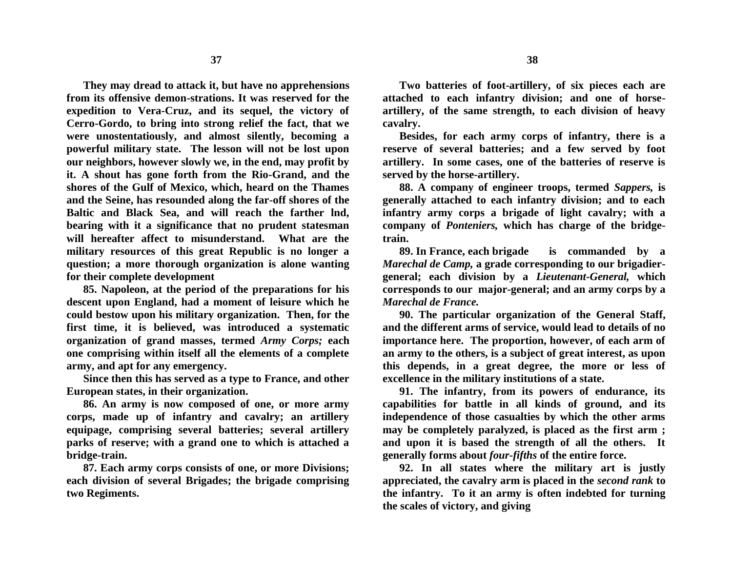**They may dread to attack it, but have no apprehensions from its offensive demon-strations. It was reserved for the expedition to Vera-Cruz, and its sequel, the victory of Cerro-Gordo, to bring into strong relief the fact, that we were unostentatiously, and almost silently, becoming a powerful military state. The lesson will not be lost upon our neighbors, however slowly we, in the end, may profit by it. A shout has gone forth from the Rio-Grand, and the shores of the Gulf of Mexico, which, heard on the Thames and the Seine, has resounded along the far-off shores of the Baltic and Black Sea, and will reach the farther lnd, bearing with it a significance that no prudent statesman will hereafter affect to misunderstand. What are the military resources of this great Republic is no longer a question; a more thorough organization is alone wanting for their complete development**

**85. Napoleon, at the period of the preparations for his descent upon England, had a moment of leisure which he could bestow upon his military organization. Then, for the first time, it is believed, was introduced a systematic organization of grand masses, termed** *Army Corps;* **each one comprising within itself all the elements of a complete army, and apt for any emergency.**

**Since then this has served as a type to France, and other European states, in their organization.**

**86. An army is now composed of one, or more army corps, made up of infantry and cavalry; an artillery equipage, comprising several batteries; several artillery parks of reserve; with a grand one to which is attached a bridge-train.**

**87. Each army corps consists of one, or more Divisions; each division of several Brigades; the brigade comprising two Regiments.**

**Two batteries of foot-artillery, of six pieces each are attached to each infantry division; and one of horseartillery, of the same strength, to each division of heavy cavalry.**

**Besides, for each army corps of infantry, there is a reserve of several batteries; and a few served by foot artillery. In some cases, one of the batteries of reserve is served by the horse-artillery.**

**88. A company of engineer troops, termed** *Sappers,* **is generally attached to each infantry division; and to each infantry army corps a brigade of light cavalry; with a company of** *Ponteniers,* **which has charge of the bridgetrain.**

**89. In France, each brigade is commanded by a**  *Marechal de Camp,* **a grade corresponding to our brigadiergeneral; each division by a** *Lieutenant-General,* **which corresponds to our major-general; and an army corps by a**  *Marechal de France.*

**90. The particular organization of the General Staff, and the different arms of service, would lead to details of no importance here. The proportion, however, of each arm of an army to the others, is a subject of great interest, as upon this depends, in a great degree, the more or less of excellence in the military institutions of a state.**

**91. The infantry, from its powers of endurance, its capabilities for battle in all kinds of ground, and its independence of those casualties by which the other arms may be completely paralyzed, is placed as the first arm ; and upon it is based the strength of all the others. It generally forms about** *four-fifths* **of the entire force.**

**92. In all states where the military art is justly appreciated, the cavalry arm is placed in the** *second rank* **to the infantry. To it an army is often indebted for turning the scales of victory, and giving**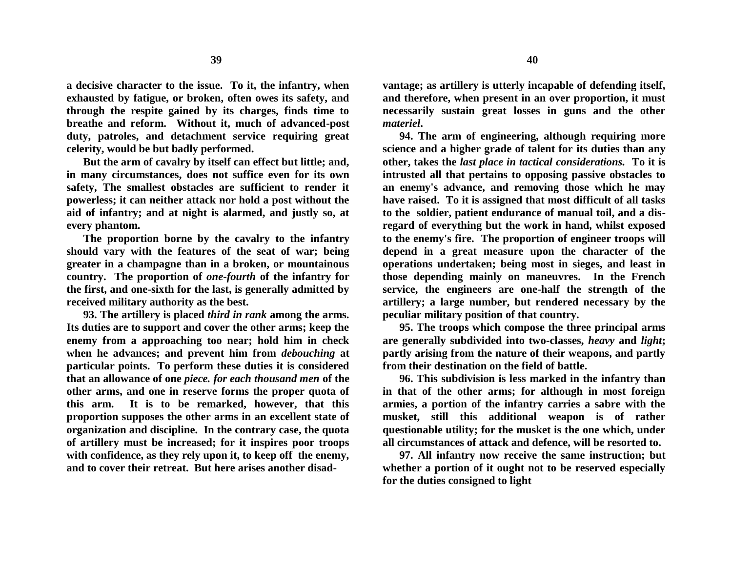**a decisive character to the issue. To it, the infantry, when exhausted by fatigue, or broken, often owes its safety, and through the respite gained by its charges, finds time to breathe and reform. Without it, much of advanced-post duty, patroles, and detachment service requiring great celerity, would be but badly performed.**

**But the arm of cavalry by itself can effect but little; and, in many circumstances, does not suffice even for its own safety, The smallest obstacles are sufficient to render it powerless; it can neither attack nor hold a post without the aid of infantry; and at night is alarmed, and justly so, at every phantom.**

**The proportion borne by the cavalry to the infantry should vary with the features of the seat of war; being greater in a champagne than in a broken, or mountainous country. The proportion of** *one***-***fourth* **of the infantry for the first, and one-sixth for the last, is generally admitted by received military authority as the best.**

**93. The artillery is placed** *third in rank* **among the arms. Its duties are to support and cover the other arms; keep the enemy from a approaching too near; hold him in check when he advances; and prevent him from** *debouching* **at particular points. To perform these duties it is considered that an allowance of one** *piece. for each thousand men* **of the other arms, and one in reserve forms the proper quota of this arm. It is to be remarked, however, that this proportion supposes the other arms in an excellent state of organization and discipline. In the contrary case, the quota of artillery must be increased; for it inspires poor troops with confidence, as they rely upon it, to keep off the enemy, and to cover their retreat. But here arises another disad-**

**vantage; as artillery is utterly incapable of defending itself, and therefore, when present in an over proportion, it must necessarily sustain great losses in guns and the other**  *materiel***.**

**94. The arm of engineering, although requiring more science and a higher grade of talent for its duties than any other, takes the** *last place in tactical considerations.* **To it is intrusted all that pertains to opposing passive obstacles to an enemy's advance, and removing those which he may have raised. To it is assigned that most difficult of all tasks to the soldier, patient endurance of manual toil, and a disregard of everything but the work in hand, whilst exposed to the enemy's fire. The proportion of engineer troops will depend in a great measure upon the character of the operations undertaken; being most in sieges, and least in those depending mainly on maneuvres. In the French service, the engineers are one-half the strength of the artillery; a large number, but rendered necessary by the peculiar military position of that country.**

**95. The troops which compose the three principal arms are generally subdivided into two-classes,** *heavy* **and** *light***; partly arising from the nature of their weapons, and partly from their destination on the field of battle.**

**96. This subdivision is less marked in the infantry than in that of the other arms; for although in most foreign armies, a portion of the infantry carries a sabre with the musket, still this additional weapon is of rather questionable utility; for the musket is the one which, under all circumstances of attack and defence, will be resorted to.**

**97. All infantry now receive the same instruction; but whether a portion of it ought not to be reserved especially for the duties consigned to light**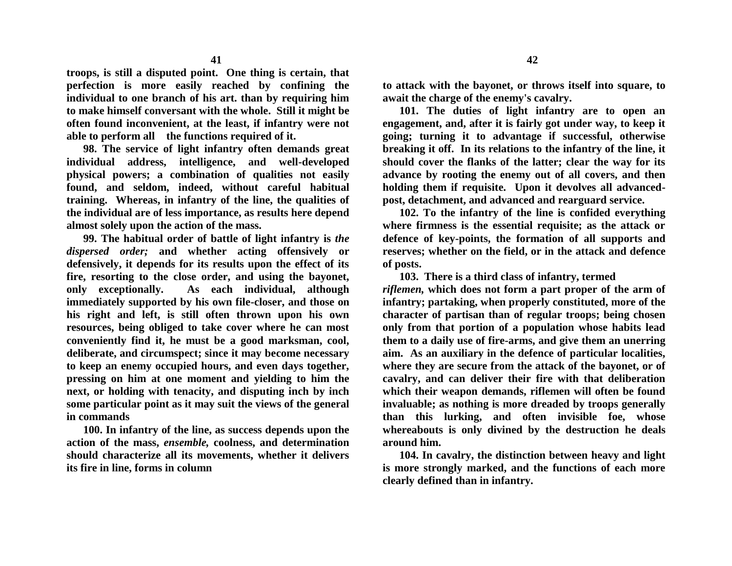**troops, is still a disputed point. One thing is certain, that perfection is more easily reached by confining the individual to one branch of his art. than by requiring him to make himself conversant with the whole. Still it might be often found inconvenient, at the least, if infantry were not able to perform all the functions required of it.**

**98. The service of light infantry often demands great individual address, intelligence, and well-developed physical powers; a combination of qualities not easily found, and seldom, indeed, without careful habitual training. Whereas, in infantry of the line, the qualities of the individual are of less importance, as results here depend almost solely upon the action of the mass.**

**99. The habitual order of battle of light infantry is** *the dispersed order;* **and whether acting offensively or defensively, it depends for its results upon the effect of its fire, resorting to the close order, and using the bayonet, only exceptionally. As each individual, although immediately supported by his own file-closer, and those on his right and left, is still often thrown upon his own resources, being obliged to take cover where he can most conveniently find it, he must be a good marksman, cool, deliberate, and circumspect; since it may become necessary to keep an enemy occupied hours, and even days together, pressing on him at one moment and yielding to him the next, or holding with tenacity, and disputing inch by inch some particular point as it may suit the views of the general in commands**

**100. In infantry of the line, as success depends upon the action of the mass,** *ensemble,* **coolness, and determination should characterize all its movements, whether it delivers its fire in line, forms in column** 

**to attack with the bayonet, or throws itself into square, to await the charge of the enemy's cavalry.**

**101. The duties of light infantry are to open an engagement, and, after it is fairly got under way, to keep it going; turning it to advantage if successful, otherwise breaking it off. In its relations to the infantry of the line, it should cover the flanks of the latter; clear the way for its advance by rooting the enemy out of all covers, and then holding them if requisite. Upon it devolves all advancedpost, detachment, and advanced and rearguard service.**

**102. To the infantry of the line is confided everything where firmness is the essential requisite; as the attack or defence of key-points, the formation of all supports and reserves; whether on the field, or in the attack and defence of posts.**

**103. There is a third class of infantry, termed** *riflemen,* **which does not form a part proper of the arm of infantry; partaking, when properly constituted, more of the character of partisan than of regular troops; being chosen only from that portion of a population whose habits lead them to a daily use of fire-arms, and give them an unerring aim. As an auxiliary in the defence of particular localities, where they are secure from the attack of the bayonet, or of cavalry, and can deliver their fire with that deliberation which their weapon demands, riflemen will often be found invaluable; as nothing is more dreaded by troops generally than this lurking, and often invisible foe, whose whereabouts is only divined by the destruction he deals around him.**

**104. In cavalry, the distinction between heavy and light is more strongly marked, and the functions of each more clearly defined than in infantry.**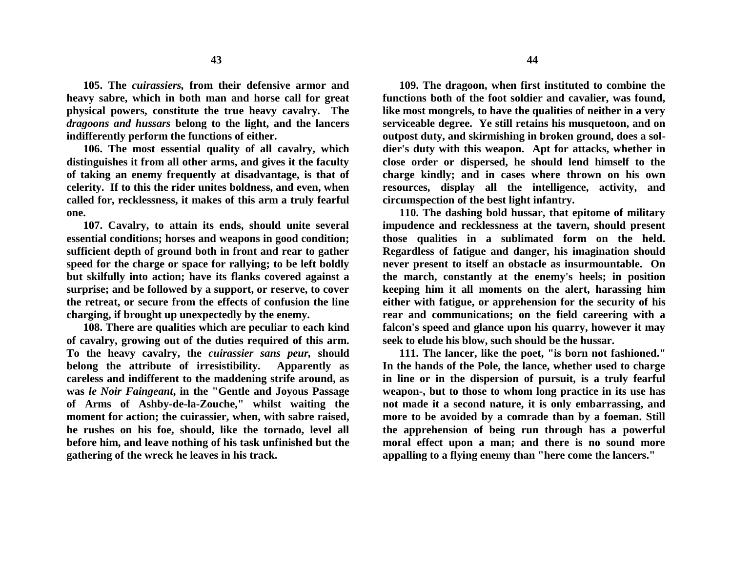**105. The** *cuirassiers,* **from their defensive armor and heavy sabre, which in both man and horse call for great physical powers, constitute the true heavy cavalry. The**  *dragoons and hussars* **belong to the light, and the lancers indifferently perform the functions of either.**

**106. The most essential quality of all cavalry, which distinguishes it from all other arms, and gives it the faculty of taking an enemy frequently at disadvantage, is that of celerity. If to this the rider unites boldness, and even, when called for, recklessness, it makes of this arm a truly fearful one.**

**107. Cavalry, to attain its ends, should unite several essential conditions; horses and weapons in good condition; sufficient depth of ground both in front and rear to gather speed for the charge or space for rallying; to be left boldly but skilfully into action; have its flanks covered against a surprise; and be followed by a support, or reserve, to cover the retreat, or secure from the effects of confusion the line charging, if brought up unexpectedly by the enemy.**

**108. There are qualities which are peculiar to each kind of cavalry, growing out of the duties required of this arm. To the heavy cavalry, the** *cuirassier sans peur,* **should belong the attribute of irresistibility. Apparently as careless and indifferent to the maddening strife around, as was** *le Noir Faingeant***, in the "Gentle and Joyous Passage of Arms of Ashby-de-la-Zouche," whilst waiting the moment for action; the cuirassier, when, with sabre raised, he rushes on his foe, should, like the tornado, level all before him, and leave nothing of his task unfinished but the gathering of the wreck he leaves in his track.**

**109. The dragoon, when first instituted to combine the functions both of the foot soldier and cavalier, was found, like most mongrels, to have the qualities of neither in a very serviceable degree. Ye still retains his musquetoon, and on outpost duty, and skirmishing in broken ground, does a soldier's duty with this weapon. Apt for attacks, whether in close order or dispersed, he should lend himself to the charge kindly; and in cases where thrown on his own resources, display all the intelligence, activity, and circumspection of the best light infantry.**

**110. The dashing bold hussar, that epitome of military impudence and recklessness at the tavern, should present those qualities in a sublimated form on the held. Regardless of fatigue and danger, his imagination should never present to itself an obstacle as insurmountable. On the march, constantly at the enemy's heels; in position keeping him it all moments on the alert, harassing him either with fatigue, or apprehension for the security of his rear and communications; on the field careering with a falcon's speed and glance upon his quarry, however it may seek to elude his blow, such should be the hussar.**

**111. The lancer, like the poet, "is born not fashioned." In the hands of the Pole, the lance, whether used to charge in line or in the dispersion of pursuit, is a truly fearful weapon-, but to those to whom long practice in its use has not made it a second nature, it is only embarrassing, and more to be avoided by a comrade than by a foeman. Still the apprehension of being run through has a powerful moral effect upon a man; and there is no sound more appalling to a flying enemy than "here come the lancers."**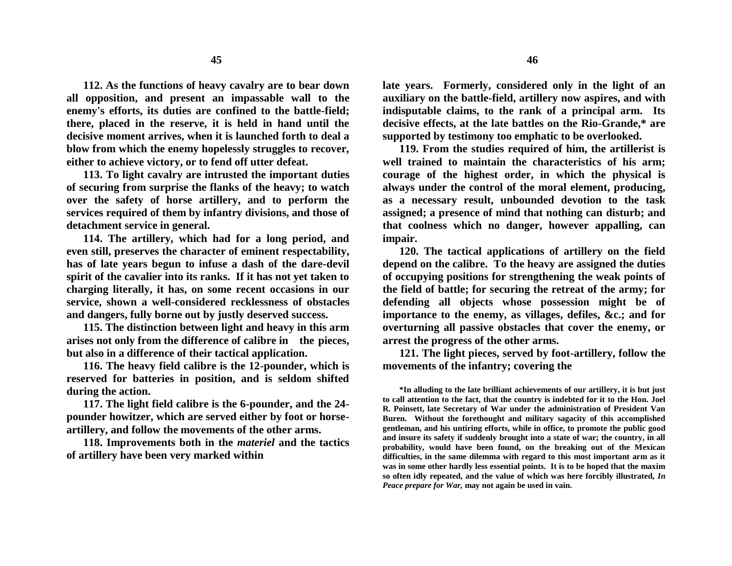**112. As the functions of heavy cavalry are to bear down all opposition, and present an impassable wall to the enemy's efforts, its duties are confined to the battle-field; there, placed in the reserve, it is held in hand until the decisive moment arrives, when it is launched forth to deal a blow from which the enemy hopelessly struggles to recover, either to achieve victory, or to fend off utter defeat.**

**113. To light cavalry are intrusted the important duties of securing from surprise the flanks of the heavy; to watch over the safety of horse artillery, and to perform the services required of them by infantry divisions, and those of detachment service in general.**

**114. The artillery, which had for a long period, and even still, preserves the character of eminent respectability, has of late years begun to infuse a dash of the dare-devil spirit of the cavalier into its ranks. If it has not yet taken to charging literally, it has, on some recent occasions in our service, shown a well-considered recklessness of obstacles and dangers, fully borne out by justly deserved success.**

**115. The distinction between light and heavy in this arm arises not only from the difference of calibre in the pieces, but also in a difference of their tactical application.**

**116. The heavy field calibre is the 12-pounder, which is reserved for batteries in position, and is seldom shifted during the action.**

**117. The light field calibre is the 6-pounder, and the 24 pounder howitzer, which are served either by foot or horseartillery, and follow the movements of the other arms.**

**118. Improvements both in the** *materiel* **and the tactics of artillery have been very marked within**

**late years. Formerly, considered only in the light of an auxiliary on the battle-field, artillery now aspires, and with indisputable claims, to the rank of a principal arm. Its decisive effects, at the late battles on the Rio-Grande,\* are supported by testimony too emphatic to be overlooked.**

**119. From the studies required of him, the artillerist is well trained to maintain the characteristics of his arm; courage of the highest order, in which the physical is always under the control of the moral element, producing, as a necessary result, unbounded devotion to the task assigned; a presence of mind that nothing can disturb; and that coolness which no danger, however appalling, can impair.**

**120. The tactical applications of artillery on the field depend on the calibre. To the heavy are assigned the duties of occupying positions for strengthening the weak points of the field of battle; for securing the retreat of the army; for defending all objects whose possession might be of importance to the enemy, as villages, defiles, &c.; and for overturning all passive obstacles that cover the enemy, or arrest the progress of the other arms.**

**121. The light pieces, served by foot-artillery, follow the movements of the infantry; covering the**

**\*In alluding to the late brilliant achievements of our artillery, it is but just to call attention to the fact, that the country is indebted for it to the Hon. Joel R. Poinsett, late Secretary of War under the administration of President Van Buren. Without the forethought and military sagacity of this accomplished gentleman, and his untiring efforts, while in office, to promote the public good and insure its safety if suddenly brought into a state of war; the country, in all probability, would have been found, on the breaking out of the Mexican difficulties, in the same dilemma with regard to this most important arm as it was in some other hardly less essential points. It is to be hoped that the maxim so often idly repeated, and the value of which was here forcibly illustrated,** *In Peace prepare for War,* **may not again be used in vain.**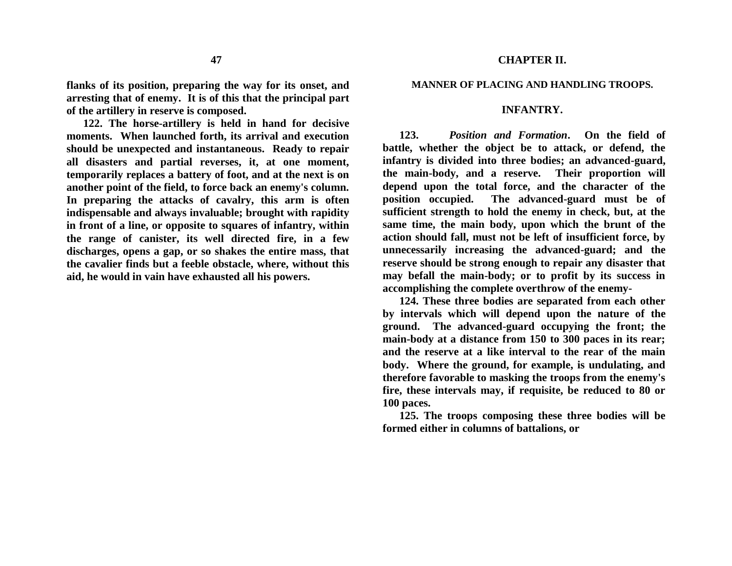## **flanks of its position, preparing the way for its onset, and arresting that of enemy. It is of this that the principal part of the artillery in reserve is composed.**

**122. The horse-artillery is held in hand for decisive moments. When launched forth, its arrival and execution should be unexpected and instantaneous. Ready to repair all disasters and partial reverses, it, at one moment, temporarily replaces a battery of foot, and at the next is on another point of the field, to force back an enemy's column. In preparing the attacks of cavalry, this arm is often indispensable and always invaluable; brought with rapidity in front of a line, or opposite to squares of infantry, within the range of canister, its well directed fire, in a few discharges, opens a gap, or so shakes the entire mass, that the cavalier finds but a feeble obstacle, where, without this aid, he would in vain have exhausted all his powers.**

#### **MANNER OF PLACING AND HANDLING TROOPS.**

### **INFANTRY.**

**123.** *Position and Formation***. On the field of battle, whether the object be to attack, or defend, the infantry is divided into three bodies; an advanced-guard, the main-body, and a reserve. Their proportion will depend upon the total force, and the character of the position occupied. The advanced-guard must be of sufficient strength to hold the enemy in check, but, at the same time, the main body, upon which the brunt of the action should fall, must not be left of insufficient force, by unnecessarily increasing the advanced-guard; and the reserve should be strong enough to repair any disaster that may befall the main-body; or to profit by its success in accomplishing the complete overthrow of the enemy-**

**124. These three bodies are separated from each other by intervals which will depend upon the nature of the ground. The advanced-guard occupying the front; the main-body at a distance from 150 to 300 paces in its rear; and the reserve at a like interval to the rear of the main body. Where the ground, for example, is undulating, and therefore favorable to masking the troops from the enemy's fire, these intervals may, if requisite, be reduced to 80 or 100 paces.**

**125. The troops composing these three bodies will be formed either in columns of battalions, or**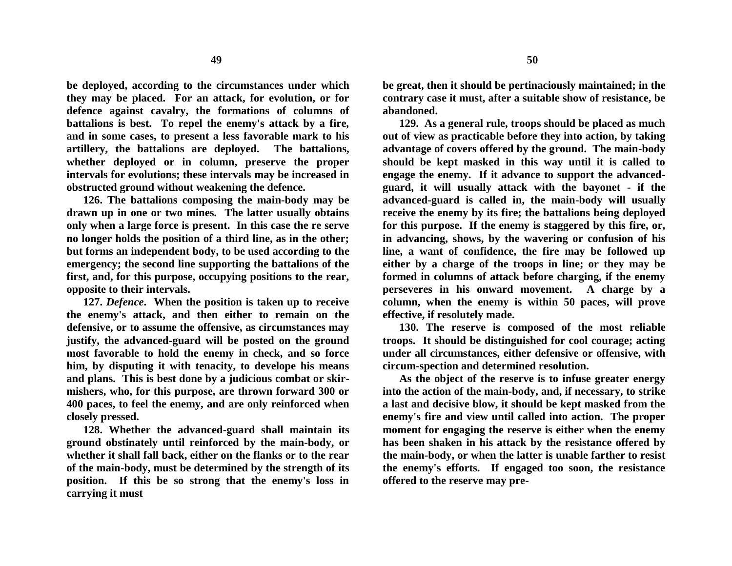**be deployed, according to the circumstances under which they may be placed. For an attack, for evolution, or for defence against cavalry, the formations of columns of battalions is best. To repel the enemy's attack by a fire, and in some cases, to present a less favorable mark to his artillery, the battalions are deployed. The battalions, whether deployed or in column, preserve the proper intervals for evolutions; these intervals may be increased in obstructed ground without weakening the defence.**

**126. The battalions composing the main-body may be drawn up in one or two mines. The latter usually obtains only when a large force is present. In this case the re serve no longer holds the position of a third line, as in the other; but forms an independent body, to be used according to the emergency; the second line supporting the battalions of the first, and, for this purpose, occupying positions to the rear, opposite to their intervals.**

**127.** *Defence***. When the position is taken up to receive the enemy's attack, and then either to remain on the defensive, or to assume the offensive, as circumstances may justify, the advanced-guard will be posted on the ground most favorable to hold the enemy in check, and so force him, by disputing it with tenacity, to develope his means and plans. This is best done by a judicious combat or skirmishers, who, for this purpose, are thrown forward 300 or 400 paces, to feel the enemy, and are only reinforced when closely pressed.**

**128. Whether the advanced-guard shall maintain its ground obstinately until reinforced by the main-body, or whether it shall fall back, either on the flanks or to the rear of the main-body, must be determined by the strength of its position. If this be so strong that the enemy's loss in carrying it must** 

**be great, then it should be pertinaciously maintained; in the contrary case it must, after a suitable show of resistance, be abandoned.**

**129. As a general rule, troops should be placed as much out of view as practicable before they into action, by taking advantage of covers offered by the ground. The main-body should be kept masked in this way until it is called to engage the enemy. If it advance to support the advancedguard, it will usually attack with the bayonet - if the advanced-guard is called in, the main-body will usually receive the enemy by its fire; the battalions being deployed for this purpose. If the enemy is staggered by this fire, or, in advancing, shows, by the wavering or confusion of his line, a want of confidence, the fire may be followed up either by a charge of the troops in line; or they may be formed in columns of attack before charging, if the enemy perseveres in his onward movement. A charge by a column, when the enemy is within 50 paces, will prove effective, if resolutely made.**

**130. The reserve is composed of the most reliable troops. It should be distinguished for cool courage; acting under all circumstances, either defensive or offensive, with circum-spection and determined resolution.**

**As the object of the reserve is to infuse greater energy into the action of the main-body, and, if necessary, to strike a last and decisive blow, it should be kept masked from the enemy's fire and view until called into action. The proper moment for engaging the reserve is either when the enemy has been shaken in his attack by the resistance offered by the main-body, or when the latter is unable farther to resist the enemy's efforts. If engaged too soon, the resistance offered to the reserve may pre-**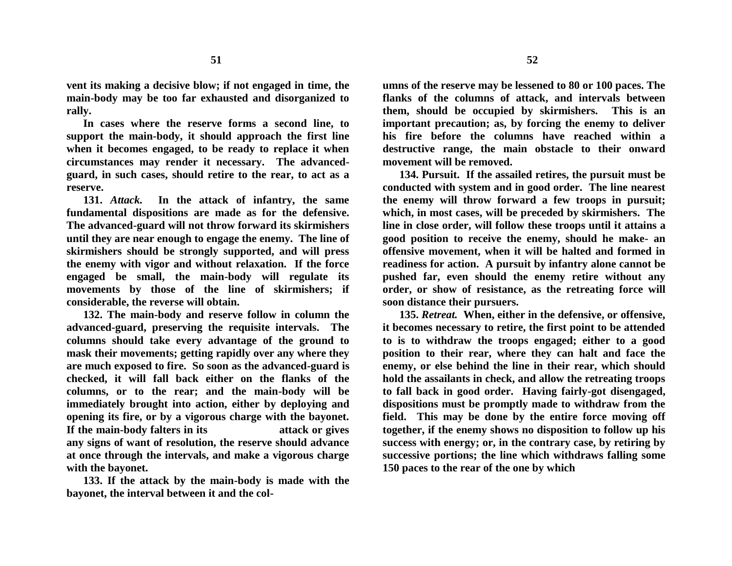**vent its making a decisive blow; if not engaged in time, the main-body may be too far exhausted and disorganized to rally.**

**In cases where the reserve forms a second line, to support the main-body, it should approach the first line when it becomes engaged, to be ready to replace it when circumstances may render it necessary. The advancedguard, in such cases, should retire to the rear, to act as a reserve.**

**131.** *Attack.* **In the attack of infantry, the same fundamental dispositions are made as for the defensive. The advanced-guard will not throw forward its skirmishers until they are near enough to engage the enemy. The line of skirmishers should be strongly supported, and will press the enemy with vigor and without relaxation. If the force engaged be small, the main-body will regulate its movements by those of the line of skirmishers; if considerable, the reverse will obtain.**

**132. The main-body and reserve follow in column the advanced-guard, preserving the requisite intervals. The columns should take every advantage of the ground to mask their movements; getting rapidly over any where they are much exposed to fire. So soon as the advanced-guard is checked, it will fall back either on the flanks of the columns, or to the rear; and the main-body will be immediately brought into action, either by deploying and opening its fire, or by a vigorous charge with the bayonet. If the main-body falters in its attack or gives any signs of want of resolution, the reserve should advance at once through the intervals, and make a vigorous charge with the bayonet.**

**133. If the attack by the main-body is made with the bayonet, the interval between it and the col-**

**umns of the reserve may be lessened to 80 or 100 paces. The flanks of the columns of attack, and intervals between them, should be occupied by skirmishers. This is an important precaution; as, by forcing the enemy to deliver his fire before the columns have reached within a destructive range, the main obstacle to their onward movement will be removed.**

**134. Pursuit. If the assailed retires, the pursuit must be conducted with system and in good order. The line nearest the enemy will throw forward a few troops in pursuit; which, in most cases, will be preceded by skirmishers. The line in close order, will follow these troops until it attains a good position to receive the enemy, should he make- an offensive movement, when it will be halted and formed in readiness for action. A pursuit by infantry alone cannot be pushed far, even should the enemy retire without any order, or show of resistance, as the retreating force will soon distance their pursuers.**

**135.** *Retreat.* **When, either in the defensive, or offensive, it becomes necessary to retire, the first point to be attended to is to withdraw the troops engaged; either to a good position to their rear, where they can halt and face the enemy, or else behind the line in their rear, which should hold the assailants in check, and allow the retreating troops to fall back in good order. Having fairly-got disengaged, dispositions must be promptly made to withdraw from the field. This may be done by the entire force moving off together, if the enemy shows no disposition to follow up his success with energy; or, in the contrary case, by retiring by successive portions; the line which withdraws falling some 150 paces to the rear of the one by which**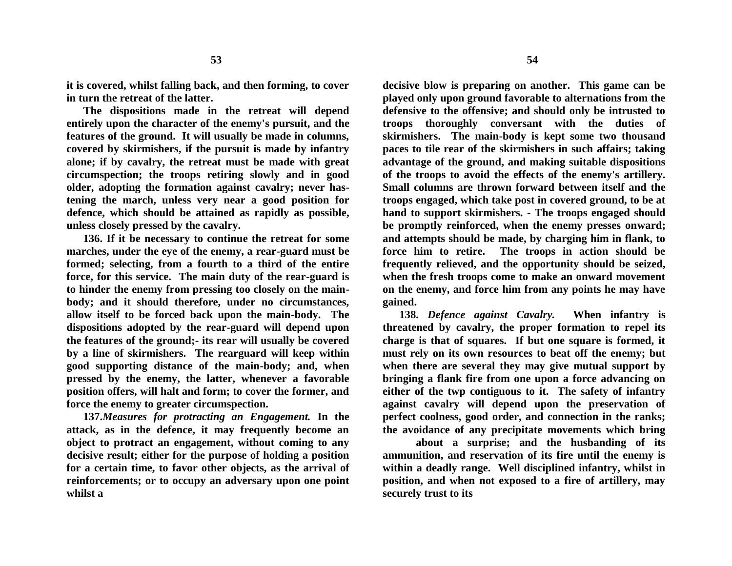**it is covered, whilst falling back, and then forming, to cover in turn the retreat of the latter.**

**The dispositions made in the retreat will depend entirely upon the character of the enemy's pursuit, and the features of the ground. It will usually be made in columns, covered by skirmishers, if the pursuit is made by infantry alone; if by cavalry, the retreat must be made with great circumspection; the troops retiring slowly and in good older, adopting the formation against cavalry; never hastening the march, unless very near a good position for defence, which should be attained as rapidly as possible, unless closely pressed by the cavalry.**

**136. If it be necessary to continue the retreat for some marches, under the eye of the enemy, a rear-guard must be formed; selecting, from a fourth to a third of the entire force, for this service. The main duty of the rear-guard is to hinder the enemy from pressing too closely on the mainbody; and it should therefore, under no circumstances, allow itself to be forced back upon the main-body. The dispositions adopted by the rear-guard will depend upon the features of the ground;- its rear will usually be covered by a line of skirmishers. The rearguard will keep within good supporting distance of the main-body; and, when pressed by the enemy, the latter, whenever a favorable position offers, will halt and form; to cover the former, and force the enemy to greater circumspection.**

**137.***Measures for protracting an Engagement.* **In the attack, as in the defence, it may frequently become an object to protract an engagement, without coming to any decisive result; either for the purpose of holding a position for a certain time, to favor other objects, as the arrival of reinforcements; or to occupy an adversary upon one point whilst a** 

**decisive blow is preparing on another. This game can be played only upon ground favorable to alternations from the defensive to the offensive; and should only be intrusted to troops thoroughly conversant with the duties of skirmishers. The main-body is kept some two thousand paces to tile rear of the skirmishers in such affairs; taking advantage of the ground, and making suitable dispositions of the troops to avoid the effects of the enemy's artillery. Small columns are thrown forward between itself and the troops engaged, which take post in covered ground, to be at hand to support skirmishers. - The troops engaged should be promptly reinforced, when the enemy presses onward; and attempts should be made, by charging him in flank, to force him to retire. The troops in action should be frequently relieved, and the opportunity should be seized, when the fresh troops come to make an onward movement on the enemy, and force him from any points he may have gained.** 

**138.** *Defence against Cavalry.* **When infantry is threatened by cavalry, the proper formation to repel its charge is that of squares. If but one square is formed, it must rely on its own resources to beat off the enemy; but when there are several they may give mutual support by bringing a flank fire from one upon a force advancing on either of the twp contiguous to it. The safety of infantry against cavalry will depend upon the preservation of perfect coolness, good order, and connection in the ranks; the avoidance of any precipitate movements which bring**

**about a surprise; and the husbanding of its ammunition, and reservation of its fire until the enemy is within a deadly range. Well disciplined infantry, whilst in position, and when not exposed to a fire of artillery, may securely trust to its**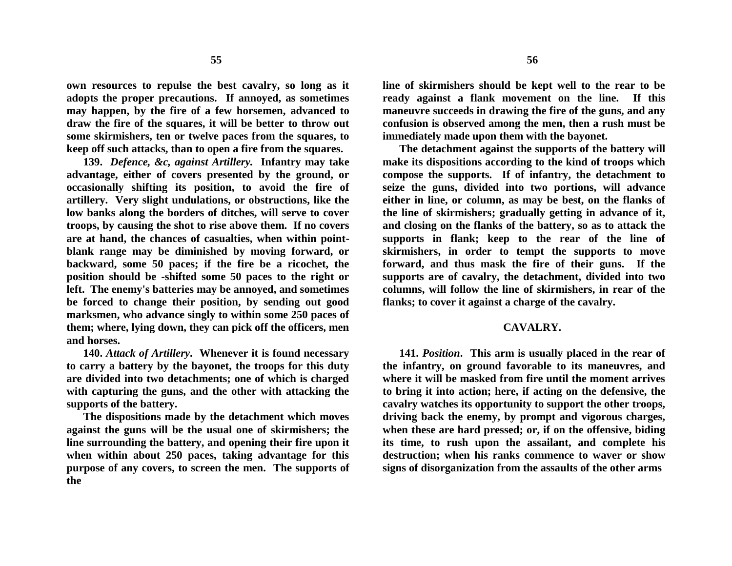**own resources to repulse the best cavalry, so long as it adopts the proper precautions. If annoyed, as sometimes may happen, by the fire of a few horsemen, advanced to draw the fire of the squares, it will be better to throw out some skirmishers, ten or twelve paces from the squares, to keep off such attacks, than to open a fire from the squares.**

**139.** *Defence, &c, against Artillery.* **Infantry may take advantage, either of covers presented by the ground, or occasionally shifting its position, to avoid the fire of artillery. Very slight undulations, or obstructions, like the low banks along the borders of ditches, will serve to cover troops, by causing the shot to rise above them. If no covers are at hand, the chances of casualties, when within pointblank range may be diminished by moving forward, or backward, some 50 paces; if the fire be a ricochet, the position should be -shifted some 50 paces to the right or left. The enemy's batteries may be annoyed, and sometimes be forced to change their position, by sending out good marksmen, who advance singly to within some 250 paces of them; where, lying down, they can pick off the officers, men and horses.**

**140.** *Attack of Artillery***. Whenever it is found necessary to carry a battery by the bayonet, the troops for this duty are divided into two detachments; one of which is charged with capturing the guns, and the other with attacking the supports of the battery.**

**The dispositions made by the detachment which moves against the guns will be the usual one of skirmishers; the line surrounding the battery, and opening their fire upon it when within about 250 paces, taking advantage for this purpose of any covers, to screen the men. The supports of the**

**line of skirmishers should be kept well to the rear to be ready against a flank movement on the line. If this maneuvre succeeds in drawing the fire of the guns, and any confusion is observed among the men, then a rush must be immediately made upon them with the bayonet.**

**The detachment against the supports of the battery will make its dispositions according to the kind of troops which compose the supports. If of infantry, the detachment to seize the guns, divided into two portions, will advance either in line, or column, as may be best, on the flanks of the line of skirmishers; gradually getting in advance of it, and closing on the flanks of the battery, so as to attack the supports in flank; keep to the rear of the line of skirmishers, in order to tempt the supports to move forward, and thus mask the fire of their guns. If the supports are of cavalry, the detachment, divided into two columns, will follow the line of skirmishers, in rear of the flanks; to cover it against a charge of the cavalry.**

#### **CAVALRY.**

**141.** *Position***. This arm is usually placed in the rear of the infantry, on ground favorable to its maneuvres, and where it will be masked from fire until the moment arrives to bring it into action; here, if acting on the defensive, the cavalry watches its opportunity to support the other troops, driving back the enemy, by prompt and vigorous charges, when these are hard pressed; or, if on the offensive, biding its time, to rush upon the assailant, and complete his destruction; when his ranks commence to waver or show signs of disorganization from the assaults of the other arms**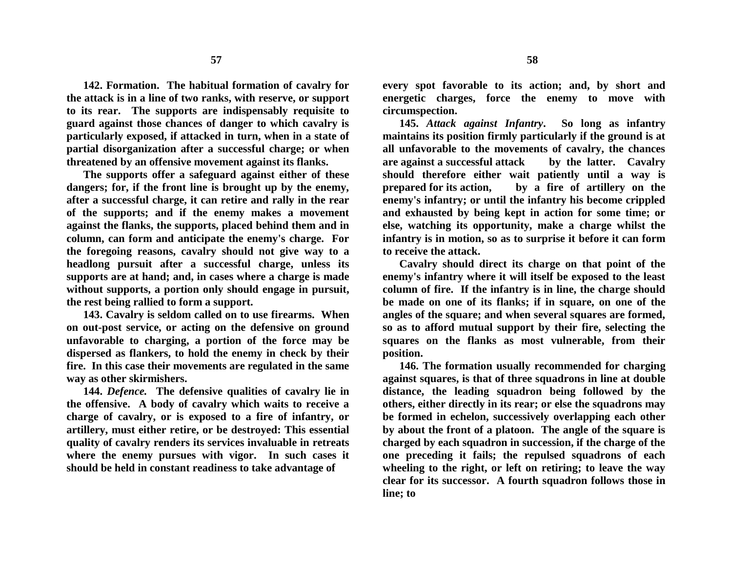**142. Formation. The habitual formation of cavalry for the attack is in a line of two ranks, with reserve, or support to its rear. The supports are indispensably requisite to guard against those chances of danger to which cavalry is particularly exposed, if attacked in turn, when in a state of partial disorganization after a successful charge; or when threatened by an offensive movement against its flanks.**

**The supports offer a safeguard against either of these dangers; for, if the front line is brought up by the enemy, after a successful charge, it can retire and rally in the rear of the supports; and if the enemy makes a movement against the flanks, the supports, placed behind them and in column, can form and anticipate the enemy's charge. For the foregoing reasons, cavalry should not give way to a headlong pursuit after a successful charge, unless its supports are at hand; and, in cases where a charge is made without supports, a portion only should engage in pursuit, the rest being rallied to form a support.**

**143. Cavalry is seldom called on to use firearms. When on out-post service, or acting on the defensive on ground unfavorable to charging, a portion of the force may be dispersed as flankers, to hold the enemy in check by their fire. In this case their movements are regulated in the same way as other skirmishers.**

**144.** *Defence.* **The defensive qualities of cavalry lie in the offensive. A body of cavalry which waits to receive a charge of cavalry, or is exposed to a fire of infantry, or artillery, must either retire, or be destroyed: This essential quality of cavalry renders its services invaluable in retreats where the enemy pursues with vigor. In such cases it should be held in constant readiness to take advantage of**

**every spot favorable to its action; and, by short and energetic charges, force the enemy to move with circumspection.**

**145.** *Attack against Infantry***. So long as infantry maintains its position firmly particularly if the ground is at all unfavorable to the movements of cavalry, the chances are against a successful attack by the latter. Cavalry should therefore either wait patiently until a way is prepared for its action, by a fire of artillery on the enemy's infantry; or until the infantry his become crippled and exhausted by being kept in action for some time; or else, watching its opportunity, make a charge whilst the infantry is in motion, so as to surprise it before it can form to receive the attack.**

**Cavalry should direct its charge on that point of the enemy's infantry where it will itself be exposed to the least column of fire. If the infantry is in line, the charge should be made on one of its flanks; if in square, on one of the angles of the square; and when several squares are formed, so as to afford mutual support by their fire, selecting the squares on the flanks as most vulnerable, from their position.**

**146. The formation usually recommended for charging against squares, is that of three squadrons in line at double distance, the leading squadron being followed by the others, either directly in its rear; or else the squadrons may be formed in echelon, successively overlapping each other by about the front of a platoon. The angle of the square is charged by each squadron in succession, if the charge of the one preceding it fails; the repulsed squadrons of each wheeling to the right, or left on retiring; to leave the way clear for its successor. A fourth squadron follows those in line; to**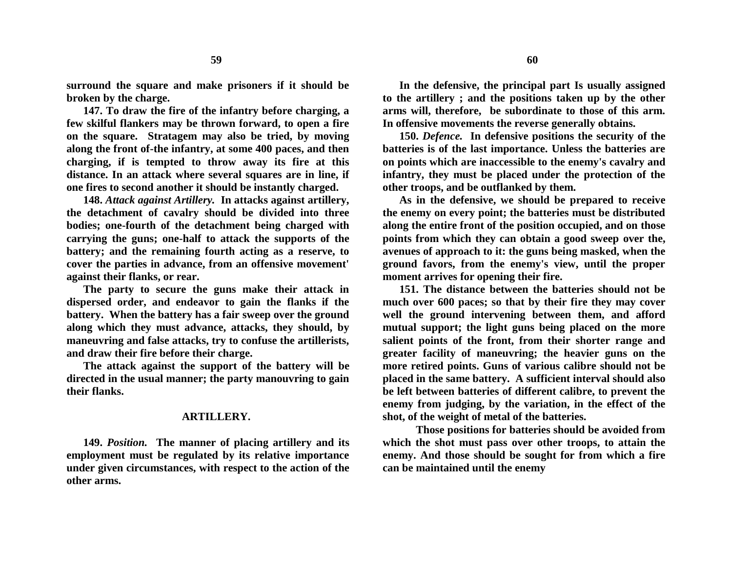**surround the square and make prisoners if it should be broken by the charge.**

**147. To draw the fire of the infantry before charging, a few skilful flankers may be thrown forward, to open a fire on the square. Stratagem may also be tried, by moving along the front of-the infantry, at some 400 paces, and then charging, if is tempted to throw away its fire at this distance. In an attack where several squares are in line, if one fires to second another it should be instantly charged.**

**148.** *Attack against Artillery.* **In attacks against artillery, the detachment of cavalry should be divided into three bodies; one-fourth of the detachment being charged with carrying the guns; one-half to attack the supports of the battery; and the remaining fourth acting as a reserve, to cover the parties in advance, from an offensive movement' against their flanks, or rear.**

**The party to secure the guns make their attack in dispersed order, and endeavor to gain the flanks if the battery. When the battery has a fair sweep over the ground along which they must advance, attacks, they should, by maneuvring and false attacks, try to confuse the artillerists, and draw their fire before their charge.**

**The attack against the support of the battery will be directed in the usual manner; the party manouvring to gain their flanks.**

### **ARTILLERY.**

**149.** *Position.* **The manner of placing artillery and its employment must be regulated by its relative importance under given circumstances, with respect to the action of the other arms.**

**In the defensive, the principal part Is usually assigned to the artillery ; and the positions taken up by the other arms will, therefore, be subordinate to those of this arm. In offensive movements the reverse generally obtains.**

**150.** *Defence.* **In defensive positions the security of the batteries is of the last importance. Unless the batteries are on points which are inaccessible to the enemy's cavalry and infantry, they must be placed under the protection of the other troops, and be outflanked by them.**

**As in the defensive, we should be prepared to receive the enemy on every point; the batteries must be distributed along the entire front of the position occupied, and on those points from which they can obtain a good sweep over the, avenues of approach to it: the guns being masked, when the ground favors, from the enemy's view, until the proper moment arrives for opening their fire.**

**151. The distance between the batteries should not be much over 600 paces; so that by their fire they may cover well the ground intervening between them, and afford mutual support; the light guns being placed on the more salient points of the front, from their shorter range and greater facility of maneuvring; the heavier guns on the more retired points. Guns of various calibre should not be placed in the same battery. A sufficient interval should also be left between batteries of different calibre, to prevent the enemy from judging, by the variation, in the effect of the shot, of the weight of metal of the batteries.**

**Those positions for batteries should be avoided from which the shot must pass over other troops, to attain the enemy. And those should be sought for from which a fire can be maintained until the enemy**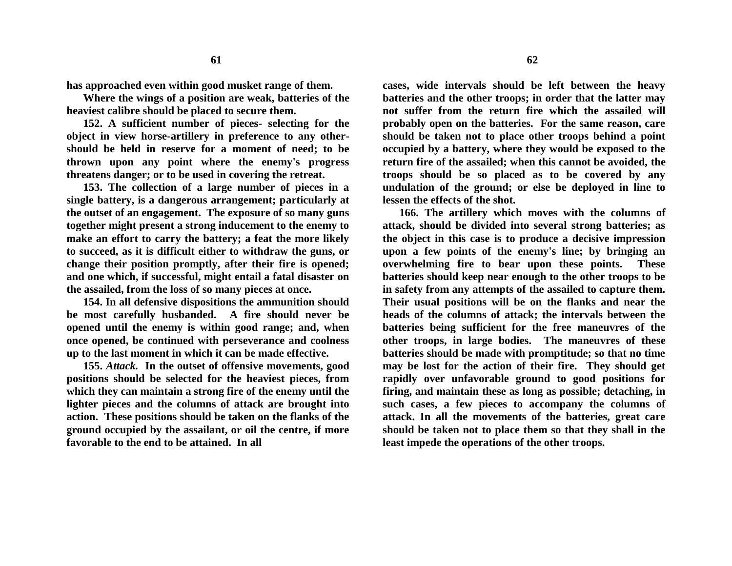**has approached even within good musket range of them.**

**Where the wings of a position are weak, batteries of the heaviest calibre should be placed to secure them.**

**152. A sufficient number of pieces- selecting for the object in view horse-artillery in preference to any othershould be held in reserve for a moment of need; to be thrown upon any point where the enemy's progress threatens danger; or to be used in covering the retreat.**

**153. The collection of a large number of pieces in a single battery, is a dangerous arrangement; particularly at the outset of an engagement. The exposure of so many guns together might present a strong inducement to the enemy to make an effort to carry the battery; a feat the more likely to succeed, as it is difficult either to withdraw the guns, or change their position promptly, after their fire is opened; and one which, if successful, might entail a fatal disaster on the assailed, from the loss of so many pieces at once.**

**154. In all defensive dispositions the ammunition should be most carefully husbanded. A fire should never be opened until the enemy is within good range; and, when once opened, be continued with perseverance and coolness up to the last moment in which it can be made effective.**

**155.** *Attack.* **In the outset of offensive movements, good positions should be selected for the heaviest pieces, from which they can maintain a strong fire of the enemy until the lighter pieces and the columns of attack are brought into action. These positions should be taken on the flanks of the ground occupied by the assailant, or oil the centre, if more favorable to the end to be attained. In all** 

**cases, wide intervals should be left between the heavy batteries and the other troops; in order that the latter may not suffer from the return fire which the assailed will probably open on the batteries. For the same reason, care should be taken not to place other troops behind a point occupied by a battery, where they would be exposed to the return fire of the assailed; when this cannot be avoided, the troops should be so placed as to be covered by any undulation of the ground; or else be deployed in line to lessen the effects of the shot.**

**166. The artillery which moves with the columns of attack, should be divided into several strong batteries; as the object in this case is to produce a decisive impression upon a few points of the enemy's line; by bringing an overwhelming fire to bear upon these points. These batteries should keep near enough to the other troops to be in safety from any attempts of the assailed to capture them. Their usual positions will be on the flanks and near the heads of the columns of attack; the intervals between the batteries being sufficient for the free maneuvres of the other troops, in large bodies. The maneuvres of these batteries should be made with promptitude; so that no time may be lost for the action of their fire. They should get rapidly over unfavorable ground to good positions for firing, and maintain these as long as possible; detaching, in such cases, a few pieces to accompany the columns of attack. In all the movements of the batteries, great care should be taken not to place them so that they shall in the least impede the operations of the other troops.**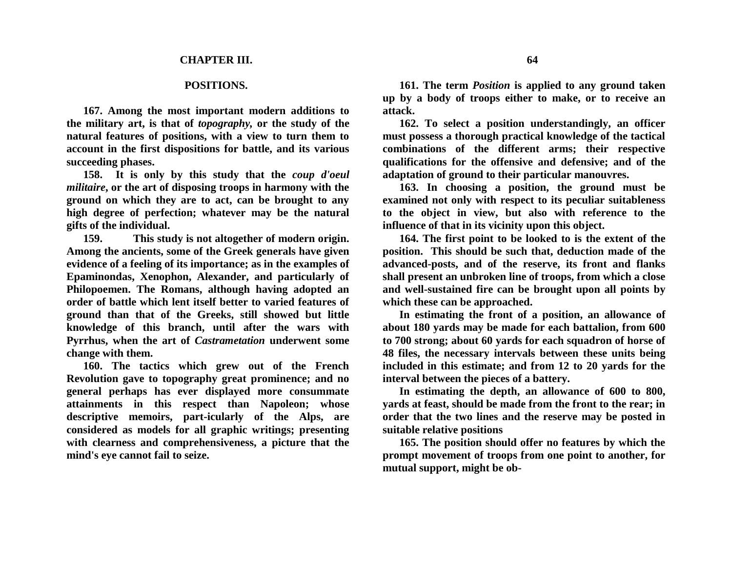### **POSITIONS.**

**167. Among the most important modern additions to the military art, is that of** *topography,* **or the study of the natural features of positions, with a view to turn them to account in the first dispositions for battle, and its various succeeding phases.**

**158. It is only by this study that the** *coup d'oeul militaire***, or the art of disposing troops in harmony with the ground on which they are to act, can be brought to any high degree of perfection; whatever may be the natural gifts of the individual.**

**159. This study is not altogether of modern origin. Among the ancients, some of the Greek generals have given evidence of a feeling of its importance; as in the examples of Epaminondas, Xenophon, Alexander, and particularly of Philopoemen. The Romans, although having adopted an order of battle which lent itself better to varied features of ground than that of the Greeks, still showed but little knowledge of this branch, until after the wars with Pyrrhus, when the art of** *Castrametation* **underwent some change with them.**

**160. The tactics which grew out of the French Revolution gave to topography great prominence; and no general perhaps has ever displayed more consummate attainments in this respect than Napoleon; whose descriptive memoirs, part-icularly of the Alps, are considered as models for all graphic writings; presenting with clearness and comprehensiveness, a picture that the mind's eye cannot fail to seize.**

**161. The term** *Position* **is applied to any ground taken up by a body of troops either to make, or to receive an attack.**

**162. To select a position understandingly, an officer must possess a thorough practical knowledge of the tactical combinations of the different arms; their respective qualifications for the offensive and defensive; and of the adaptation of ground to their particular manouvres.**

**163. In choosing a position, the ground must be examined not only with respect to its peculiar suitableness to the object in view, but also with reference to the influence of that in its vicinity upon this object.**

**164. The first point to be looked to is the extent of the position. This should be such that, deduction made of the advanced-posts, and of the reserve, its front and flanks shall present an unbroken line of troops, from which a close and well-sustained fire can be brought upon all points by which these can be approached.**

**In estimating the front of a position, an allowance of about 180 yards may be made for each battalion, from 600 to 700 strong; about 60 yards for each squadron of horse of 48 files, the necessary intervals between these units being included in this estimate; and from 12 to 20 yards for the interval between the pieces of a battery.**

**In estimating the depth, an allowance of 600 to 800, yards at feast, should be made from the front to the rear; in order that the two lines and the reserve may be posted in suitable relative positions**

**165. The position should offer no features by which the prompt movement of troops from one point to another, for mutual support, might be ob-**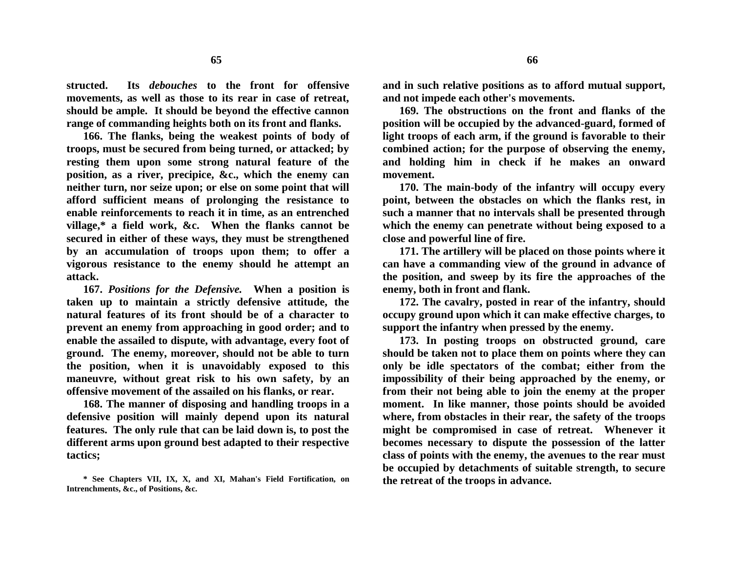**structed. Its** *debouches* **to the front for offensive movements, as well as those to its rear in case of retreat, should be ample. It should be beyond the effective cannon range of commanding heights both on its front and flanks.**

**166. The flanks, being the weakest points of body of troops, must be secured from being turned, or attacked; by resting them upon some strong natural feature of the position, as a river, precipice, &c., which the enemy can neither turn, nor seize upon; or else on some point that will afford sufficient means of prolonging the resistance to enable reinforcements to reach it in time, as an entrenched village,\* a field work, &c. When the flanks cannot be secured in either of these ways, they must be strengthened by an accumulation of troops upon them; to offer a vigorous resistance to the enemy should he attempt an attack.**

**167.** *Positions for the Defensive.* **When a position is taken up to maintain a strictly defensive attitude, the natural features of its front should be of a character to prevent an enemy from approaching in good order; and to enable the assailed to dispute, with advantage, every foot of ground. The enemy, moreover, should not be able to turn the position, when it is unavoidably exposed to this maneuvre, without great risk to his own safety, by an offensive movement of the assailed on his flanks, or rear.**

**168. The manner of disposing and handling troops in a defensive position will mainly depend upon its natural features. The only rule that can be laid down is, to post the different arms upon ground best adapted to their respective tactics;**

**and in such relative positions as to afford mutual support, and not impede each other's movements.**

**169. The obstructions on the front and flanks of the position will be occupied by the advanced-guard, formed of light troops of each arm, if the ground is favorable to their combined action; for the purpose of observing the enemy, and holding him in check if he makes an onward movement.**

**170. The main-body of the infantry will occupy every point, between the obstacles on which the flanks rest, in such a manner that no intervals shall be presented through which the enemy can penetrate without being exposed to a close and powerful line of fire.**

**171. The artillery will be placed on those points where it can have a commanding view of the ground in advance of the position, and sweep by its fire the approaches of the enemy, both in front and flank.** 

**172. The cavalry, posted in rear of the infantry, should occupy ground upon which it can make effective charges, to support the infantry when pressed by the enemy.**

**173. In posting troops on obstructed ground, care should be taken not to place them on points where they can only be idle spectators of the combat; either from the impossibility of their being approached by the enemy, or from their not being able to join the enemy at the proper moment. In like manner, those points should be avoided where, from obstacles in their rear, the safety of the troops might be compromised in case of retreat. Whenever it becomes necessary to dispute the possession of the latter class of points with the enemy, the avenues to the rear must be occupied by detachments of suitable strength, to secure the retreat of the troops in advance.**

**<sup>\*</sup> See Chapters VII, IX, X, and XI, Mahan's Field Fortification, on Intrenchments, &c., of Positions, &c.**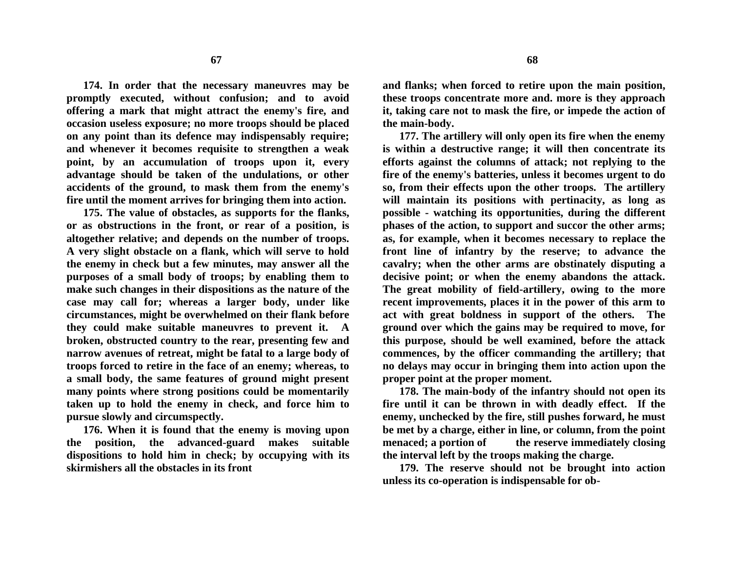**174. In order that the necessary maneuvres may be promptly executed, without confusion; and to avoid offering a mark that might attract the enemy's fire, and occasion useless exposure; no more troops should be placed on any point than its defence may indispensably require; and whenever it becomes requisite to strengthen a weak point, by an accumulation of troops upon it, every advantage should be taken of the undulations, or other accidents of the ground, to mask them from the enemy's fire until the moment arrives for bringing them into action.**

**175. The value of obstacles, as supports for the flanks, or as obstructions in the front, or rear of a position, is altogether relative; and depends on the number of troops. A very slight obstacle on a flank, which will serve to hold the enemy in check but a few minutes, may answer all the purposes of a small body of troops; by enabling them to make such changes in their dispositions as the nature of the case may call for; whereas a larger body, under like circumstances, might be overwhelmed on their flank before they could make suitable maneuvres to prevent it. A broken, obstructed country to the rear, presenting few and narrow avenues of retreat, might be fatal to a large body of troops forced to retire in the face of an enemy; whereas, to a small body, the same features of ground might present many points where strong positions could be momentarily taken up to hold the enemy in check, and force him to pursue slowly and circumspectly.**

**176. When it is found that the enemy is moving upon the position, the advanced-guard makes suitable dispositions to hold him in check; by occupying with its skirmishers all the obstacles in its front**

**and flanks; when forced to retire upon the main position, these troops concentrate more and. more is they approach it, taking care not to mask the fire, or impede the action of the main-body.**

**177. The artillery will only open its fire when the enemy is within a destructive range; it will then concentrate its efforts against the columns of attack; not replying to the fire of the enemy's batteries, unless it becomes urgent to do so, from their effects upon the other troops. The artillery will maintain its positions with pertinacity, as long as possible - watching its opportunities, during the different phases of the action, to support and succor the other arms; as, for example, when it becomes necessary to replace the front line of infantry by the reserve; to advance the cavalry; when the other arms are obstinately disputing a decisive point; or when the enemy abandons the attack. The great mobility of field-artillery, owing to the more recent improvements, places it in the power of this arm to act with great boldness in support of the others. The ground over which the gains may be required to move, for this purpose, should be well examined, before the attack commences, by the officer commanding the artillery; that no delays may occur in bringing them into action upon the proper point at the proper moment.**

**178. The main-body of the infantry should not open its fire until it can be thrown in with deadly effect. If the enemy, unchecked by the fire, still pushes forward, he must be met by a charge, either in line, or column, from the point menaced; a portion of the reserve immediately closing the interval left by the troops making the charge.**

**179. The reserve should not be brought into action unless its co-operation is indispensable for ob-**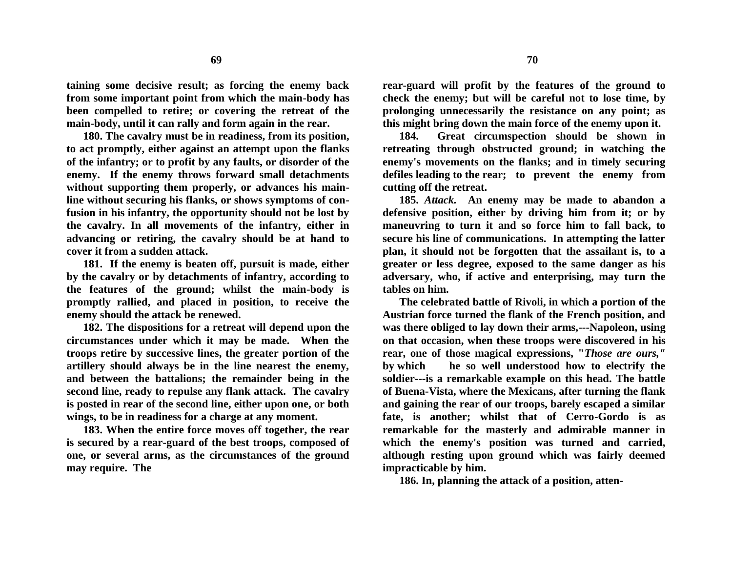**taining some decisive result; as forcing the enemy back from some important point from which the main-body has been compelled to retire; or covering the retreat of the main-body, until it can rally and form again in the rear.**

**180. The cavalry must be in readiness, from its position, to act promptly, either against an attempt upon the flanks of the infantry; or to profit by any faults, or disorder of the enemy. If the enemy throws forward small detachments without supporting them properly, or advances his mainline without securing his flanks, or shows symptoms of confusion in his infantry, the opportunity should not be lost by the cavalry. In all movements of the infantry, either in advancing or retiring, the cavalry should be at hand to cover it from a sudden attack.** 

**181. If the enemy is beaten off, pursuit is made, either by the cavalry or by detachments of infantry, according to the features of the ground; whilst the main-body is promptly rallied, and placed in position, to receive the enemy should the attack be renewed.**

**182. The dispositions for a retreat will depend upon the circumstances under which it may be made. When the troops retire by successive lines, the greater portion of the artillery should always be in the line nearest the enemy, and between the battalions; the remainder being in the second line, ready to repulse any flank attack. The cavalry is posted in rear of the second line, either upon one, or both wings, to be in readiness for a charge at any moment.**

**183. When the entire force moves off together, the rear is secured by a rear-guard of the best troops, composed of one, or several arms, as the circumstances of the ground may require. The**

**rear-guard will profit by the features of the ground to check the enemy; but will be careful not to lose time, by prolonging unnecessarily the resistance on any point; as this might bring down the main force of the enemy upon it.**

**184. Great circumspection should be shown in retreating through obstructed ground; in watching the enemy's movements on the flanks; and in timely securing defiles leading to the rear; to prevent the enemy from cutting off the retreat.**

**185.** *Attack.* **An enemy may be made to abandon a defensive position, either by driving him from it; or by maneuvring to turn it and so force him to fall back, to secure his line of communications. In attempting the latter plan, it should not be forgotten that the assailant is, to a greater or less degree, exposed to the same danger as his adversary, who, if active and enterprising, may turn the tables on him.**

**The celebrated battle of Rivoli, in which a portion of the Austrian force turned the flank of the French position, and was there obliged to lay down their arms,---Napoleon, using on that occasion, when these troops were discovered in his rear, one of those magical expressions, "***Those are ours,"* **by which he so well understood how to electrify the soldier---is a remarkable example on this head. The battle of Buena-Vista, where the Mexicans, after turning the flank and gaining the rear of our troops, barely escaped a similar fate, is another; whilst that of Cerro-Gordo is as remarkable for the masterly and admirable manner in which the enemy's position was turned and carried, although resting upon ground which was fairly deemed impracticable by him.**

**186. In, planning the attack of a position, atten-**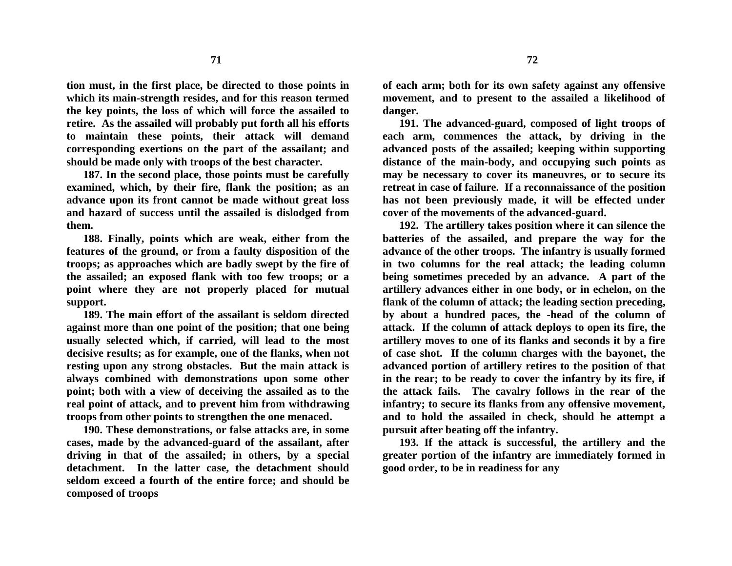**tion must, in the first place, be directed to those points in which its main-strength resides, and for this reason termed the key points, the loss of which will force the assailed to retire. As the assailed will probably put forth all his efforts to maintain these points, their attack will demand corresponding exertions on the part of the assailant; and should be made only with troops of the best character.**

**187. In the second place, those points must be carefully examined, which, by their fire, flank the position; as an advance upon its front cannot be made without great loss and hazard of success until the assailed is dislodged from them.**

**188. Finally, points which are weak, either from the features of the ground, or from a faulty disposition of the troops; as approaches which are badly swept by the fire of the assailed; an exposed flank with too few troops; or a point where they are not properly placed for mutual support.**

**189. The main effort of the assailant is seldom directed against more than one point of the position; that one being usually selected which, if carried, will lead to the most decisive results; as for example, one of the flanks, when not resting upon any strong obstacles. But the main attack is always combined with demonstrations upon some other point; both with a view of deceiving the assailed as to the real point of attack, and to prevent him from withdrawing troops from other points to strengthen the one menaced.**

**190. These demonstrations, or false attacks are, in some cases, made by the advanced-guard of the assailant, after driving in that of the assailed; in others, by a special detachment. In the latter case, the detachment should seldom exceed a fourth of the entire force; and should be composed of troops**

**of each arm; both for its own safety against any offensive movement, and to present to the assailed a likelihood of danger.**

**191. The advanced-guard, composed of light troops of each arm, commences the attack, by driving in the advanced posts of the assailed; keeping within supporting distance of the main-body, and occupying such points as may be necessary to cover its maneuvres, or to secure its retreat in case of failure. If a reconnaissance of the position has not been previously made, it will be effected under cover of the movements of the advanced-guard.**

**192. The artillery takes position where it can silence the batteries of the assailed, and prepare the way for the advance of the other troops. The infantry is usually formed in two columns for the real attack; the leading column being sometimes preceded by an advance. A part of the artillery advances either in one body, or in echelon, on the flank of the column of attack; the leading section preceding, by about a hundred paces, the -head of the column of attack. If the column of attack deploys to open its fire, the artillery moves to one of its flanks and seconds it by a fire of case shot. If the column charges with the bayonet, the advanced portion of artillery retires to the position of that in the rear; to be ready to cover the infantry by its fire, if the attack fails. The cavalry follows in the rear of the infantry; to secure its flanks from any offensive movement, and to hold the assailed in check, should he attempt a pursuit after beating off the infantry.**

**193. If the attack is successful, the artillery and the greater portion of the infantry are immediately formed in good order, to be in readiness for any**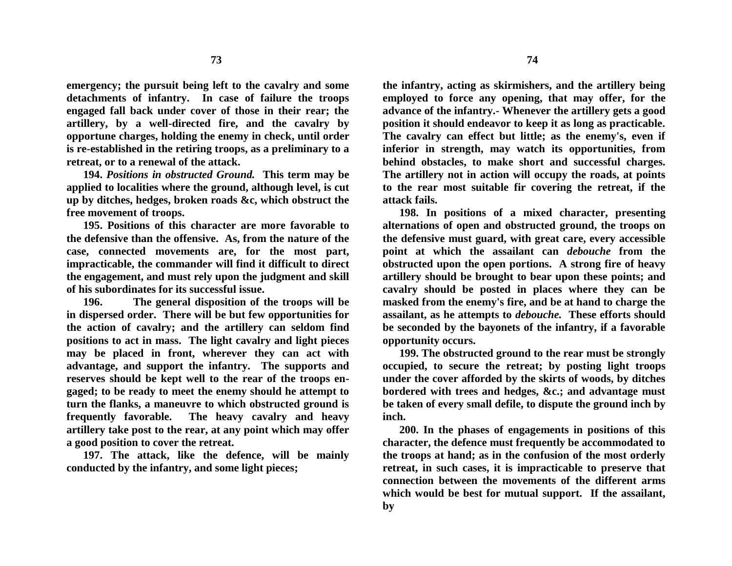**73**

**emergency; the pursuit being left to the cavalry and some detachments of infantry. In case of failure the troops engaged fall back under cover of those in their rear; the artillery, by a well-directed fire, and the cavalry by opportune charges, holding the enemy in check, until order is re-established in the retiring troops, as a preliminary to a retreat, or to a renewal of the attack.**

**194.** *Positions in obstructed Ground.* **This term may be applied to localities where the ground, although level, is cut up by ditches, hedges, broken roads &c, which obstruct the free movement of troops.**

**195. Positions of this character are more favorable to the defensive than the offensive. As, from the nature of the case, connected movements are, for the most part, impracticable, the commander will find it difficult to direct the engagement, and must rely upon the judgment and skill of his subordinates for its successful issue.**

**196. The general disposition of the troops will be in dispersed order. There will be but few opportunities for the action of cavalry; and the artillery can seldom find positions to act in mass. The light cavalry and light pieces may be placed in front, wherever they can act with advantage, and support the infantry. The supports and reserves should be kept well to the rear of the troops engaged; to be ready to meet the enemy should he attempt to turn the flanks, a maneuvre to which obstructed ground is frequently favorable. The heavy cavalry and heavy artillery take post to the rear, at any point which may offer a good position to cover the retreat.**

**197. The attack, like the defence, will be mainly conducted by the infantry, and some light pieces;** 

**the infantry, acting as skirmishers, and the artillery being employed to force any opening, that may offer, for the advance of the infantry.- Whenever the artillery gets a good position it should endeavor to keep it as long as practicable. The cavalry can effect but little; as the enemy's, even if inferior in strength, may watch its opportunities, from behind obstacles, to make short and successful charges. The artillery not in action will occupy the roads, at points to the rear most suitable fir covering the retreat, if the attack fails.**

**198. In positions of a mixed character, presenting alternations of open and obstructed ground, the troops on the defensive must guard, with great care, every accessible point at which the assailant can** *debouche* **from the obstructed upon the open portions. A strong fire of heavy artillery should be brought to bear upon these points; and cavalry should be posted in places where they can be masked from the enemy's fire, and be at hand to charge the assailant, as he attempts to** *debouche.* **These efforts should be seconded by the bayonets of the infantry, if a favorable opportunity occurs.**

**199. The obstructed ground to the rear must be strongly occupied, to secure the retreat; by posting light troops under the cover afforded by the skirts of woods, by ditches bordered with trees and hedges, &c.; and advantage must be taken of every small defile, to dispute the ground inch by inch.**

**200. In the phases of engagements in positions of this character, the defence must frequently be accommodated to the troops at hand; as in the confusion of the most orderly retreat, in such cases, it is impracticable to preserve that connection between the movements of the different arms which would be best for mutual support. If the assailant, by**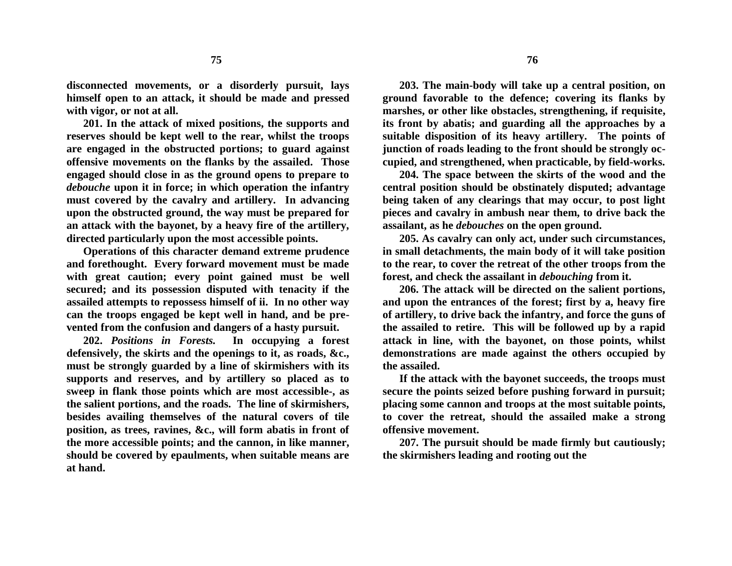**disconnected movements, or a disorderly pursuit, lays himself open to an attack, it should be made and pressed with vigor, or not at all.**

**201. In the attack of mixed positions, the supports and reserves should be kept well to the rear, whilst the troops are engaged in the obstructed portions; to guard against offensive movements on the flanks by the assailed. Those engaged should close in as the ground opens to prepare to**  *debouche* **upon it in force; in which operation the infantry must covered by the cavalry and artillery. In advancing upon the obstructed ground, the way must be prepared for an attack with the bayonet, by a heavy fire of the artillery, directed particularly upon the most accessible points.**

**Operations of this character demand extreme prudence and forethought. Every forward movement must be made with great caution; every point gained must be well secured; and its possession disputed with tenacity if the assailed attempts to repossess himself of ii. In no other way can the troops engaged be kept well in hand, and be prevented from the confusion and dangers of a hasty pursuit.**

**202.** *Positions in Forests.* **In occupying a forest defensively, the skirts and the openings to it, as roads, &c., must be strongly guarded by a line of skirmishers with its supports and reserves, and by artillery so placed as to sweep in flank those points which are most accessible-, as the salient portions, and the roads. The line of skirmishers, besides availing themselves of the natural covers of tile position, as trees, ravines, &c., will form abatis in front of the more accessible points; and the cannon, in like manner, should be covered by epaulments, when suitable means are at hand.**

**203. The main-body will take up a central position, on ground favorable to the defence; covering its flanks by marshes, or other like obstacles, strengthening, if requisite, its front by abatis; and guarding all the approaches by a suitable disposition of its heavy artillery. The points of junction of roads leading to the front should be strongly occupied, and strengthened, when practicable, by field-works.**

**204. The space between the skirts of the wood and the central position should be obstinately disputed; advantage being taken of any clearings that may occur, to post light pieces and cavalry in ambush near them, to drive back the assailant, as he** *debouches* **on the open ground.**

**205. As cavalry can only act, under such circumstances, in small detachments, the main body of it will take position to the rear, to cover the retreat of the other troops from the forest, and check the assailant in** *debouching* **from it.**

**206. The attack will be directed on the salient portions, and upon the entrances of the forest; first by a, heavy fire of artillery, to drive back the infantry, and force the guns of the assailed to retire. This will be followed up by a rapid attack in line, with the bayonet, on those points, whilst demonstrations are made against the others occupied by the assailed.**

**If the attack with the bayonet succeeds, the troops must secure the points seized before pushing forward in pursuit; placing some cannon and troops at the most suitable points, to cover the retreat, should the assailed make a strong offensive movement.**

**207. The pursuit should be made firmly but cautiously; the skirmishers leading and rooting out the**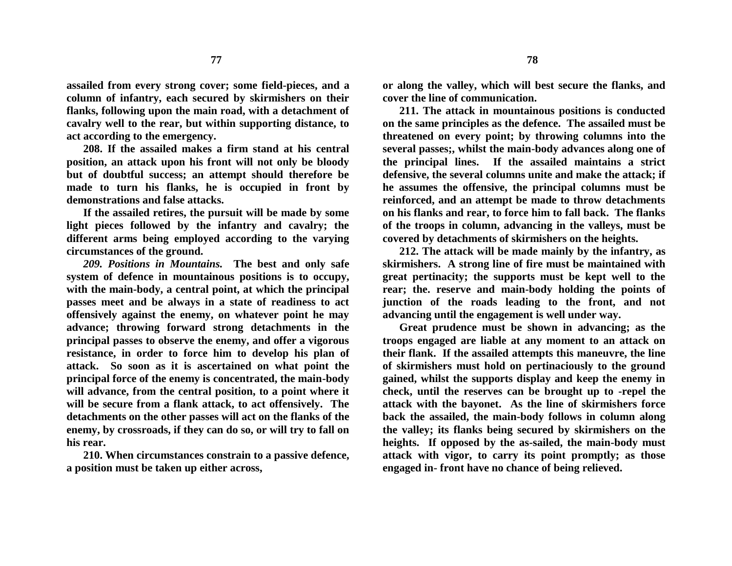**assailed from every strong cover; some field-pieces, and a column of infantry, each secured by skirmishers on their flanks, following upon the main road, with a detachment of cavalry well to the rear, but within supporting distance, to act according to the emergency.**

**208. If the assailed makes a firm stand at his central position, an attack upon his front will not only be bloody but of doubtful success; an attempt should therefore be made to turn his flanks, he is occupied in front by demonstrations and false attacks.**

**If the assailed retires, the pursuit will be made by some light pieces followed by the infantry and cavalry; the different arms being employed according to the varying circumstances of the ground.**

*209. Positions in Mountains.* **The best and only safe system of defence in mountainous positions is to occupy, with the main-body, a central point, at which the principal passes meet and be always in a state of readiness to act offensively against the enemy, on whatever point he may advance; throwing forward strong detachments in the principal passes to observe the enemy, and offer a vigorous resistance, in order to force him to develop his plan of attack. So soon as it is ascertained on what point the principal force of the enemy is concentrated, the main-body will advance, from the central position, to a point where it will be secure from a flank attack, to act offensively. The detachments on the other passes will act on the flanks of the enemy, by crossroads, if they can do so, or will try to fall on his rear.**

**210. When circumstances constrain to a passive defence, a position must be taken up either across,** 

**or along the valley, which will best secure the flanks, and cover the line of communication.**

**211. The attack in mountainous positions is conducted on the same principles as the defence. The assailed must be threatened on every point; by throwing columns into the several passes;, whilst the main-body advances along one of the principal lines. If the assailed maintains a strict defensive, the several columns unite and make the attack; if he assumes the offensive, the principal columns must be reinforced, and an attempt be made to throw detachments on his flanks and rear, to force him to fall back. The flanks of the troops in column, advancing in the valleys, must be covered by detachments of skirmishers on the heights.**

**212. The attack will be made mainly by the infantry, as skirmishers. A strong line of fire must be maintained with great pertinacity; the supports must be kept well to the rear; the. reserve and main-body holding the points of junction of the roads leading to the front, and not advancing until the engagement is well under way.**

**Great prudence must be shown in advancing; as the troops engaged are liable at any moment to an attack on their flank. If the assailed attempts this maneuvre, the line of skirmishers must hold on pertinaciously to the ground gained, whilst the supports display and keep the enemy in check, until the reserves can be brought up to -repel the attack with the bayonet. As the line of skirmishers force back the assailed, the main-body follows in column along the valley; its flanks being secured by skirmishers on the heights. If opposed by the as-sailed, the main-body must attack with vigor, to carry its point promptly; as those engaged in- front have no chance of being relieved.**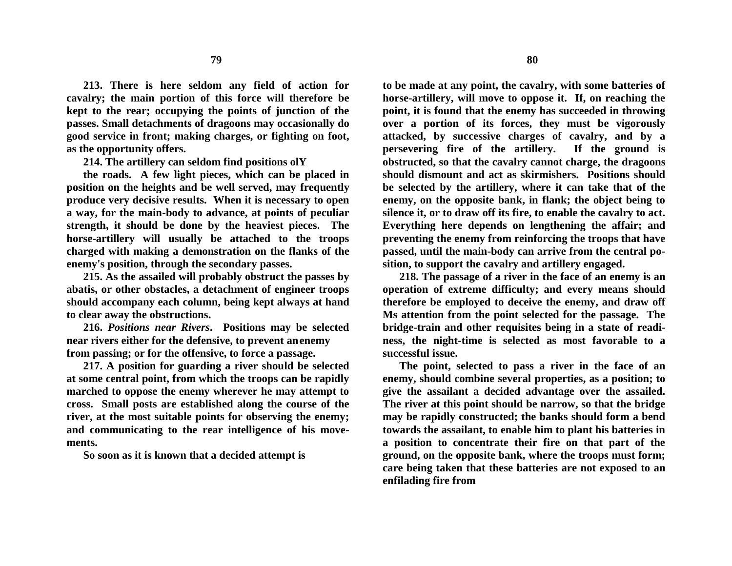**213. There is here seldom any field of action for cavalry; the main portion of this force will therefore be kept to the rear; occupying the points of junction of the passes. Small detachments of dragoons may occasionally do good service in front; making charges, or fighting on foot, as the opportunity offers.**

**214. The artillery can seldom find positions olY**

**the roads. A few light pieces, which can be placed in position on the heights and be well served, may frequently produce very decisive results. When it is necessary to open a way, for the main-body to advance, at points of peculiar strength, it should be done by the heaviest pieces. The horse-artillery will usually be attached to the troops charged with making a demonstration on the flanks of the enemy's position, through the secondary passes.**

**215. As the assailed will probably obstruct the passes by abatis, or other obstacles, a detachment of engineer troops should accompany each column, being kept always at hand to clear away the obstructions.**

**216.** *Positions near Rivers***. Positions may be selected near rivers either for the defensive, to prevent anenemy from passing; or for the offensive, to force a passage.**

**217. A position for guarding a river should be selected at some central point, from which the troops can be rapidly marched to oppose the enemy wherever he may attempt to cross. Small posts are established along the course of the river, at the most suitable points for observing the enemy; and communicating to the rear intelligence of his movements.**

**So soon as it is known that a decided attempt is**

**to be made at any point, the cavalry, with some batteries of horse-artillery, will move to oppose it. If, on reaching the point, it is found that the enemy has succeeded in throwing over a portion of its forces, they must be vigorously attacked, by successive charges of cavalry, and by a persevering fire of the artillery. If the ground is obstructed, so that the cavalry cannot charge, the dragoons should dismount and act as skirmishers. Positions should be selected by the artillery, where it can take that of the enemy, on the opposite bank, in flank; the object being to silence it, or to draw off its fire, to enable the cavalry to act. Everything here depends on lengthening the affair; and preventing the enemy from reinforcing the troops that have passed, until the main-body can arrive from the central position, to support the cavalry and artillery engaged.**

**218. The passage of a river in the face of an enemy is an operation of extreme difficulty; and every means should therefore be employed to deceive the enemy, and draw off Ms attention from the point selected for the passage. The bridge-train and other requisites being in a state of readiness, the night-time is selected as most favorable to a successful issue.**

**The point, selected to pass a river in the face of an enemy, should combine several properties, as a position; to give the assailant a decided advantage over the assailed. The river at this point should be narrow, so that the bridge may be rapidly constructed; the banks should form a bend towards the assailant, to enable him to plant his batteries in a position to concentrate their fire on that part of the ground, on the opposite bank, where the troops must form; care being taken that these batteries are not exposed to an enfilading fire from**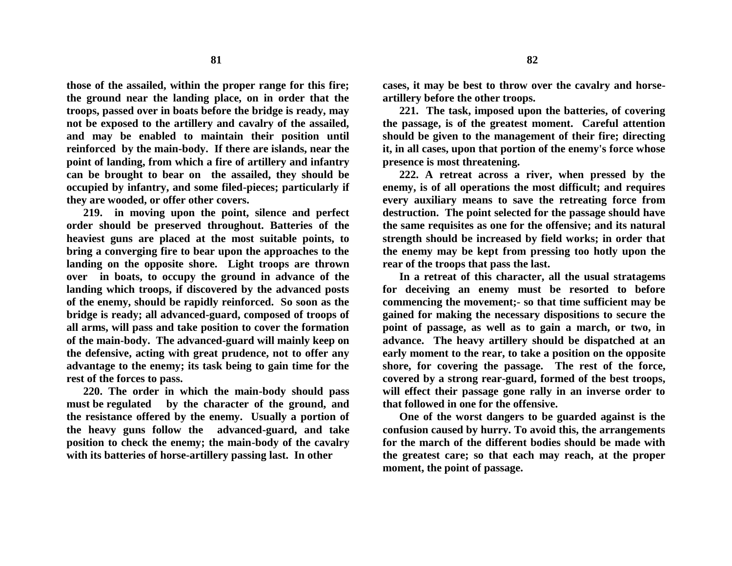**those of the assailed, within the proper range for this fire; the ground near the landing place, on in order that the troops, passed over in boats before the bridge is ready, may not be exposed to the artillery and cavalry of the assailed, and may be enabled to maintain their position until reinforced by the main-body. If there are islands, near the point of landing, from which a fire of artillery and infantry can be brought to bear on the assailed, they should be occupied by infantry, and some filed-pieces; particularly if they are wooded, or offer other covers.**

**219. in moving upon the point, silence and perfect order should be preserved throughout. Batteries of the heaviest guns are placed at the most suitable points, to bring a converging fire to bear upon the approaches to the landing on the opposite shore. Light troops are thrown over in boats, to occupy the ground in advance of the landing which troops, if discovered by the advanced posts of the enemy, should be rapidly reinforced. So soon as the bridge is ready; all advanced-guard, composed of troops of all arms, will pass and take position to cover the formation of the main-body. The advanced-guard will mainly keep on the defensive, acting with great prudence, not to offer any advantage to the enemy; its task being to gain time for the rest of the forces to pass.**

**220. The order in which the main-body should pass must be regulated by the character of the ground, and the resistance offered by the enemy. Usually a portion of the heavy guns follow the advanced-guard, and take position to check the enemy; the main-body of the cavalry with its batteries of horse-artillery passing last. In other**

**cases, it may be best to throw over the cavalry and horseartillery before the other troops.**

**221. The task, imposed upon the batteries, of covering the passage, is of the greatest moment. Careful attention should be given to the management of their fire; directing it, in all cases, upon that portion of the enemy's force whose presence is most threatening.**

**222. A retreat across a river, when pressed by the enemy, is of all operations the most difficult; and requires every auxiliary means to save the retreating force from destruction. The point selected for the passage should have the same requisites as one for the offensive; and its natural strength should be increased by field works; in order that the enemy may be kept from pressing too hotly upon the rear of the troops that pass the last.**

**In a retreat of this character, all the usual stratagems for deceiving an enemy must be resorted to before commencing the movement;- so that time sufficient may be gained for making the necessary dispositions to secure the point of passage, as well as to gain a march, or two, in advance. The heavy artillery should be dispatched at an early moment to the rear, to take a position on the opposite shore, for covering the passage. The rest of the force, covered by a strong rear-guard, formed of the best troops, will effect their passage gone rally in an inverse order to that followed in one for the offensive.**

**One of the worst dangers to be guarded against is the confusion caused by hurry. To avoid this, the arrangements for the march of the different bodies should be made with the greatest care; so that each may reach, at the proper moment, the point of passage.**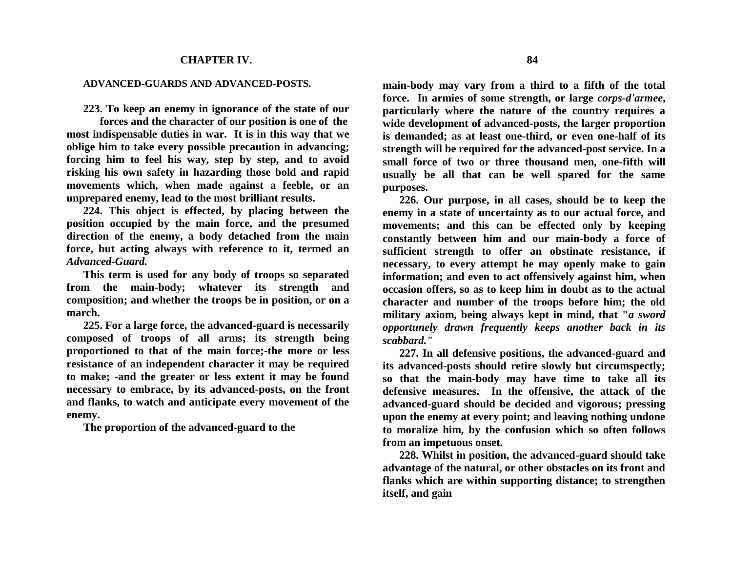## **CHAPTER IV.**

## **ADVANCED-GUARDS AND ADVANCED-POSTS.**

**223. To keep an enemy in ignorance of the state of our**

**forces and the character of our position is one of the most indispensable duties in war. It is in this way that we oblige him to take every possible precaution in advancing; forcing him to feel his way, step by step, and to avoid risking his own safety in hazarding those bold and rapid movements which, when made against a feeble, or an unprepared enemy, lead to the most brilliant results.**

**224. This object is effected, by placing between the position occupied by the main force, and the presumed direction of the enemy, a body detached from the main force, but acting always with reference to it, termed an**  *Advanced-Guard.*

**This term is used for any body of troops so separated from the main-body; whatever its strength and composition; and whether the troops be in position, or on a march.**

**225. For a large force, the advanced-guard is necessarily composed of troops of all arms; its strength being proportioned to that of the main force;-the more or less resistance of an independent character it may be required to make; -and the greater or less extent it may be found necessary to embrace, by its advanced-posts, on the front and flanks, to watch and anticipate every movement of the enemy.**

**The proportion of the advanced-guard to the**

**main-body may vary from a third to a fifth of the total force. In armies of some strength, or large** *corps-d'armee***, particularly where the nature of the country requires a wide development of advanced-posts, the larger proportion is demanded; as at least one-third, or even one-half of its strength will be required for the advanced-post service. In a small force of two or three thousand men, one-fifth will usually be all that can be well spared for the same purposes.**

**226. Our purpose, in all cases, should be to keep the enemy in a state of uncertainty as to our actual force, and movements; and this can be effected only by keeping constantly between him and our main-body a force of sufficient strength to offer an obstinate resistance, if necessary, to every attempt he may openly make to gain information; and even to act offensively against him, when occasion offers, so as to keep him in doubt as to the actual character and number of the troops before him; the old military axiom, being always kept in mind, that "***a sword opportunely drawn frequently keeps another back in its scabbard."*

**227. In all defensive positions, the advanced-guard and its advanced-posts should retire slowly but circumspectly; so that the main-body may have time to take all its defensive measures. In the offensive, the attack of the advanced-guard should be decided and vigorous; pressing upon the enemy at every point; and leaving nothing undone to moralize him, by the confusion which so often follows from an impetuous onset.**

**228. Whilst in position, the advanced-guard should take advantage of the natural, or other obstacles on its front and flanks which are within supporting distance; to strengthen itself, and gain**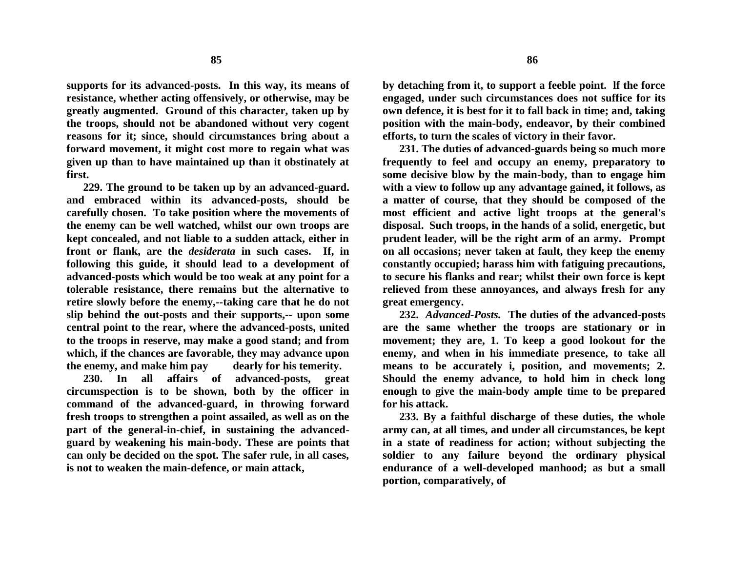**supports for its advanced-posts. In this way, its means of resistance, whether acting offensively, or otherwise, may be greatly augmented. Ground of this character, taken up by the troops, should not be abandoned without very cogent reasons for it; since, should circumstances bring about a forward movement, it might cost more to regain what was given up than to have maintained up than it obstinately at first.**

**229. The ground to be taken up by an advanced-guard. and embraced within its advanced-posts, should be carefully chosen. To take position where the movements of the enemy can be well watched, whilst our own troops are kept concealed, and not liable to a sudden attack, either in front or flank, are the** *desiderata* **in such cases. If, in following this guide, it should lead to a development of advanced-posts which would be too weak at any point for a tolerable resistance, there remains but the alternative to retire slowly before the enemy,--taking care that he do not slip behind the out-posts and their supports,-- upon some central point to the rear, where the advanced-posts, united to the troops in reserve, may make a good stand; and from which, if the chances are favorable, they may advance upon the enemy, and make him pay dearly for his temerity.**

**230. In all affairs of advanced-posts, great circumspection is to be shown, both by the officer in command of the advanced-guard, in throwing forward fresh troops to strengthen a point assailed, as well as on the part of the general-in-chief, in sustaining the advancedguard by weakening his main-body. These are points that can only be decided on the spot. The safer rule, in all cases, is not to weaken the main-defence, or main attack,**

**by detaching from it, to support a feeble point. lf the force engaged, under such circumstances does not suffice for its own defence, it is best for it to fall back in time; and, taking position with the main-body, endeavor, by their combined efforts, to turn the scales of victory in their favor.**

**231. The duties of advanced-guards being so much more frequently to feel and occupy an enemy, preparatory to some decisive blow by the main-body, than to engage him with a view to follow up any advantage gained, it follows, as a matter of course, that they should be composed of the most efficient and active light troops at the general's disposal. Such troops, in the hands of a solid, energetic, but prudent leader, will be the right arm of an army. Prompt on all occasions; never taken at fault, they keep the enemy constantly occupied; harass him with fatiguing precautions, to secure his flanks and rear; whilst their own force is kept relieved from these annoyances, and always fresh for any great emergency.**

**232.** *Advanced-Posts.* **The duties of the advanced-posts are the same whether the troops are stationary or in movement; they are, 1. To keep a good lookout for the enemy, and when in his immediate presence, to take all means to be accurately i, position, and movements; 2. Should the enemy advance, to hold him in check long enough to give the main-body ample time to be prepared for his attack.**

**233. By a faithful discharge of these duties, the whole army can, at all times, and under all circumstances, be kept in a state of readiness for action; without subjecting the soldier to any failure beyond the ordinary physical endurance of a well-developed manhood; as but a small portion, comparatively, of**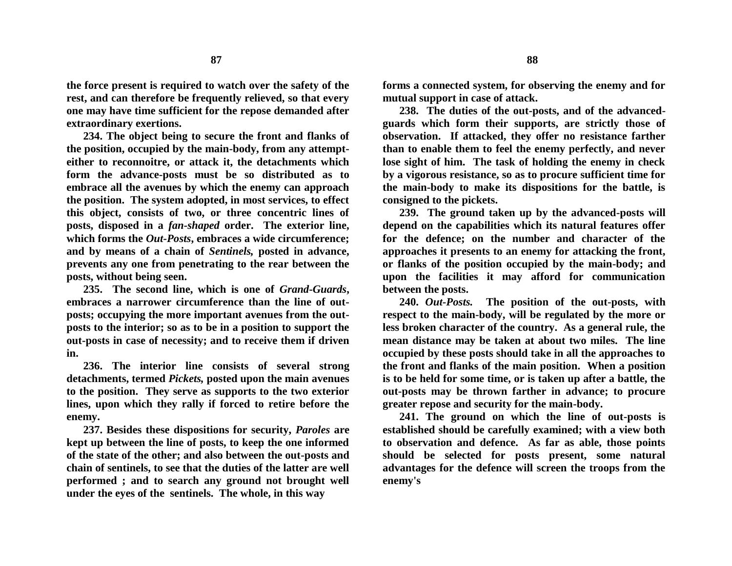**the force present is required to watch over the safety of the rest, and can therefore be frequently relieved, so that every one may have time sufficient for the repose demanded after extraordinary exertions.**

**234. The object being to secure the front and flanks of the position, occupied by the main-body, from any attempteither to reconnoitre, or attack it, the detachments which form the advance-posts must be so distributed as to embrace all the avenues by which the enemy can approach the position. The system adopted, in most services, to effect this object, consists of two, or three concentric lines of posts, disposed in a** *fan-shaped* **order. The exterior line, which forms the** *Out-Posts***, embraces a wide circumference; and by means of a chain of** *Sentinels,* **posted in advance, prevents any one from penetrating to the rear between the posts, without being seen.**

**235. The second line, which is one of** *Grand***-***Guards***, embraces a narrower circumference than the line of outposts; occupying the more important avenues from the outposts to the interior; so as to be in a position to support the out-posts in case of necessity; and to receive them if driven in.**

**236. The interior line consists of several strong detachments, termed** *Pickets,* **posted upon the main avenues to the position. They serve as supports to the two exterior lines, upon which they rally if forced to retire before the enemy.**

**237. Besides these dispositions for security,** *Paroles* **are kept up between the line of posts, to keep the one informed of the state of the other; and also between the out-posts and chain of sentinels, to see that the duties of the latter are well performed ; and to search any ground not brought well under the eyes of the sentinels. The whole, in this way**

**forms a connected system, for observing the enemy and for mutual support in case of attack.**

**238. The duties of the out-posts, and of the advancedguards which form their supports, are strictly those of observation. If attacked, they offer no resistance farther than to enable them to feel the enemy perfectly, and never lose sight of him. The task of holding the enemy in check by a vigorous resistance, so as to procure sufficient time for the main-body to make its dispositions for the battle, is consigned to the pickets.**

**239. The ground taken up by the advanced-posts will depend on the capabilities which its natural features offer for the defence; on the number and character of the approaches it presents to an enemy for attacking the front, or flanks of the position occupied by the main-body; and upon the facilities it may afford for communication between the posts.**

**240.** *Out-Posts.* **The position of the out-posts, with respect to the main-body, will be regulated by the more or less broken character of the country. As a general rule, the mean distance may be taken at about two miles. The line occupied by these posts should take in all the approaches to the front and flanks of the main position. When a position is to be held for some time, or is taken up after a battle, the out-posts may be thrown farther in advance; to procure greater repose and security for the main-body.**

**241. The ground on which the line of out-posts is established should be carefully examined; with a view both to observation and defence. As far as able, those points should be selected for posts present, some natural advantages for the defence will screen the troops from the enemy's**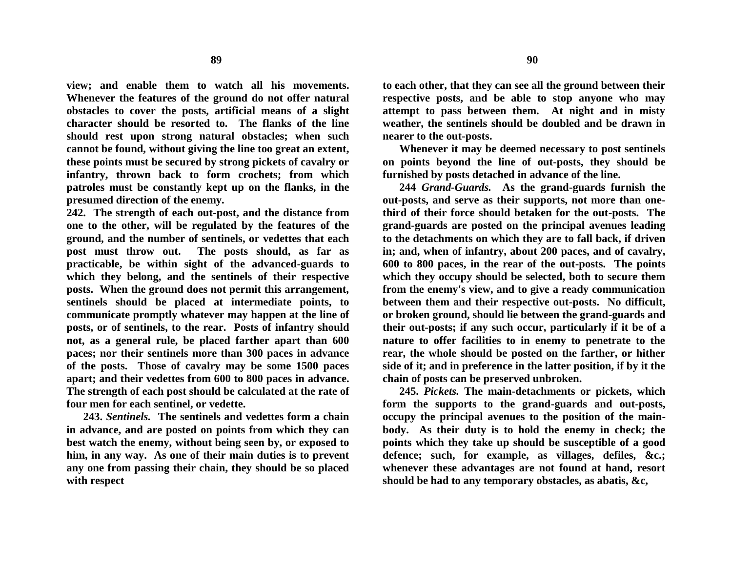**view; and enable them to watch all his movements. Whenever the features of the ground do not offer natural obstacles to cover the posts, artificial means of a slight character should be resorted to. The flanks of the line should rest upon strong natural obstacles; when such cannot be found, without giving the line too great an extent, these points must be secured by strong pickets of cavalry or infantry, thrown back to form crochets; from which patroles must be constantly kept up on the flanks, in the presumed direction of the enemy.**

**242. The strength of each out-post, and the distance from one to the other, will be regulated by the features of the ground, and the number of sentinels, or vedettes that each post must throw out. The posts should, as far as practicable, be within sight of the advanced-guards to which they belong, and the sentinels of their respective posts. When the ground does not permit this arrangement, sentinels should be placed at intermediate points, to communicate promptly whatever may happen at the line of posts, or of sentinels, to the rear. Posts of infantry should not, as a general rule, be placed farther apart than 600 paces; nor their sentinels more than 300 paces in advance of the posts. Those of cavalry may be some 1500 paces apart; and their vedettes from 600 to 800 paces in advance. The strength of each post should be calculated at the rate of four men for each sentinel, or vedette.**

**243.** *Sentinels.* **The sentinels and vedettes form a chain in advance, and are posted on points from which they can best watch the enemy, without being seen by, or exposed to him, in any way. As one of their main duties is to prevent any one from passing their chain, they should be so placed with respect**

**to each other, that they can see all the ground between their respective posts, and be able to stop anyone who may attempt to pass between them. At night and in misty weather, the sentinels should be doubled and be drawn in nearer to the out-posts.**

**Whenever it may be deemed necessary to post sentinels on points beyond the line of out-posts, they should be furnished by posts detached in advance of the line.**

**244** *Grand-Guards.* **As the grand-guards furnish the out-posts, and serve as their supports, not more than onethird of their force should betaken for the out-posts. The grand-guards are posted on the principal avenues leading to the detachments on which they are to fall back, if driven in; and, when of infantry, about 200 paces, and of cavalry, 600 to 800 paces, in the rear of the out-posts. The points which they occupy should be selected, both to secure them from the enemy's view, and to give a ready communication between them and their respective out-posts. No difficult, or broken ground, should lie between the grand-guards and their out-posts; if any such occur, particularly if it be of a nature to offer facilities to in enemy to penetrate to the rear, the whole should be posted on the farther, or hither side of it; and in preference in the latter position, if by it the chain of posts can be preserved unbroken.**

**245.** *Pickets.* **The main-detachments or pickets, which form the supports to the grand-guards and out-posts, occupy the principal avenues to the position of the mainbody. As their duty is to hold the enemy in check; the points which they take up should be susceptible of a good defence; such, for example, as villages, defiles, &c.; whenever these advantages are not found at hand, resort should be had to any temporary obstacles, as abatis, &c,**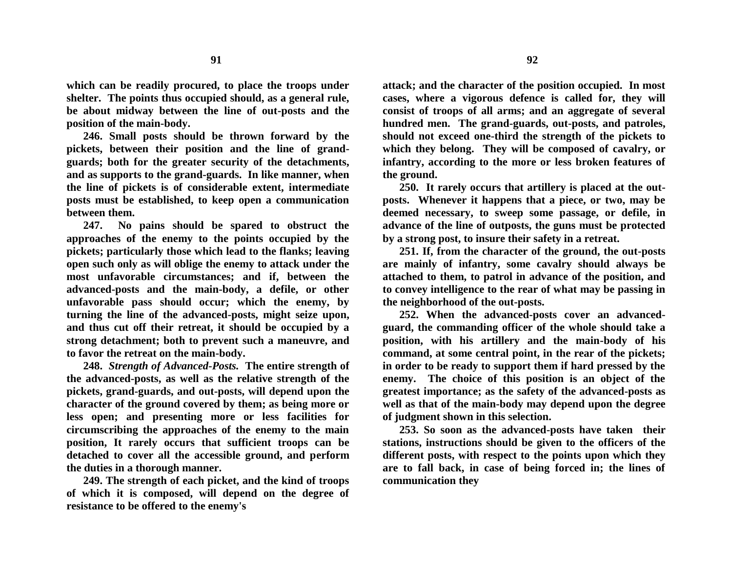**which can be readily procured, to place the troops under shelter. The points thus occupied should, as a general rule, be about midway between the line of out-posts and the position of the main-body.**

**246. Small posts should be thrown forward by the pickets, between their position and the line of grandguards; both for the greater security of the detachments, and as supports to the grand-guards. In like manner, when the line of pickets is of considerable extent, intermediate posts must be established, to keep open a communication between them.** 

**247. No pains should be spared to obstruct the approaches of the enemy to the points occupied by the pickets; particularly those which lead to the flanks; leaving open such only as will oblige the enemy to attack under the most unfavorable circumstances; and if, between the advanced-posts and the main-body, a defile, or other unfavorable pass should occur; which the enemy, by turning the line of the advanced-posts, might seize upon, and thus cut off their retreat, it should be occupied by a strong detachment; both to prevent such a maneuvre, and to favor the retreat on the main-body.**

**248.** *Strength of Advanced-Posts.* **The entire strength of the advanced-posts, as well as the relative strength of the pickets, grand-guards, and out-posts, will depend upon the character of the ground covered by them; as being more or less open; and presenting more or less facilities for circumscribing the approaches of the enemy to the main position, It rarely occurs that sufficient troops can be detached to cover all the accessible ground, and perform the duties in a thorough manner.**

**249. The strength of each picket, and the kind of troops of which it is composed, will depend on the degree of resistance to be offered to the enemy's**

**attack; and the character of the position occupied. In most cases, where a vigorous defence is called for, they will consist of troops of all arms; and an aggregate of several hundred men. The grand-guards, out-posts, and patroles, should not exceed one-third the strength of the pickets to which they belong. They will be composed of cavalry, or infantry, according to the more or less broken features of the ground.**

**250. It rarely occurs that artillery is placed at the outposts. Whenever it happens that a piece, or two, may be deemed necessary, to sweep some passage, or defile, in advance of the line of outposts, the guns must be protected by a strong post, to insure their safety in a retreat.**

**251. If, from the character of the ground, the out-posts are mainly of infantry, some cavalry should always be attached to them, to patrol in advance of the position, and to convey intelligence to the rear of what may be passing in the neighborhood of the out-posts.**

**252. When the advanced-posts cover an advancedguard, the commanding officer of the whole should take a position, with his artillery and the main-body of his command, at some central point, in the rear of the pickets; in order to be ready to support them if hard pressed by the enemy. The choice of this position is an object of the greatest importance; as the safety of the advanced-posts as well as that of the main-body may depend upon the degree of judgment shown in this selection.**

**253. So soon as the advanced-posts have taken their stations, instructions should be given to the officers of the different posts, with respect to the points upon which they are to fall back, in case of being forced in; the lines of communication they**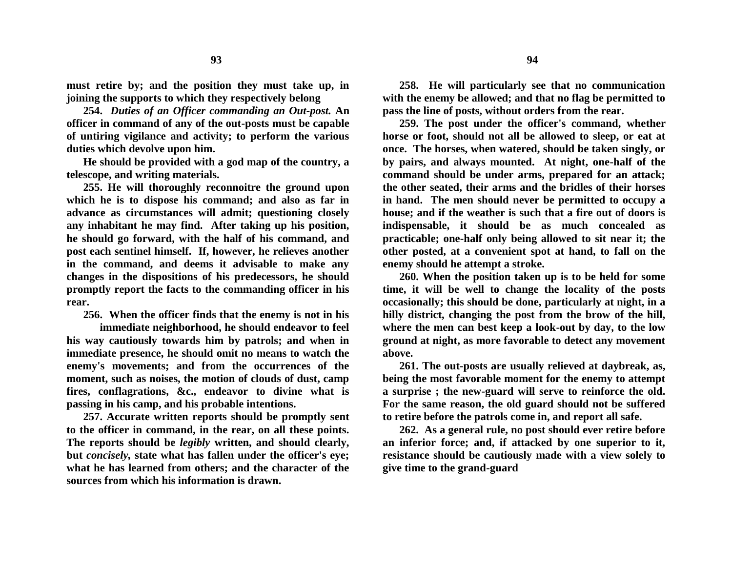**must retire by; and the position they must take up, in joining the supports to which they respectively belong**

**254.** *Duties of an Officer commanding an Out-post.* **An officer in command of any of the out-posts must be capable of untiring vigilance and activity; to perform the various duties which devolve upon him.**

**He should be provided with a god map of the country, a telescope, and writing materials.**

**255. He will thoroughly reconnoitre the ground upon which he is to dispose his command; and also as far in advance as circumstances will admit; questioning closely any inhabitant he may find. After taking up his position, he should go forward, with the half of his command, and post each sentinel himself. If, however, he relieves another in the command, and deems it advisable to make any changes in the dispositions of his predecessors, he should promptly report the facts to the commanding officer in his rear.** 

**256. When the officer finds that the enemy is not in his**

**immediate neighborhood, he should endeavor to feel his way cautiously towards him by patrols; and when in immediate presence, he should omit no means to watch the enemy's movements; and from the occurrences of the moment, such as noises, the motion of clouds of dust, camp fires, conflagrations, &c., endeavor to divine what is passing in his camp, and his probable intentions.**

**257. Accurate written reports should be promptly sent to the officer in command, in the rear, on all these points. The reports should be** *legibly* **written, and should clearly, but** *concisely,* **state what has fallen under the officer's eye; what he has learned from others; and the character of the sources from which his information is drawn.**

**258. He will particularly see that no communication with the enemy be allowed; and that no flag be permitted to pass the line of posts, without orders from the rear.**

**259. The post under the officer's command, whether horse or foot, should not all be allowed to sleep, or eat at once. The horses, when watered, should be taken singly, or by pairs, and always mounted. At night, one-half of the command should be under arms, prepared for an attack; the other seated, their arms and the bridles of their horses in hand. The men should never be permitted to occupy a house; and if the weather is such that a fire out of doors is indispensable, it should be as much concealed as practicable; one-half only being allowed to sit near it; the other posted, at a convenient spot at hand, to fall on the enemy should he attempt a stroke.**

**260. When the position taken up is to be held for some time, it will be well to change the locality of the posts occasionally; this should be done, particularly at night, in a hilly district, changing the post from the brow of the hill, where the men can best keep a look-out by day, to the low ground at night, as more favorable to detect any movement above.**

**261. The out-posts are usually relieved at daybreak, as, being the most favorable moment for the enemy to attempt a surprise ; the new-guard will serve to reinforce the old. For the same reason, the old guard should not be suffered to retire before the patrols come in, and report all safe.**

**262. As a general rule, no post should ever retire before an inferior force; and, if attacked by one superior to it, resistance should be cautiously made with a view solely to give time to the grand-guard**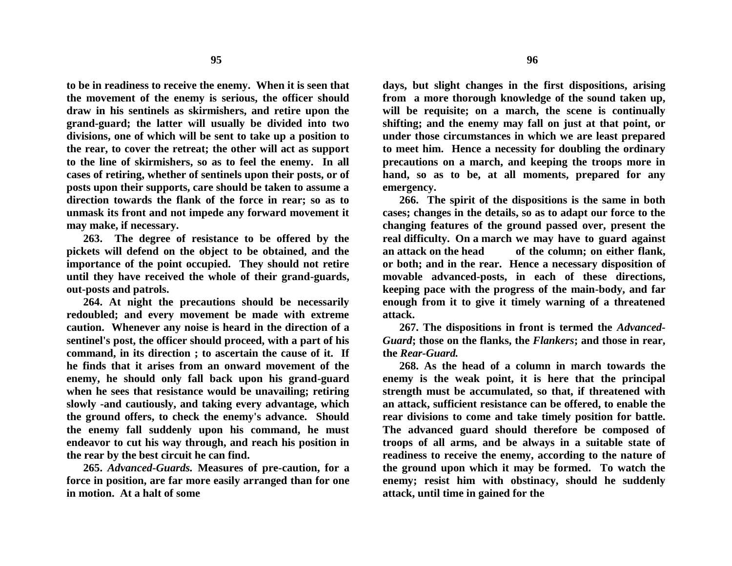**to be in readiness to receive the enemy. When it is seen that the movement of the enemy is serious, the officer should draw in his sentinels as skirmishers, and retire upon the grand-guard; the latter will usually be divided into two divisions, one of which will be sent to take up a position to the rear, to cover the retreat; the other will act as support to the line of skirmishers, so as to feel the enemy. In all cases of retiring, whether of sentinels upon their posts, or of posts upon their supports, care should be taken to assume a direction towards the flank of the force in rear; so as to unmask its front and not impede any forward movement it may make, if necessary.**

**263. The degree of resistance to be offered by the pickets will defend on the object to be obtained, and the importance of the point occupied. They should not retire until they have received the whole of their grand-guards, out-posts and patrols.**

**264. At night the precautions should be necessarily redoubled; and every movement be made with extreme caution. Whenever any noise is heard in the direction of a sentinel's post, the officer should proceed, with a part of his command, in its direction ; to ascertain the cause of it. If he finds that it arises from an onward movement of the enemy, he should only fall back upon his grand-guard when he sees that resistance would be unavailing; retiring slowly -and cautiously, and taking every advantage, which the ground offers, to check the enemy's advance. Should the enemy fall suddenly upon his command, he must endeavor to cut his way through, and reach his position in the rear by the best circuit he can find.**

**265.** *Advanced-Guards.* **Measures of pre-caution, for a force in position, are far more easily arranged than for one in motion. At a halt of some**

**days, but slight changes in the first dispositions, arising from a more thorough knowledge of the sound taken up, will be requisite; on a march, the scene is continually shifting; and the enemy may fall on just at that point, or under those circumstances in which we are least prepared to meet him. Hence a necessity for doubling the ordinary precautions on a march, and keeping the troops more in hand, so as to be, at all moments, prepared for any emergency.**

**266. The spirit of the dispositions is the same in both cases; changes in the details, so as to adapt our force to the changing features of the ground passed over, present the real difficulty. On a march we may have to guard against an attack on the head of the column; on either flank, or both; and in the rear. Hence a necessary disposition of movable advanced-posts, in each of these directions, keeping pace with the progress of the main-body, and far enough from it to give it timely warning of a threatened attack.**

**267. The dispositions in front is termed the** *Advanced-Guard***; those on the flanks, the** *Flankers***; and those in rear, the** *Rear-Guard.*

**268. As the head of a column in march towards the enemy is the weak point, it is here that the principal strength must be accumulated, so that, if threatened with an attack, sufficient resistance can be offered, to enable the rear divisions to come and take timely position for battle. The advanced guard should therefore be composed of troops of all arms, and be always in a suitable state of readiness to receive the enemy, according to the nature of the ground upon which it may be formed. To watch the enemy; resist him with obstinacy, should he suddenly attack, until time in gained for the**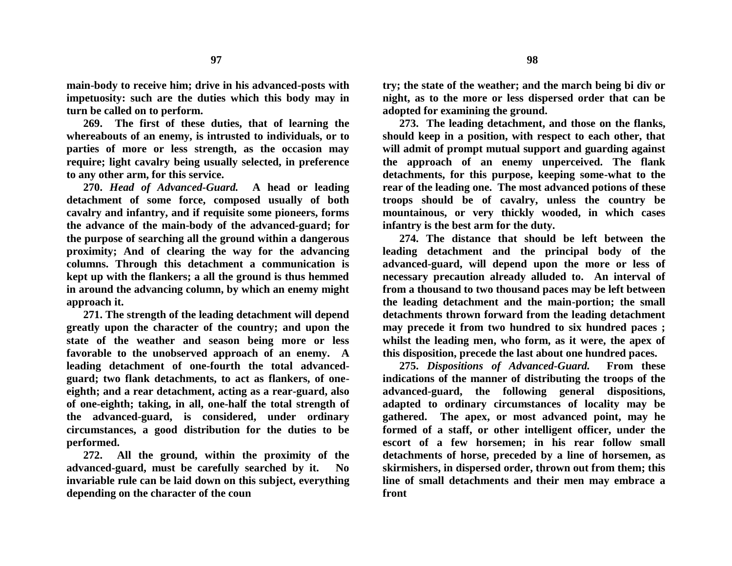**main-body to receive him; drive in his advanced-posts with impetuosity: such are the duties which this body may in turn be called on to perform.**

**269. The first of these duties, that of learning the whereabouts of an enemy, is intrusted to individuals, or to parties of more or less strength, as the occasion may require; light cavalry being usually selected, in preference to any other arm, for this service.**

**270.** *Head of Advanced-Guard.* **A head or leading detachment of some force, composed usually of both cavalry and infantry, and if requisite some pioneers, forms the advance of the main-body of the advanced-guard; for the purpose of searching all the ground within a dangerous proximity; And of clearing the way for the advancing columns. Through this detachment a communication is kept up with the flankers; a all the ground is thus hemmed in around the advancing column, by which an enemy might approach it.**

**271. The strength of the leading detachment will depend greatly upon the character of the country; and upon the state of the weather and season being more or less favorable to the unobserved approach of an enemy. A leading detachment of one-fourth the total advancedguard; two flank detachments, to act as flankers, of oneeighth; and a rear detachment, acting as a rear-guard, also of one-eighth; taking, in all, one-half the total strength of the advanced-guard, is considered, under ordinary circumstances, a good distribution for the duties to be performed.** 

**272. All the ground, within the proximity of the advanced-guard, must be carefully searched by it. No invariable rule can be laid down on this subject, everything depending on the character of the coun** 

**try; the state of the weather; and the march being bi div or night, as to the more or less dispersed order that can be adopted for examining the ground.** 

**273. The leading detachment, and those on the flanks, should keep in a position, with respect to each other, that will admit of prompt mutual support and guarding against the approach of an enemy unperceived. The flank detachments, for this purpose, keeping some-what to the rear of the leading one. The most advanced potions of these troops should be of cavalry, unless the country be mountainous, or very thickly wooded, in which cases infantry is the best arm for the duty.**

**274. The distance that should be left between the leading detachment and the principal body of the advanced-guard, will depend upon the more or less of necessary precaution already alluded to. An interval of from a thousand to two thousand paces may be left between the leading detachment and the main-portion; the small detachments thrown forward from the leading detachment may precede it from two hundred to six hundred paces ; whilst the leading men, who form, as it were, the apex of this disposition, precede the last about one hundred paces.**

**275.** *Dispositions of Advanced-Guard.* **From these indications of the manner of distributing the troops of the advanced-guard, the following general dispositions, adapted to ordinary circumstances of locality may be gathered. The apex, or most advanced point, may he formed of a staff, or other intelligent officer, under the escort of a few horsemen; in his rear follow small detachments of horse, preceded by a line of horsemen, as skirmishers, in dispersed order, thrown out from them; this line of small detachments and their men may embrace a front**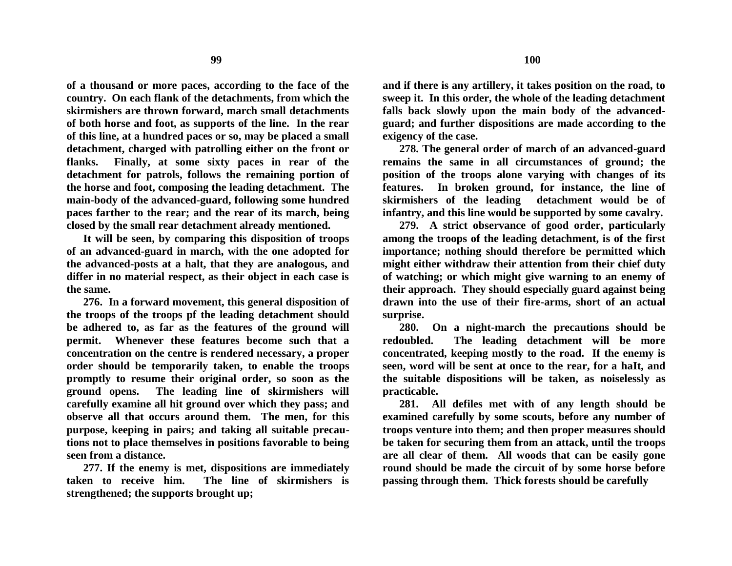**of a thousand or more paces, according to the face of the country. On each flank of the detachments, from which the skirmishers are thrown forward, march small detachments of both horse and foot, as supports of the line. In the rear of this line, at a hundred paces or so, may be placed a small detachment, charged with patrolling either on the front or flanks. Finally, at some sixty paces in rear of the detachment for patrols, follows the remaining portion of the horse and foot, composing the leading detachment. The main-body of the advanced-guard, following some hundred paces farther to the rear; and the rear of its march, being closed by the small rear detachment already mentioned.**

**It will be seen, by comparing this disposition of troops of an advanced-guard in march, with the one adopted for the advanced-posts at a halt, that they are analogous, and differ in no material respect, as their object in each case is the same.**

**276. In a forward movement, this general disposition of the troops of the troops pf the leading detachment should be adhered to, as far as the features of the ground will permit. Whenever these features become such that a concentration on the centre is rendered necessary, a proper order should be temporarily taken, to enable the troops promptly to resume their original order, so soon as the ground opens. The leading line of skirmishers will carefully examine all hit ground over which they pass; and observe all that occurs around them. The men, for this purpose, keeping in pairs; and taking all suitable precautions not to place themselves in positions favorable to being seen from a distance.**

**277. If the enemy is met, dispositions are immediately taken to receive him. The line of skirmishers is strengthened; the supports brought up;**

**and if there is any artillery, it takes position on the road, to sweep it. In this order, the whole of the leading detachment falls back slowly upon the main body of the advancedguard; and further dispositions are made according to the exigency of the case.**

**278. The general order of march of an advanced-guard remains the same in all circumstances of ground; the position of the troops alone varying with changes of its features. In broken ground, for instance, the line of skirmishers of the leading detachment would be of infantry, and this line would be supported by some cavalry.**

**279. A strict observance of good order, particularly among the troops of the leading detachment, is of the first importance; nothing should therefore be permitted which might either withdraw their attention from their chief duty of watching; or which might give warning to an enemy of their approach. They should especially guard against being drawn into the use of their fire-arms, short of an actual surprise.**

**280. On a night-march the precautions should be redoubled. The leading detachment will be more concentrated, keeping mostly to the road. If the enemy is seen, word will be sent at once to the rear, for a haIt, and the suitable dispositions will be taken, as noiselessly as practicable.**

**281. All defiles met with of any length should be examined carefully by some scouts, before any number of troops venture into them; and then proper measures should be taken for securing them from an attack, until the troops are all clear of them. All woods that can be easily gone round should be made the circuit of by some horse before passing through them. Thick forests should be carefully**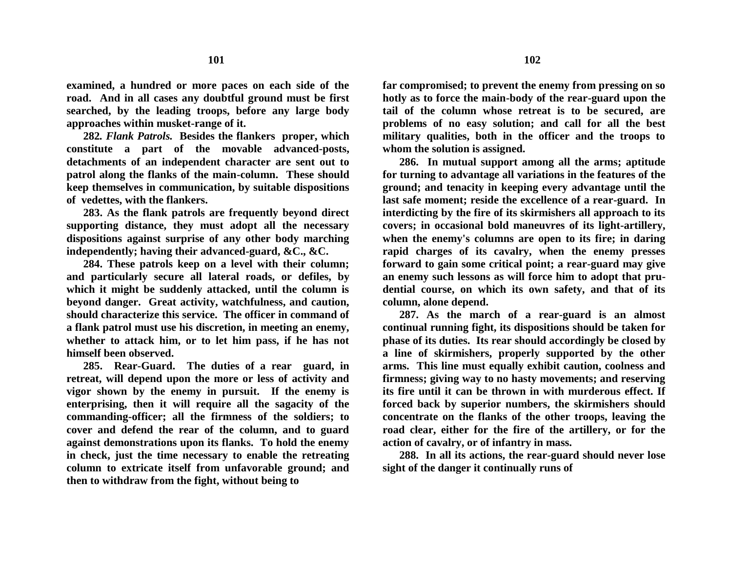**examined, a hundred or more paces on each side of the road. And in all cases any doubtful ground must be first searched, by the leading troops, before any large body approaches within musket-range of it.**

**282***. Flank Patrols.* **Besides the flankers proper, which constitute a part of the movable advanced-posts, detachments of an independent character are sent out to patrol along the flanks of the main-column. These should keep themselves in communication, by suitable dispositions of vedettes, with the flankers.**

**283. As the flank patrols are frequently beyond direct supporting distance, they must adopt all the necessary dispositions against surprise of any other body marching independently; having their advanced-guard, &C., &C.**

**284. These patrols keep on a level with their column; and particularly secure all lateral roads, or defiles, by which it might be suddenly attacked, until the column is beyond danger. Great activity, watchfulness, and caution, should characterize this service. The officer in command of a flank patrol must use his discretion, in meeting an enemy, whether to attack him, or to let him pass, if he has not himself been observed.**

**285. Rear-Guard. The duties of a rear guard, in retreat, will depend upon the more or less of activity and vigor shown by the enemy in pursuit. If the enemy is enterprising, then it will require all the sagacity of the commanding-officer; all the firmness of the soldiers; to cover and defend the rear of the column, and to guard against demonstrations upon its flanks. To hold the enemy in check, just the time necessary to enable the retreating column to extricate itself from unfavorable ground; and then to withdraw from the fight, without being to**

**far compromised; to prevent the enemy from pressing on so hotly as to force the main-body of the rear-guard upon the tail of the column whose retreat is to be secured, are problems of no easy solution; and call for all the best military qualities, both in the officer and the troops to whom the solution is assigned.**

**286. In mutual support among all the arms; aptitude for turning to advantage all variations in the features of the ground; and tenacity in keeping every advantage until the last safe moment; reside the excellence of a rear-guard. In interdicting by the fire of its skirmishers all approach to its covers; in occasional bold maneuvres of its light-artillery, when the enemy's columns are open to its fire; in daring rapid charges of its cavalry, when the enemy presses forward to gain some critical point; a rear-guard may give an enemy such lessons as will force him to adopt that prudential course, on which its own safety, and that of its column, alone depend.**

**287. As the march of a rear-guard is an almost continual running fight, its dispositions should be taken for phase of its duties. Its rear should accordingly be closed by a line of skirmishers, properly supported by the other arms. This line must equally exhibit caution, coolness and firmness; giving way to no hasty movements; and reserving its fire until it can be thrown in with murderous effect. If forced back by superior numbers, the skirmishers should concentrate on the flanks of the other troops, leaving the road clear, either for the fire of the artillery, or for the action of cavalry, or of infantry in mass.**

**288. In all its actions, the rear-guard should never lose sight of the danger it continually runs of**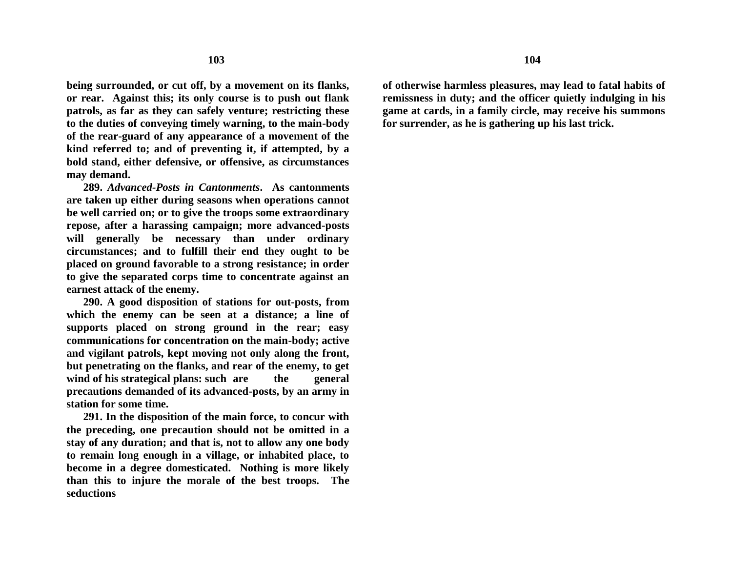**being surrounded, or cut off, by a movement on its flanks, or rear. Against this; its only course is to push out flank patrols, as far as they can safely venture; restricting these to the duties of conveying timely warning, to the main-body of the rear-guard of any appearance of a movement of the kind referred to; and of preventing it, if attempted, by a bold stand, either defensive, or offensive, as circumstances may demand.**

**289.** *Advanced-Posts in Cantonments***. As cantonments are taken up either during seasons when operations cannot be well carried on; or to give the troops some extraordinary repose, after a harassing campaign; more advanced-posts will generally be necessary than under ordinary circumstances; and to fulfill their end they ought to be placed on ground favorable to a strong resistance; in order to give the separated corps time to concentrate against an earnest attack of the enemy.**

**290. A good disposition of stations for out-posts, from which the enemy can be seen at a distance; a line of supports placed on strong ground in the rear; easy communications for concentration on the main-body; active and vigilant patrols, kept moving not only along the front, but penetrating on the flanks, and rear of the enemy, to get**  wind of his strategical plans: such are the general **precautions demanded of its advanced-posts, by an army in station for some time.**

**291. In the disposition of the main force, to concur with the preceding, one precaution should not be omitted in a stay of any duration; and that is, not to allow any one body to remain long enough in a village, or inhabited place, to become in a degree domesticated. Nothing is more likely than this to injure the morale of the best troops. The seductions**

**of otherwise harmless pleasures, may lead to fatal habits of remissness in duty; and the officer quietly indulging in his game at cards, in a family circle, may receive his summons for surrender, as he is gathering up his last trick.**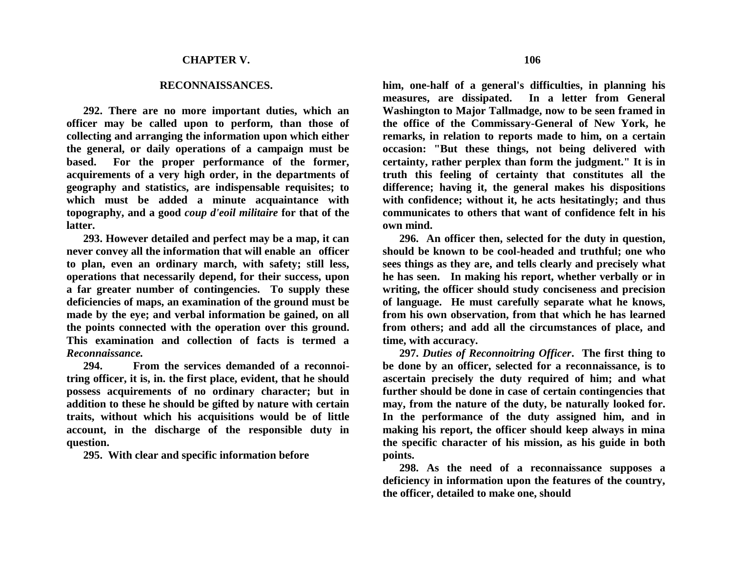## **RECONNAISSANCES.**

**292. There are no more important duties, which an officer may be called upon to perform, than those of collecting and arranging the information upon which either the general, or daily operations of a campaign must be based. For the proper performance of the former, acquirements of a very high order, in the departments of geography and statistics, are indispensable requisites; to which must be added a minute acquaintance with topography, and a good** *coup d'eoil militaire* **for that of the latter.**

**293. However detailed and perfect may be a map, it can never convey all the information that will enable an officer to plan, even an ordinary march, with safety; still less, operations that necessarily depend, for their success, upon a far greater number of contingencies. To supply these deficiencies of maps, an examination of the ground must be made by the eye; and verbal information be gained, on all the points connected with the operation over this ground. This examination and collection of facts is termed a**  *Reconnaissance.*

**294. From the services demanded of a reconnoitring officer, it is, in. the first place, evident, that he should possess acquirements of no ordinary character; but in addition to these he should be gifted by nature with certain traits, without which his acquisitions would be of little account, in the discharge of the responsible duty in question.**

**295. With clear and specific information before**

**106**

**him, one-half of a general's difficulties, in planning his measures, are dissipated. In a letter from General Washington to Major Tallmadge, now to be seen framed in the office of the Commissary-General of New York, he remarks, in relation to reports made to him, on a certain occasion: "But these things, not being delivered with certainty, rather perplex than form the judgment." It is in truth this feeling of certainty that constitutes all the difference; having it, the general makes his dispositions with confidence; without it, he acts hesitatingly; and thus communicates to others that want of confidence felt in his own mind.**

**296. An officer then, selected for the duty in question, should be known to be cool-headed and truthful; one who sees things as they are, and tells clearly and precisely what he has seen. In making his report, whether verbally or in writing, the officer should study conciseness and precision of language. He must carefully separate what he knows, from his own observation, from that which he has learned from others; and add all the circumstances of place, and time, with accuracy.**

**297.** *Duties of Reconnoitring Officer***. The first thing to be done by an officer, selected for a reconnaissance, is to ascertain precisely the duty required of him; and what further should be done in case of certain contingencies that may, from the nature of the duty, be naturally looked for. In the performance of the duty assigned him, and in making his report, the officer should keep always in mina the specific character of his mission, as his guide in both points.**

**298. As the need of a reconnaissance supposes a deficiency in information upon the features of the country, the officer, detailed to make one, should**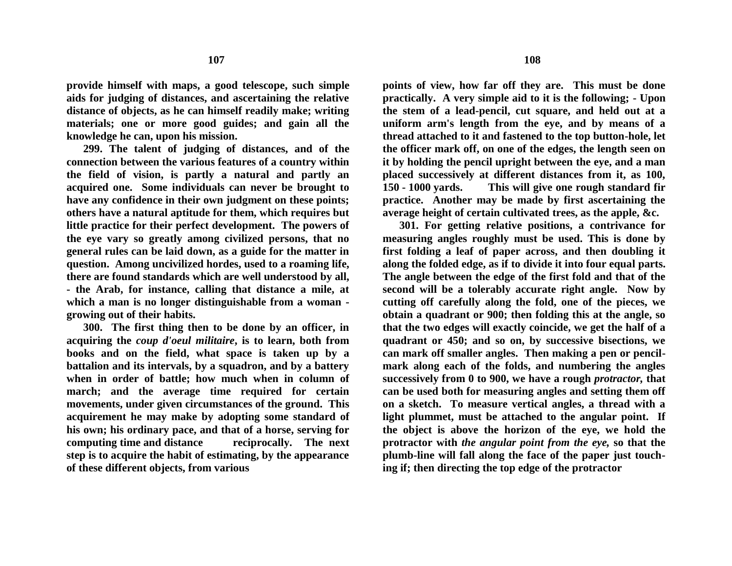**provide himself with maps, a good telescope, such simple aids for judging of distances, and ascertaining the relative distance of objects, as he can himself readily make; writing materials; one or more good guides; and gain all the knowledge he can, upon his mission.**

**299. The talent of judging of distances, and of the connection between the various features of a country within the field of vision, is partly a natural and partly an acquired one. Some individuals can never be brought to have any confidence in their own judgment on these points; others have a natural aptitude for them, which requires but little practice for their perfect development. The powers of the eye vary so greatly among civilized persons, that no general rules can be laid down, as a guide for the matter in question. Among uncivilized hordes, used to a roaming life, there are found standards which are well understood by all, - the Arab, for instance, calling that distance a mile, at which a man is no longer distinguishable from a woman growing out of their habits.**

**300. The first thing then to be done by an officer, in acquiring the** *coup d'oeul militaire***, is to learn, both from books and on the field, what space is taken up by a battalion and its intervals, by a squadron, and by a battery when in order of battle; how much when in column of march; and the average time required for certain movements, under given circumstances of the ground. This acquirement he may make by adopting some standard of his own; his ordinary pace, and that of a horse, serving for computing time and distance reciprocally. The next step is to acquire the habit of estimating, by the appearance of these different objects, from various**

**points of view, how far off they are. This must be done practically. A very simple aid to it is the following; - Upon the stem of a lead-pencil, cut square, and held out at a uniform arm's length from the eye, and by means of a thread attached to it and fastened to the top button-hole, let the officer mark off, on one of the edges, the length seen on it by holding the pencil upright between the eye, and a man placed successively at different distances from it, as 100, 150 - 1000 yards. This will give one rough standard fir practice. Another may be made by first ascertaining the average height of certain cultivated trees, as the apple, &c.** 

**301. For getting relative positions, a contrivance for measuring angles roughly must be used. This is done by first folding a leaf of paper across, and then doubling it along the folded edge, as if to divide it into four equal parts. The angle between the edge of the first fold and that of the second will be a tolerably accurate right angle. Now by cutting off carefully along the fold, one of the pieces, we obtain a quadrant or 900; then folding this at the angle, so that the two edges will exactly coincide, we get the half of a quadrant or 450; and so on, by successive bisections, we can mark off smaller angles. Then making a pen or pencilmark along each of the folds, and numbering the angles successively from 0 to 900, we have a rough** *protractor,* **that can be used both for measuring angles and setting them off on a sketch. To measure vertical angles, a thread with a light plummet, must be attached to the angular point. If the object is above the horizon of the eye, we hold the protractor with** *the angular point from the eye,* **so that the plumb-line will fall along the face of the paper just touching if; then directing the top edge of the protractor**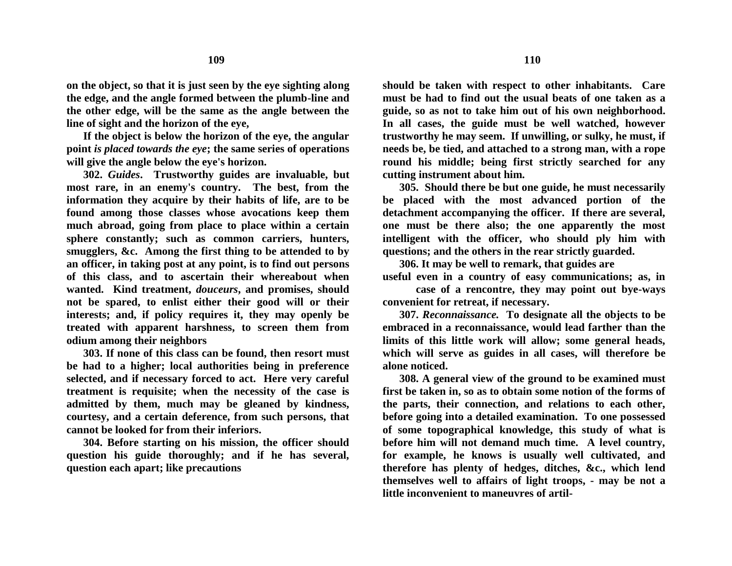**line of sight and the horizon of the eye, If the object is below the horizon of the eye, the angular point** *is placed towards the eye***; the same series of operations will give the angle below the eye's horizon.**

**302.** *Guides***. Trustworthy guides are invaluable, but most rare, in an enemy's country. The best, from the information they acquire by their habits of life, are to be found among those classes whose avocations keep them much abroad, going from place to place within a certain sphere constantly; such as common carriers, hunters, smugglers, &c. Among the first thing to be attended to by an officer, in taking post at any point, is to find out persons of this class, and to ascertain their whereabout when wanted. Kind treatment,** *douceurs***, and promises, should not be spared, to enlist either their good will or their interests; and, if policy requires it, they may openly be treated with apparent harshness, to screen them from odium among their neighbors**

**303. If none of this class can be found, then resort must be had to a higher; local authorities being in preference selected, and if necessary forced to act. Here very careful treatment is requisite; when the necessity of the case is admitted by them, much may be gleaned by kindness, courtesy, and a certain deference, from such persons, that cannot be looked for from their inferiors.**

**304. Before starting on his mission, the officer should question his guide thoroughly; and if he has several, question each apart; like precautions** 

**should be taken with respect to other inhabitants. Care must be had to find out the usual beats of one taken as a guide, so as not to take him out of his own neighborhood. In all cases, the guide must be well watched, however trustworthy he may seem. If unwilling, or sulky, he must, if needs be, be tied, and attached to a strong man, with a rope round his middle; being first strictly searched for any cutting instrument about him.**

**305. Should there be but one guide, he must necessarily be placed with the most advanced portion of the detachment accompanying the officer. If there are several, one must be there also; the one apparently the most intelligent with the officer, who should ply him with questions; and the others in the rear strictly guarded.**

**306. It may be well to remark, that guides are useful even in a country of easy communications; as, in**

**case of a rencontre, they may point out bye-ways convenient for retreat, if necessary.**

**307.** *Reconnaissance.* **To designate all the objects to be embraced in a reconnaissance, would lead farther than the limits of this little work will allow; some general heads, which will serve as guides in all cases, will therefore be alone noticed.**

**308. A general view of the ground to be examined must first be taken in, so as to obtain some notion of the forms of the parts, their connection, and relations to each other, before going into a detailed examination. To one possessed of some topographical knowledge, this study of what is before him will not demand much time. A level country, for example, he knows is usually well cultivated, and therefore has plenty of hedges, ditches, &c., which lend themselves well to affairs of light troops, - may be not a little inconvenient to maneuvres of artil-**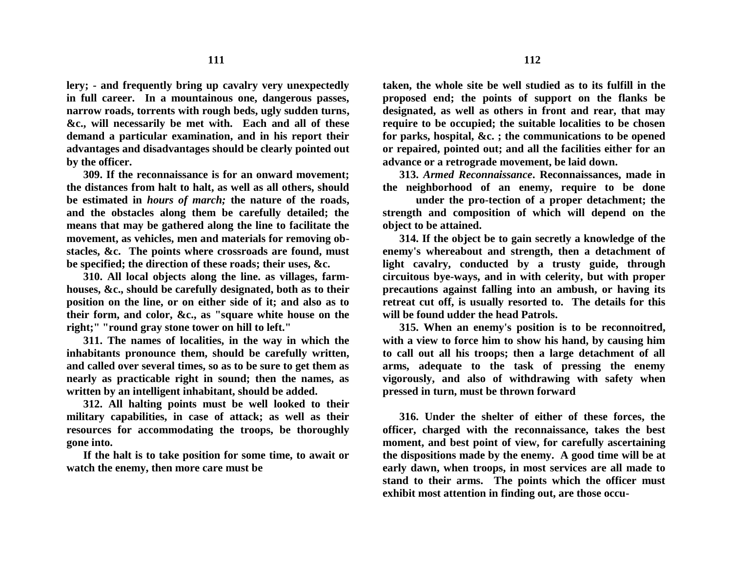**lery; - and frequently bring up cavalry very unexpectedly in full career. In a mountainous one, dangerous passes, narrow roads, torrents with rough beds, ugly sudden turns, &c., will necessarily be met with. Each and all of these demand a particular examination, and in his report their advantages and disadvantages should be clearly pointed out by the officer.**

**309. If the reconnaissance is for an onward movement; the distances from halt to halt, as well as all others, should be estimated in** *hours of march;* **the nature of the roads, and the obstacles along them be carefully detailed; the means that may be gathered along the line to facilitate the movement, as vehicles, men and materials for removing obstacles, &c. The points where crossroads are found, must be specified; the direction of these roads; their uses, &c.**

**310. All local objects along the line. as villages, farmhouses, &c., should be carefully designated, both as to their position on the line, or on either side of it; and also as to their form, and color, &c., as "square white house on the right;" "round gray stone tower on hill to left."**

**311. The names of localities, in the way in which the inhabitants pronounce them, should be carefully written, and called over several times, so as to be sure to get them as nearly as practicable right in sound; then the names, as written by an intelligent inhabitant, should be added.**

**312. All halting points must be well looked to their military capabilities, in case of attack; as well as their resources for accommodating the troops, be thoroughly gone into.**

**If the halt is to take position for some time, to await or watch the enemy, then more care must be**

**taken, the whole site be well studied as to its fulfill in the proposed end; the points of support on the flanks be designated, as well as others in front and rear, that may require to be occupied; the suitable localities to be chosen for parks, hospital, &c. ; the communications to be opened or repaired, pointed out; and all the facilities either for an advance or a retrograde movement, be laid down.**

**313.** *Armed Reconnaissance***. Reconnaissances, made in the neighborhood of an enemy, require to be done**

**under the pro-tection of a proper detachment; the strength and composition of which will depend on the object to be attained.**

**314. If the object be to gain secretly a knowledge of the enemy's whereabout and strength, then a detachment of light cavalry, conducted by a trusty guide, through circuitous bye-ways, and in with celerity, but with proper precautions against falling into an ambush, or having its retreat cut off, is usually resorted to. The details for this will be found udder the head Patrols.**

**315. When an enemy's position is to be reconnoitred, with a view to force him to show his hand, by causing him to call out all his troops; then a large detachment of all arms, adequate to the task of pressing the enemy vigorously, and also of withdrawing with safety when pressed in turn, must be thrown forward**

**316. Under the shelter of either of these forces, the officer, charged with the reconnaissance, takes the best moment, and best point of view, for carefully ascertaining the dispositions made by the enemy. A good time will be at early dawn, when troops, in most services are all made to stand to their arms. The points which the officer must exhibit most attention in finding out, are those occu-**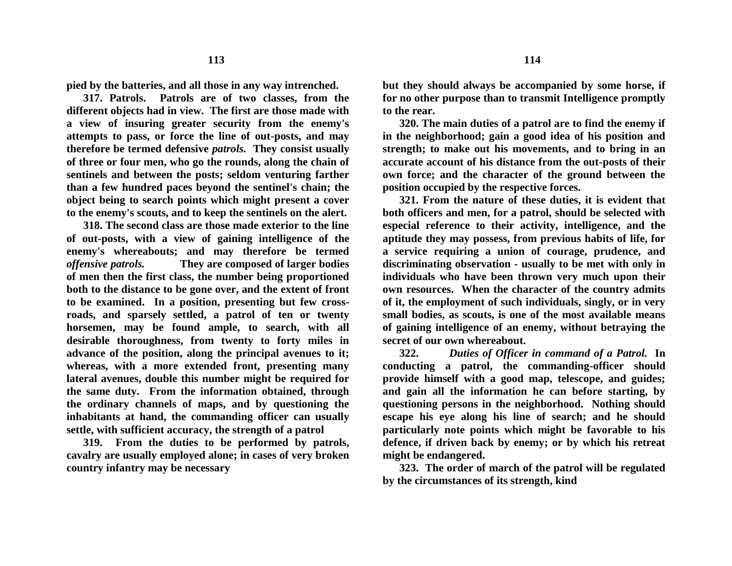**pied by the batteries, and all those in any way intrenched.**

**317. Patrols. Patrols are of two classes, from the different objects had in view. The first are those made with a view of insuring greater security from the enemy's attempts to pass, or force the line of out-posts, and may therefore be termed defensive** *patrols.* **They consist usually of three or four men, who go the rounds, along the chain of sentinels and between the posts; seldom venturing farther than a few hundred paces beyond the sentinel's chain; the object being to search points which might present a cover to the enemy's scouts, and to keep the sentinels on the alert.**

**318. The second class are those made exterior to the line of out-posts, with a view of gaining intelligence of the enemy's whereabouts; and may therefore be termed**  *offensive patrols.* **They are composed of larger bodies of men then the first class, the number being proportioned both to the distance to be gone over, and the extent of front to be examined. In a position, presenting but few crossroads, and sparsely settled, a patrol of ten or twenty horsemen, may be found ample, to search, with all desirable thoroughness, from twenty to forty miles in advance of the position, along the principal avenues to it; whereas, with a more extended front, presenting many lateral avenues, double this number might be required for the same duty. From the information obtained, through the ordinary channels of maps, and by questioning the inhabitants at hand, the commanding officer can usually settle, with sufficient accuracy, the strength of a patrol**

**319. From the duties to be performed by patrols, cavalry are usually employed alone; in cases of very broken country infantry may be necessary**

**but they should always be accompanied by some horse, if for no other purpose than to transmit Intelligence promptly to the rear.**

**320. The main duties of a patrol are to find the enemy if in the neighborhood; gain a good idea of his position and strength; to make out his movements, and to bring in an accurate account of his distance from the out-posts of their own force; and the character of the ground between the position occupied by the respective forces.**

**321. From the nature of these duties, it is evident that both officers and men, for a patrol, should be selected with especial reference to their activity, intelligence, and the aptitude they may possess, from previous habits of life, for a service requiring a union of courage, prudence, and discriminating observation - usually to be met with only in individuals who have been thrown very much upon their own resources. When the character of the country admits of it, the employment of such individuals, singly, or in very small bodies, as scouts, is one of the most available means of gaining intelligence of an enemy, without betraying the secret of our own whereabout.**

**322.** *Duties of Officer in command of a Patrol.* **In conducting a patrol, the commanding-officer should provide himself with a good map, telescope, and guides; and gain all the information he can before starting, by questioning persons in the neighborhood. Nothing should escape his eye along his line of search; and he should particularly note points which might be favorable to his defence, if driven back by enemy; or by which his retreat might be endangered.**

**323. The order of march of the patrol will be regulated by the circumstances of its strength, kind**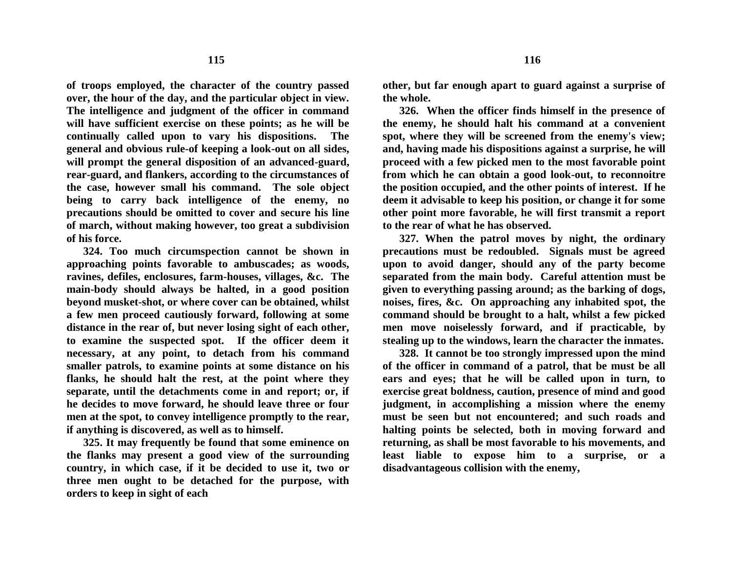**of troops employed, the character of the country passed over, the hour of the day, and the particular object in view. The intelligence and judgment of the officer in command will have sufficient exercise on these points; as he will be continually called upon to vary his dispositions. The general and obvious rule-of keeping a look-out on all sides, will prompt the general disposition of an advanced-guard, rear-guard, and flankers, according to the circumstances of the case, however small his command. The sole object being to carry back intelligence of the enemy, no precautions should be omitted to cover and secure his line of march, without making however, too great a subdivision of his force.**

**324. Too much circumspection cannot be shown in approaching points favorable to ambuscades; as woods, ravines, defiles, enclosures, farm-houses, villages, &c. The main-body should always be halted, in a good position beyond musket-shot, or where cover can be obtained, whilst a few men proceed cautiously forward, following at some distance in the rear of, but never losing sight of each other, to examine the suspected spot. If the officer deem it necessary, at any point, to detach from his command smaller patrols, to examine points at some distance on his flanks, he should halt the rest, at the point where they separate, until the detachments come in and report; or, if he decides to move forward, he should leave three or four men at the spot, to convey intelligence promptly to the rear, if anything is discovered, as well as to himself.**

**325. It may frequently be found that some eminence on the flanks may present a good view of the surrounding country, in which case, if it be decided to use it, two or three men ought to be detached for the purpose, with orders to keep in sight of each**

**other, but far enough apart to guard against a surprise of the whole.** 

**326. When the officer finds himself in the presence of the enemy, he should halt his command at a convenient spot, where they will be screened from the enemy's view; and, having made his dispositions against a surprise, he will proceed with a few picked men to the most favorable point from which he can obtain a good look-out, to reconnoitre the position occupied, and the other points of interest. If he deem it advisable to keep his position, or change it for some other point more favorable, he will first transmit a report to the rear of what he has observed.**

**327. When the patrol moves by night, the ordinary precautions must be redoubled. Signals must be agreed upon to avoid danger, should any of the party become separated from the main body. Careful attention must be given to everything passing around; as the barking of dogs, noises, fires, &c. On approaching any inhabited spot, the command should be brought to a halt, whilst a few picked men move noiselessly forward, and if practicable, by stealing up to the windows, learn the character the inmates.**

**328. It cannot be too strongly impressed upon the mind of the officer in command of a patrol, that be must be all ears and eyes; that he will be called upon in turn, to exercise great boldness, caution, presence of mind and good judgment, in accomplishing a mission where the enemy must be seen but not encountered; and such roads and halting points be selected, both in moving forward and returning, as shall be most favorable to his movements, and least liable to expose him to a surprise, or a disadvantageous collision with the enemy,**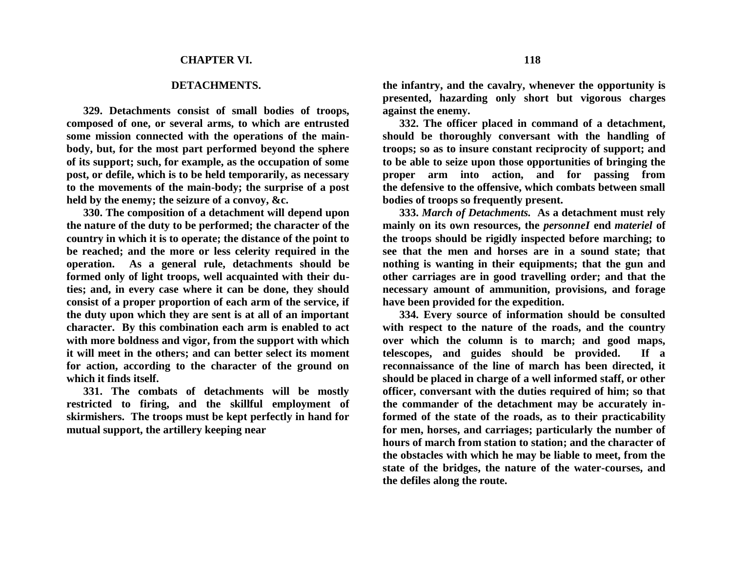## **DETACHMENTS.**

**329. Detachments consist of small bodies of troops, composed of one, or several arms, to which are entrusted some mission connected with the operations of the mainbody, but, for the most part performed beyond the sphere of its support; such, for example, as the occupation of some post, or defile, which is to be held temporarily, as necessary to the movements of the main-body; the surprise of a post held by the enemy; the seizure of a convoy, &c.**

**330. The composition of a detachment will depend upon the nature of the duty to be performed; the character of the country in which it is to operate; the distance of the point to be reached; and the more or less celerity required in the operation. As a general rule, detachments should be formed only of light troops, well acquainted with their duties; and, in every case where it can be done, they should consist of a proper proportion of each arm of the service, if the duty upon which they are sent is at all of an important character. By this combination each arm is enabled to act with more boldness and vigor, from the support with which it will meet in the others; and can better select its moment for action, according to the character of the ground on which it finds itself.**

**331. The combats of detachments will be mostly restricted to firing, and the skillful employment of skirmishers. The troops must be kept perfectly in hand for mutual support, the artillery keeping near**

**the infantry, and the cavalry, whenever the opportunity is presented, hazarding only short but vigorous charges against the enemy.**

**332. The officer placed in command of a detachment, should be thoroughly conversant with the handling of troops; so as to insure constant reciprocity of support; and to be able to seize upon those opportunities of bringing the proper arm into action, and for passing from the defensive to the offensive, which combats between small bodies of troops so frequently present.**

**333.** *March of Detachments.* **As a detachment must rely mainly on its own resources, the** *personneI* **end** *materiel* **of the troops should be rigidly inspected before marching; to see that the men and horses are in a sound state; that nothing is wanting in their equipments; that the gun and other carriages are in good travelling order; and that the necessary amount of ammunition, provisions, and forage have been provided for the expedition.**

**334. Every source of information should be consulted with respect to the nature of the roads, and the country over which the column is to march; and good maps, telescopes, and guides should be provided. If a reconnaissance of the line of march has been directed, it should be placed in charge of a well informed staff, or other officer, conversant with the duties required of him; so that the commander of the detachment may be accurately informed of the state of the roads, as to their practicability for men, horses, and carriages; particularly the number of hours of march from station to station; and the character of the obstacles with which he may be liable to meet, from the state of the bridges, the nature of the water-courses, and the defiles along the route.**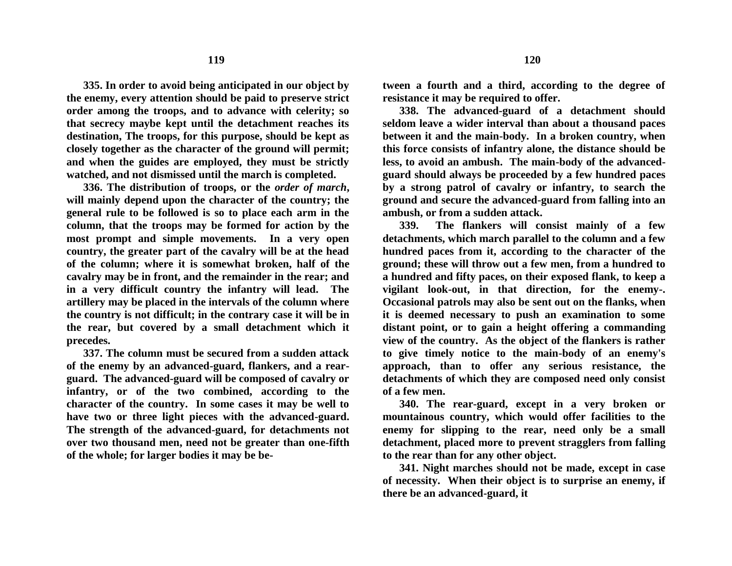**335. In order to avoid being anticipated in our object by the enemy, every attention should be paid to preserve strict order among the troops, and to advance with celerity; so that secrecy maybe kept until the detachment reaches its destination, The troops, for this purpose, should be kept as closely together as the character of the ground will permit; and when the guides are employed, they must be strictly watched, and not dismissed until the march is completed.**

**336. The distribution of troops, or the** *order of march***, will mainly depend upon the character of the country; the general rule to be followed is so to place each arm in the column, that the troops may be formed for action by the most prompt and simple movements. In a very open country, the greater part of the cavalry will be at the head of the column; where it is somewhat broken, half of the cavalry may be in front, and the remainder in the rear; and in a very difficult country the infantry will lead. The artillery may be placed in the intervals of the column where the country is not difficult; in the contrary case it will be in the rear, but covered by a small detachment which it precedes.**

**337. The column must be secured from a sudden attack of the enemy by an advanced-guard, flankers, and a rearguard. The advanced-guard will be composed of cavalry or infantry, or of the two combined, according to the character of the country. In some cases it may be well to have two or three light pieces with the advanced-guard. The strength of the advanced-guard, for detachments not over two thousand men, need not be greater than one-fifth of the whole; for larger bodies it may be be-** **tween a fourth and a third, according to the degree of resistance it may be required to offer.**

**338. The advanced-guard of a detachment should seldom leave a wider interval than about a thousand paces between it and the main-body. In a broken country, when this force consists of infantry alone, the distance should be less, to avoid an ambush. The main-body of the advancedguard should always be proceeded by a few hundred paces by a strong patrol of cavalry or infantry, to search the ground and secure the advanced-guard from falling into an ambush, or from a sudden attack.**

**339. The flankers will consist mainly of a few detachments, which march parallel to the column and a few hundred paces from it, according to the character of the ground; these will throw out a few men, from a hundred to a hundred and fifty paces, on their exposed flank, to keep a vigilant look-out, in that direction, for the enemy-. Occasional patrols may also be sent out on the flanks, when it is deemed necessary to push an examination to some distant point, or to gain a height offering a commanding view of the country. As the object of the flankers is rather to give timely notice to the main-body of an enemy's approach, than to offer any serious resistance, the detachments of which they are composed need only consist of a few men.**

**340. The rear-guard, except in a very broken or mountainous country, which would offer facilities to the enemy for slipping to the rear, need only be a small detachment, placed more to prevent stragglers from falling to the rear than for any other object.**

**341. Night marches should not be made, except in case of necessity. When their object is to surprise an enemy, if there be an advanced-guard, it**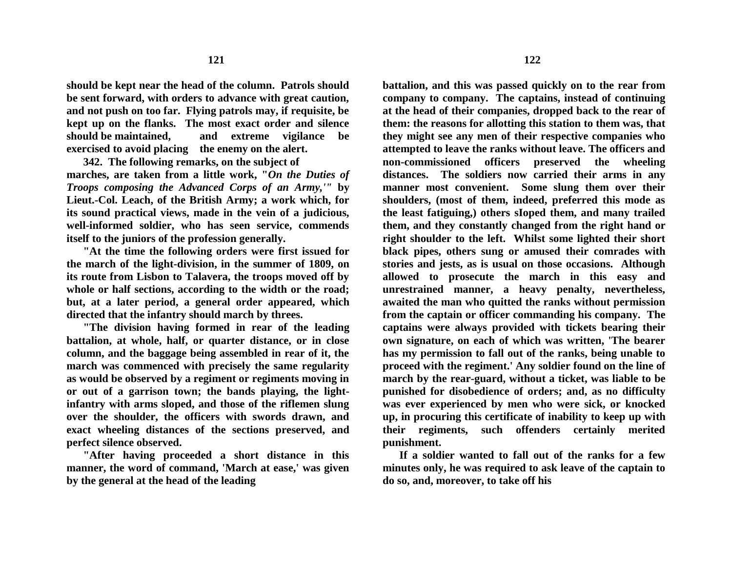**should be kept near the head of the column. Patrols should be sent forward, with orders to advance with great caution, and not push on too far. Flying patrols may, if requisite, be kept up on the flanks. The most exact order and silence should be maintained, and extreme vigilance be exercised to avoid placing the enemy on the alert.**

**342. The following remarks, on the subject of marches, are taken from a little work, "***On the Duties of Troops composing the Advanced Corps of an Army,'"* **by Lieut.-Col. Leach, of the British Army; a work which, for its sound practical views, made in the vein of a judicious, well-informed soldier, who has seen service, commends itself to the juniors of the profession generally.**

**"At the time the following orders were first issued for the march of the light-division, in the summer of 1809, on its route from Lisbon to Talavera, the troops moved off by whole or half sections, according to the width or the road; but, at a later period, a general order appeared, which directed that the infantry should march by threes.**

**"The division having formed in rear of the leading battalion, at whole, half, or quarter distance, or in close column, and the baggage being assembled in rear of it, the march was commenced with precisely the same regularity as would be observed by a regiment or regiments moving in or out of a garrison town; the bands playing, the lightinfantry with arms sloped, and those of the riflemen slung over the shoulder, the officers with swords drawn, and exact wheeling distances of the sections preserved, and perfect silence observed.**

**"After having proceeded a short distance in this manner, the word of command, 'March at ease,' was given by the general at the head of the leading** 

**battalion, and this was passed quickly on to the rear from company to company. The captains, instead of continuing at the head of their companies, dropped back to the rear of them: the reasons for allotting this station to them was, that they might see any men of their respective companies who attempted to leave the ranks without leave. The officers and non-commissioned officers preserved the wheeling distances. The soldiers now carried their arms in any manner most convenient. Some slung them over their shoulders, (most of them, indeed, preferred this mode as the least fatiguing,) others sIoped them, and many trailed them, and they constantly changed from the right hand or right shoulder to the left. Whilst some lighted their short black pipes, others sung or amused their comrades with stories and jests, as is usual on those occasions. Although allowed to prosecute the march in this easy and unrestrained manner, a heavy penalty, nevertheless, awaited the man who quitted the ranks without permission from the captain or officer commanding his company. The captains were always provided with tickets bearing their own signature, on each of which was written, 'The bearer has my permission to fall out of the ranks, being unable to proceed with the regiment.' Any soldier found on the line of march by the rear-guard, without a ticket, was liable to be punished for disobedience of orders; and, as no difficulty was ever experienced by men who were sick, or knocked up, in procuring this certificate of inability to keep up with their regiments, such offenders certainly merited punishment.**

**If a soldier wanted to fall out of the ranks for a few minutes only, he was required to ask leave of the captain to do so, and, moreover, to take off his**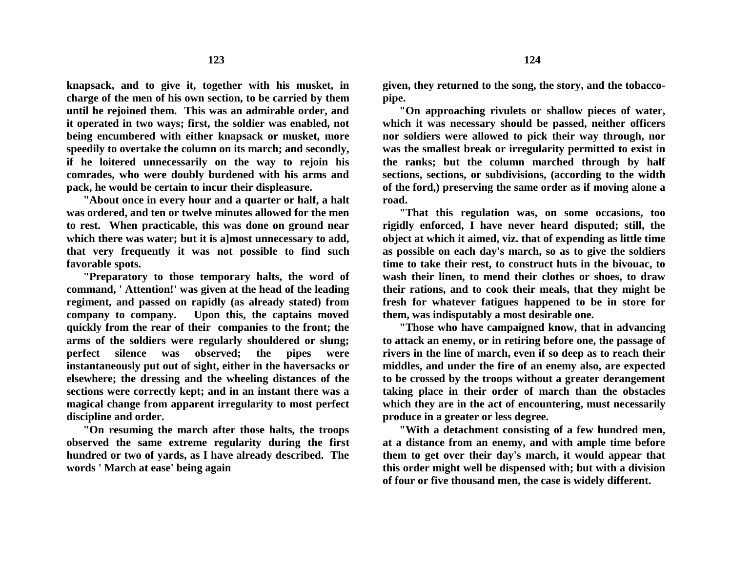**knapsack, and to give it, together with his musket, in charge of the men of his own section, to be carried by them until he rejoined them. This was an admirable order, and it operated in two ways; first, the soldier was enabled, not being encumbered with either knapsack or musket, more speedily to overtake the column on its march; and secondly, if he loitered unnecessarily on the way to rejoin his comrades, who were doubly burdened with his arms and pack, he would be certain to incur their displeasure.**

**"About once in every hour and a quarter or half, a halt was ordered, and ten or twelve minutes allowed for the men to rest. When practicable, this was done on ground near which there was water; but it is a]most unnecessary to add, that very frequently it was not possible to find such favorable spots.**

**"Preparatory to those temporary halts, the word of command, ' Attention!' was given at the head of the leading regiment, and passed on rapidly (as already stated) from company to company. Upon this, the captains moved quickly from the rear of their companies to the front; the arms of the soldiers were regularly shouldered or slung; perfect silence was observed; the pipes were instantaneously put out of sight, either in the haversacks or elsewhere; the dressing and the wheeling distances of the sections were correctly kept; and in an instant there was a magical change from apparent irregularity to most perfect discipline and order.** 

**"On resuming the march after those halts, the troops observed the same extreme regularity during the first hundred or two of yards, as I have already described. The words ' March at ease' being again**

**given, they returned to the song, the story, and the tobaccopipe.**

**"On approaching rivulets or shallow pieces of water, which it was necessary should be passed, neither officers nor soldiers were allowed to pick their way through, nor was the smallest break or irregularity permitted to exist in the ranks; but the column marched through by half sections, sections, or subdivisions, (according to the width of the ford,) preserving the same order as if moving alone a road.**

**"That this regulation was, on some occasions, too rigidly enforced, I have never heard disputed; still, the object at which it aimed, viz. that of expending as little time as possible on each day's march, so as to give the soldiers time to take their rest, to construct huts in the bivouac, to wash their linen, to mend their clothes or shoes, to draw their rations, and to cook their meals, that they might be fresh for whatever fatigues happened to be in store for them, was indisputably a most desirable one.**

**"Those who have campaigned know, that in advancing to attack an enemy, or in retiring before one, the passage of rivers in the line of march, even if so deep as to reach their middles, and under the fire of an enemy also, are expected to be crossed by the troops without a greater derangement taking place in their order of march than the obstacles which they are in the act of encountering, must necessarily produce in a greater or less degree.**

**"With a detachment consisting of a few hundred men, at a distance from an enemy, and with ample time before them to get over their day's march, it would appear that this order might well be dispensed with; but with a division of four or five thousand men, the case is widely different.**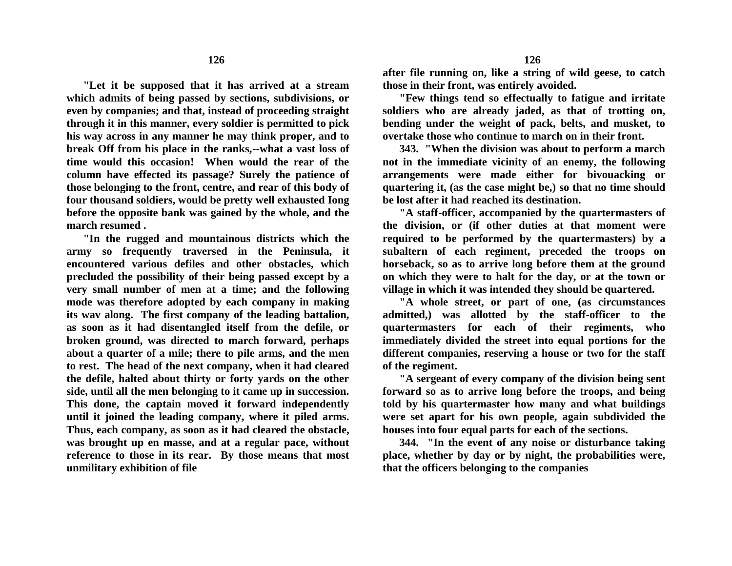**"Let it be supposed that it has arrived at a stream which admits of being passed by sections, subdivisions, or even by companies; and that, instead of proceeding straight through it in this manner, every soldier is permitted to pick his way across in any manner he may think proper, and to break Off from his place in the ranks,--what a vast loss of time would this occasion! When would the rear of the column have effected its passage? Surely the patience of those belonging to the front, centre, and rear of this body of four thousand soldiers, would be pretty well exhausted Iong before the opposite bank was gained by the whole, and the march resumed .**

**"In the rugged and mountainous districts which the army so frequently traversed in the Peninsula, it encountered various defiles and other obstacles, which precluded the possibility of their being passed except by a very small number of men at a time; and the following mode was therefore adopted by each company in making its wav along. The first company of the leading battalion, as soon as it had disentangled itself from the defile, or broken ground, was directed to march forward, perhaps about a quarter of a mile; there to pile arms, and the men to rest. The head of the next company, when it had cleared the defile, halted about thirty or forty yards on the other side, until all the men belonging to it came up in succession. This done, the captain moved it forward independently until it joined the leading company, where it piled arms. Thus, each company, as soon as it had cleared the obstacle, was brought up en masse, and at a regular pace, without reference to those in its rear. By those means that most unmilitary exhibition of file**

**after file running on, like a string of wild geese, to catch those in their front, was entirely avoided.**

**"Few things tend so effectually to fatigue and irritate soldiers who are already jaded, as that of trotting on, bending under the weight of pack, belts, and musket, to overtake those who continue to march on in their front.**

**343. "When the division was about to perform a march not in the immediate vicinity of an enemy, the following arrangements were made either for bivouacking or quartering it, (as the case might be,) so that no time should be lost after it had reached its destination.**

**"A staff-officer, accompanied by the quartermasters of the division, or (if other duties at that moment were required to be performed by the quartermasters) by a subaltern of each regiment, preceded the troops on horseback, so as to arrive long before them at the ground on which they were to halt for the day, or at the town or village in which it was intended they should be quartered.**

**"A whole street, or part of one, (as circumstances admitted,) was allotted by the staff-officer to the quartermasters for each of their regiments, who immediately divided the street into equal portions for the different companies, reserving a house or two for the staff of the regiment.**

**"A sergeant of every company of the division being sent forward so as to arrive long before the troops, and being told by his quartermaster how many and what buildings were set apart for his own people, again subdivided the houses into four equal parts for each of the sections.**

**344. "In the event of any noise or disturbance taking place, whether by day or by night, the probabilities were, that the officers belonging to the companies**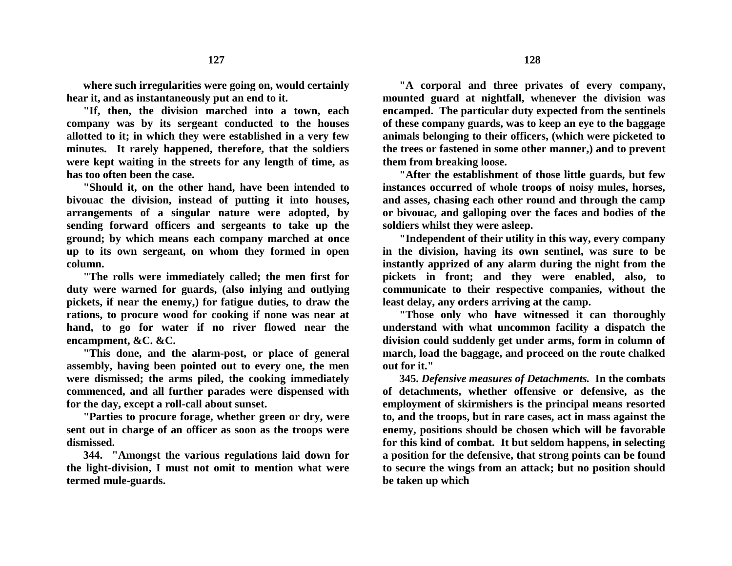**where such irregularities were going on, would certainly hear it, and as instantaneously put an end to it.** 

**"If, then, the division marched into a town, each company was by its sergeant conducted to the houses allotted to it; in which they were established in a very few minutes. It rarely happened, therefore, that the soldiers were kept waiting in the streets for any length of time, as has too often been the case.**

**"Should it, on the other hand, have been intended to bivouac the division, instead of putting it into houses, arrangements of a singular nature were adopted, by sending forward officers and sergeants to take up the ground; by which means each company marched at once up to its own sergeant, on whom they formed in open column.**

**"The rolls were immediately called; the men first for duty were warned for guards, (also inlying and outlying pickets, if near the enemy,) for fatigue duties, to draw the rations, to procure wood for cooking if none was near at hand, to go for water if no river flowed near the encampment, &C. &C.**

**"This done, and the alarm-post, or place of general assembly, having been pointed out to every one, the men were dismissed; the arms piled, the cooking immediately commenced, and all further parades were dispensed with for the day, except a roll-call about sunset.**

**"Parties to procure forage, whether green or dry, were sent out in charge of an officer as soon as the troops were dismissed.**

**344. "Amongst the various regulations laid down for the light-division, I must not omit to mention what were termed mule-guards.**

**"A corporal and three privates of every company, mounted guard at nightfall, whenever the division was encamped. The particular duty expected from the sentinels of these company guards, was to keep an eye to the baggage animals belonging to their officers, (which were picketed to the trees or fastened in some other manner,) and to prevent them from breaking loose.**

**"After the establishment of those little guards, but few instances occurred of whole troops of noisy mules, horses, and asses, chasing each other round and through the camp or bivouac, and galloping over the faces and bodies of the soldiers whilst they were asleep.**

**"Independent of their utility in this way, every company in the division, having its own sentinel, was sure to be instantly apprized of any alarm during the night from the pickets in front; and they were enabled, also, to communicate to their respective companies, without the least delay, any orders arriving at the camp.**

**"Those only who have witnessed it can thoroughly understand with what uncommon facility a dispatch the division could suddenly get under arms, form in column of march, load the baggage, and proceed on the route chalked out for it."**

**345.** *Defensive measures of Detachments.* **In the combats of detachments, whether offensive or defensive, as the employment of skirmishers is the principal means resorted to, and the troops, but in rare cases, act in mass against the enemy, positions should be chosen which will be favorable for this kind of combat. It but seldom happens, in selecting a position for the defensive, that strong points can be found to secure the wings from an attack; but no position should be taken up which**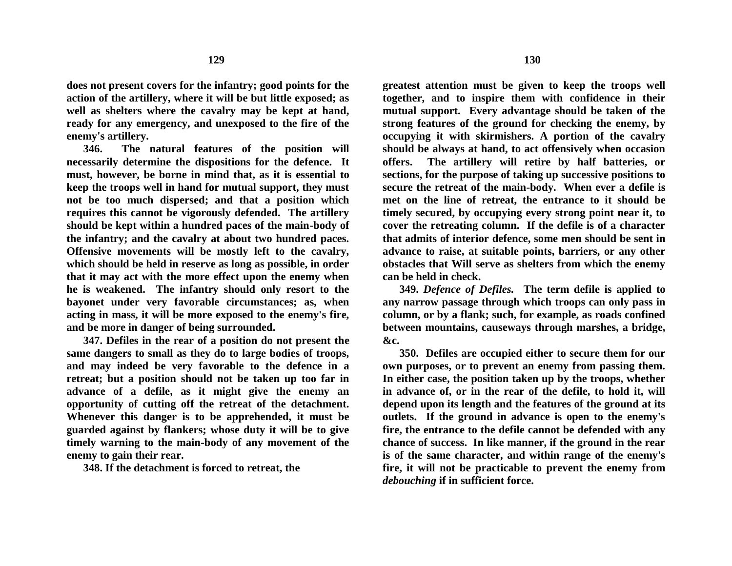**does not present covers for the infantry; good points for the action of the artillery, where it will be but little exposed; as well as shelters where the cavalry may be kept at hand, ready for any emergency, and unexposed to the fire of the enemy's artillery.**

**346. The natural features of the position will necessarily determine the dispositions for the defence. It must, however, be borne in mind that, as it is essential to keep the troops well in hand for mutual support, they must not be too much dispersed; and that a position which requires this cannot be vigorously defended. The artillery should be kept within a hundred paces of the main-body of the infantry; and the cavalry at about two hundred paces. Offensive movements will be mostly left to the cavalry, which should be held in reserve as long as possible, in order that it may act with the more effect upon the enemy when he is weakened. The infantry should only resort to the bayonet under very favorable circumstances; as, when acting in mass, it will be more exposed to the enemy's fire, and be more in danger of being surrounded.**

**347. Defiles in the rear of a position do not present the same dangers to small as they do to large bodies of troops, and may indeed be very favorable to the defence in a retreat; but a position should not be taken up too far in advance of a defile, as it might give the enemy an opportunity of cutting off the retreat of the detachment. Whenever this danger is to be apprehended, it must be guarded against by flankers; whose duty it will be to give timely warning to the main-body of any movement of the enemy to gain their rear.**

**348. If the detachment is forced to retreat, the**

**greatest attention must be given to keep the troops well together, and to inspire them with confidence in their mutual support. Every advantage should be taken of the strong features of the ground for checking the enemy, by occupying it with skirmishers. A portion of the cavalry should be always at hand, to act offensively when occasion offers. The artillery will retire by half batteries, or sections, for the purpose of taking up successive positions to secure the retreat of the main-body. When ever a defile is met on the line of retreat, the entrance to it should be timely secured, by occupying every strong point near it, to cover the retreating column. If the defile is of a character that admits of interior defence, some men should be sent in advance to raise, at suitable points, barriers, or any other obstacles that Will serve as shelters from which the enemy can be held in check.**

**349.** *Defence of Defiles.* **The term defile is applied to any narrow passage through which troops can only pass in column, or by a flank; such, for example, as roads confined between mountains, causeways through marshes, a bridge, &c.**

**350. Defiles are occupied either to secure them for our own purposes, or to prevent an enemy from passing them. In either case, the position taken up by the troops, whether in advance of, or in the rear of the defile, to hold it, will depend upon its length and the features of the ground at its outlets. If the ground in advance is open to the enemy's fire, the entrance to the defile cannot be defended with any chance of success. In like manner, if the ground in the rear is of the same character, and within range of the enemy's fire, it will not be practicable to prevent the enemy from**  *debouching* **if in sufficient force.**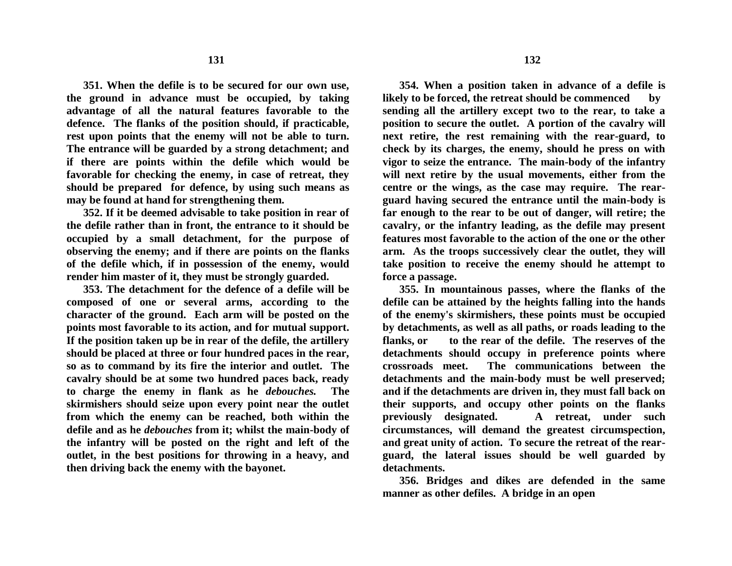**351. When the defile is to be secured for our own use, the ground in advance must be occupied, by taking advantage of all the natural features favorable to the defence. The flanks of the position should, if practicable, rest upon points that the enemy will not be able to turn. The entrance will be guarded by a strong detachment; and if there are points within the defile which would be favorable for checking the enemy, in case of retreat, they should be prepared for defence, by using such means as may be found at hand for strengthening them.**

**352. If it be deemed advisable to take position in rear of the defile rather than in front, the entrance to it should be occupied by a small detachment, for the purpose of observing the enemy; and if there are points on the flanks of the defile which, if in possession of the enemy, would render him master of it, they must be strongly guarded.**

**353. The detachment for the defence of a defile will be composed of one or several arms, according to the character of the ground. Each arm will be posted on the points most favorable to its action, and for mutual support. If the position taken up be in rear of the defile, the artillery should be placed at three or four hundred paces in the rear, so as to command by its fire the interior and outlet. The cavalry should be at some two hundred paces back, ready to charge the enemy in flank as he** *debouches.* **The skirmishers should seize upon every point near the outlet from which the enemy can be reached, both within the defile and as he** *debouches* **from it; whilst the main-body of the infantry will be posted on the right and left of the outlet, in the best positions for throwing in a heavy, and then driving back the enemy with the bayonet.**

**354. When a position taken in advance of a defile is likely to be forced, the retreat should be commenced by sending all the artillery except two to the rear, to take a** 

**position to secure the outlet. A portion of the cavalry will next retire, the rest remaining with the rear-guard, to check by its charges, the enemy, should he press on with vigor to seize the entrance. The main-body of the infantry will next retire by the usual movements, either from the centre or the wings, as the case may require. The rearguard having secured the entrance until the main-body is far enough to the rear to be out of danger, will retire; the cavalry, or the infantry leading, as the defile may present features most favorable to the action of the one or the other arm. As the troops successively clear the outlet, they will take position to receive the enemy should he attempt to force a passage.**

**355. In mountainous passes, where the flanks of the defile can be attained by the heights falling into the hands of the enemy's skirmishers, these points must be occupied by detachments, as well as all paths, or roads leading to the flanks, or to the rear of the defile. The reserves of the detachments should occupy in preference points where crossroads meet. The communications between the detachments and the main-body must be well preserved; and if the detachments are driven in, they must fall back on their supports, and occupy other points on the flanks previously designated. A retreat, under such circumstances, will demand the greatest circumspection, and great unity of action. To secure the retreat of the rearguard, the lateral issues should be well guarded by detachments.**

**356. Bridges and dikes are defended in the same manner as other defiles. A bridge in an open**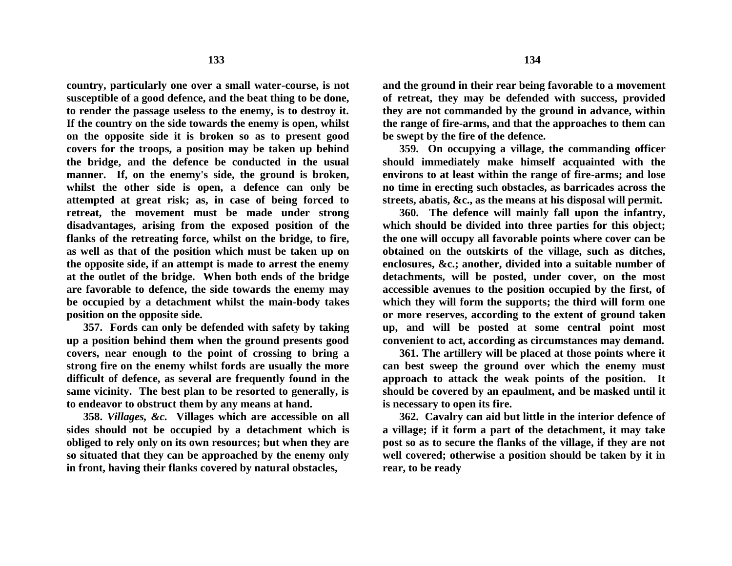**country, particularly one over a small water-course, is not susceptible of a good defence, and the beat thing to be done, to render the passage useless to the enemy, is to destroy it. If the country on the side towards the enemy is open, whilst on the opposite side it is broken so as to present good covers for the troops, a position may be taken up behind the bridge, and the defence be conducted in the usual manner. If, on the enemy's side, the ground is broken, whilst the other side is open, a defence can only be attempted at great risk; as, in case of being forced to retreat, the movement must be made under strong disadvantages, arising from the exposed position of the flanks of the retreating force, whilst on the bridge, to fire, as well as that of the position which must be taken up on the opposite side, if an attempt is made to arrest the enemy at the outlet of the bridge. When both ends of the bridge are favorable to defence, the side towards the enemy may be occupied by a detachment whilst the main-body takes position on the opposite side.**

**357. Fords can only be defended with safety by taking up a position behind them when the ground presents good covers, near enough to the point of crossing to bring a strong fire on the enemy whilst fords are usually the more difficult of defence, as several are frequently found in the same vicinity. The best plan to be resorted to generally, is to endeavor to obstruct them by any means at hand.**

**358.** *Villages, &c.* **Villages which are accessible on all sides should not be occupied by a detachment which is obliged to rely only on its own resources; but when they are so situated that they can be approached by the enemy only in front, having their flanks covered by natural obstacles,**

**and the ground in their rear being favorable to a movement of retreat, they may be defended with success, provided they are not commanded by the ground in advance, within the range of fire-arms, and that the approaches to them can be swept by the fire of the defence.**

**359. On occupying a village, the commanding officer should immediately make himself acquainted with the environs to at least within the range of fire-arms; and lose no time in erecting such obstacles, as barricades across the streets, abatis, &c., as the means at his disposal will permit.**

**360. The defence will mainly fall upon the infantry, which should be divided into three parties for this object; the one will occupy all favorable points where cover can be obtained on the outskirts of the village, such as ditches, enclosures, &c.; another, divided into a suitable number of detachments, will be posted, under cover, on the most accessible avenues to the position occupied by the first, of which they will form the supports; the third will form one or more reserves, according to the extent of ground taken up, and will be posted at some central point most convenient to act, according as circumstances may demand.**

**361. The artillery will be placed at those points where it can best sweep the ground over which the enemy must approach to attack the weak points of the position. It should be covered by an epaulment, and be masked until it is necessary to open its fire.**

**362. Cavalry can aid but little in the interior defence of a village; if it form a part of the detachment, it may take post so as to secure the flanks of the village, if they are not well covered; otherwise a position should be taken by it in rear, to be ready**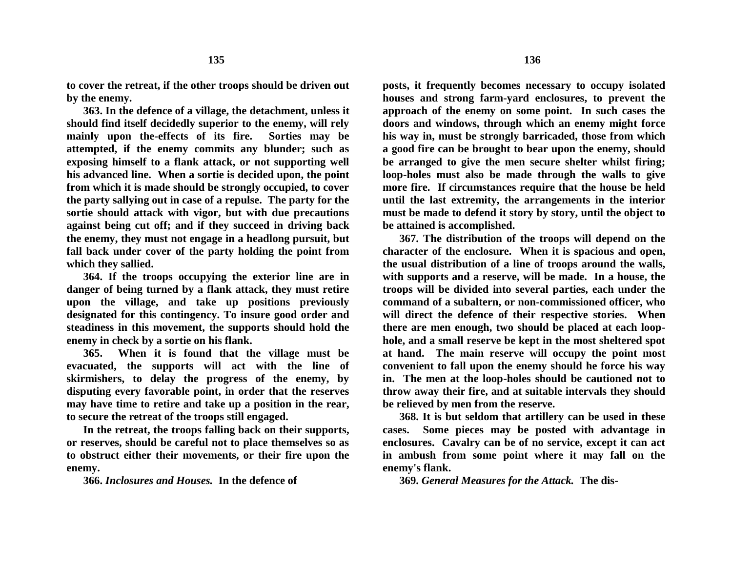**to cover the retreat, if the other troops should be driven out by the enemy.**

**363. In the defence of a village, the detachment, unless it should find itself decidedly superior to the enemy, will rely mainly upon the-effects of its fire. Sorties may be attempted, if the enemy commits any blunder; such as exposing himself to a flank attack, or not supporting well his advanced line. When a sortie is decided upon, the point from which it is made should be strongly occupied, to cover the party sallying out in case of a repulse. The party for the sortie should attack with vigor, but with due precautions against being cut off; and if they succeed in driving back the enemy, they must not engage in a headlong pursuit, but fall back under cover of the party holding the point from which they sallied.**

**364. If the troops occupying the exterior line are in danger of being turned by a flank attack, they must retire upon the village, and take up positions previously designated for this contingency. To insure good order and steadiness in this movement, the supports should hold the enemy in check by a sortie on his flank.**

**365. When it is found that the village must be evacuated, the supports will act with the line of skirmishers, to delay the progress of the enemy, by disputing every favorable point, in order that the reserves may have time to retire and take up a position in the rear, to secure the retreat of the troops still engaged.**

**In the retreat, the troops falling back on their supports, or reserves, should be careful not to place themselves so as to obstruct either their movements, or their fire upon the enemy.**

**366.** *Inclosures and Houses.* **In the defence of**

**posts, it frequently becomes necessary to occupy isolated houses and strong farm-yard enclosures, to prevent the approach of the enemy on some point. In such cases the doors and windows, through which an enemy might force his way in, must be strongly barricaded, those from which a good fire can be brought to bear upon the enemy, should be arranged to give the men secure shelter whilst firing; loop-holes must also be made through the walls to give more fire. If circumstances require that the house be held until the last extremity, the arrangements in the interior must be made to defend it story by story, until the object to be attained is accomplished.**

**367. The distribution of the troops will depend on the character of the enclosure. When it is spacious and open, the usual distribution of a line of troops around the walls, with supports and a reserve, will be made. In a house, the troops will be divided into several parties, each under the command of a subaltern, or non-commissioned officer, who will direct the defence of their respective stories. When there are men enough, two should be placed at each loophole, and a small reserve be kept in the most sheltered spot at hand. The main reserve will occupy the point most convenient to fall upon the enemy should he force his way in. The men at the loop-holes should be cautioned not to throw away their fire, and at suitable intervals they should be relieved by men from the reserve.**

**368. It is but seldom that artillery can be used in these cases. Some pieces may be posted with advantage in enclosures. Cavalry can be of no service, except it can act in ambush from some point where it may fall on the enemy's flank.**

**369.** *General Measures for the Attack.* **The dis-**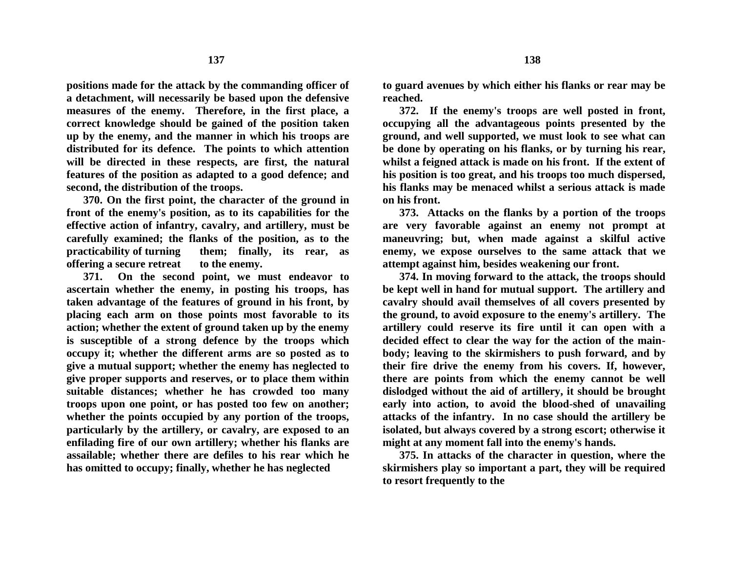**positions made for the attack by the commanding officer of a detachment, will necessarily be based upon the defensive measures of the enemy. Therefore, in the first place, a correct knowledge should be gained of the position taken up by the enemy, and the manner in which his troops are distributed for its defence. The points to which attention will be directed in these respects, are first, the natural features of the position as adapted to a good defence; and second, the distribution of the troops.**

**370. On the first point, the character of the ground in front of the enemy's position, as to its capabilities for the effective action of infantry, cavalry, and artillery, must be carefully examined; the flanks of the position, as to the practicability of turning them; finally, its rear, as offering a secure retreat to the enemy.**

**371. On the second point, we must endeavor to ascertain whether the enemy, in posting his troops, has taken advantage of the features of ground in his front, by placing each arm on those points most favorable to its action; whether the extent of ground taken up by the enemy is susceptible of a strong defence by the troops which occupy it; whether the different arms are so posted as to give a mutual support; whether the enemy has neglected to give proper supports and reserves, or to place them within suitable distances; whether he has crowded too many troops upon one point, or has posted too few on another; whether the points occupied by any portion of the troops, particularly by the artillery, or cavalry, are exposed to an enfilading fire of our own artillery; whether his flanks are assailable; whether there are defiles to his rear which he has omitted to occupy; finally, whether he has neglected**

**to guard avenues by which either his flanks or rear may be reached.**

**372. If the enemy's troops are well posted in front, occupying all the advantageous points presented by the ground, and well supported, we must look to see what can be done by operating on his flanks, or by turning his rear, whilst a feigned attack is made on his front. If the extent of his position is too great, and his troops too much dispersed, his flanks may be menaced whilst a serious attack is made on his front.**

**373. Attacks on the flanks by a portion of the troops are very favorable against an enemy not prompt at maneuvring; but, when made against a skilful active enemy, we expose ourselves to the same attack that we attempt against him, besides weakening our front.**

**374. In moving forward to the attack, the troops should be kept well in hand for mutual support. The artillery and cavalry should avail themselves of all covers presented by the ground, to avoid exposure to the enemy's artillery. The artillery could reserve its fire until it can open with a decided effect to clear the way for the action of the mainbody; leaving to the skirmishers to push forward, and by their fire drive the enemy from his covers. If, however, there are points from which the enemy cannot be well dislodged without the aid of artillery, it should be brought early into action, to avoid the blood-shed of unavailing attacks of the infantry. In no case should the artillery be isolated, but always covered by a strong escort; otherwise it might at any moment fall into the enemy's hands.**

**375. In attacks of the character in question, where the skirmishers play so important a part, they will be required to resort frequently to the**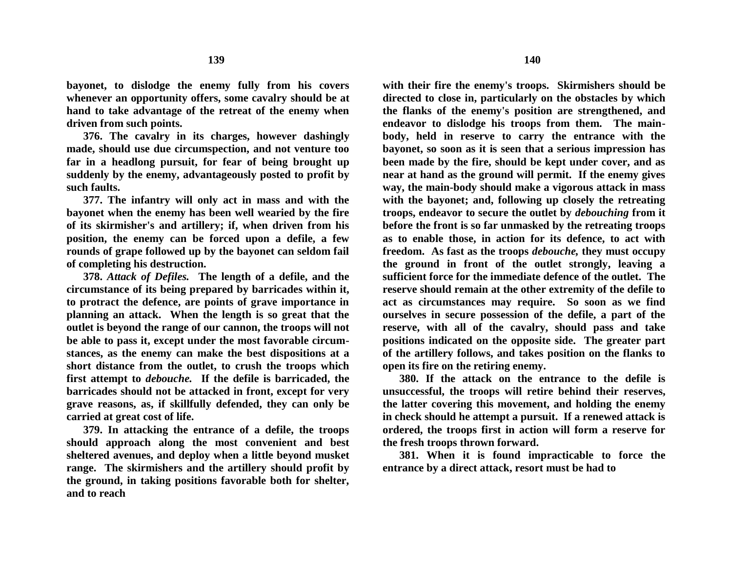**bayonet, to dislodge the enemy fully from his covers whenever an opportunity offers, some cavalry should be at hand to take advantage of the retreat of the enemy when driven from such points.**

**376. The cavalry in its charges, however dashingly made, should use due circumspection, and not venture too far in a headlong pursuit, for fear of being brought up suddenly by the enemy, advantageously posted to profit by such faults.**

**377. The infantry will only act in mass and with the bayonet when the enemy has been well wearied by the fire of its skirmisher's and artillery; if, when driven from his position, the enemy can be forced upon a defile, a few rounds of grape followed up by the bayonet can seldom fail of completing his destruction.**

**378.** *Attack of Defiles.* **The length of a defile, and the circumstance of its being prepared by barricades within it, to protract the defence, are points of grave importance in planning an attack. When the length is so great that the outlet is beyond the range of our cannon, the troops will not be able to pass it, except under the most favorable circumstances, as the enemy can make the best dispositions at a short distance from the outlet, to crush the troops which first attempt to** *debouche.* **If the defile is barricaded, the barricades should not be attacked in front, except for very grave reasons, as, if skillfully defended, they can only be carried at great cost of life.**

**379. In attacking the entrance of a defile, the troops should approach along the most convenient and best sheltered avenues, and deploy when a little beyond musket range. The skirmishers and the artillery should profit by the ground, in taking positions favorable both for shelter, and to reach**

**with their fire the enemy's troops. Skirmishers should be directed to close in, particularly on the obstacles by which the flanks of the enemy's position are strengthened, and endeavor to dislodge his troops from them. The mainbody, held in reserve to carry the entrance with the bayonet, so soon as it is seen that a serious impression has been made by the fire, should be kept under cover, and as near at hand as the ground will permit. If the enemy gives way, the main-body should make a vigorous attack in mass with the bayonet; and, following up closely the retreating troops, endeavor to secure the outlet by** *debouching* **from it before the front is so far unmasked by the retreating troops as to enable those, in action for its defence, to act with freedom. As fast as the troops** *debouche,* **they must occupy the ground in front of the outlet strongly, leaving a sufficient force for the immediate defence of the outlet. The reserve should remain at the other extremity of the defile to act as circumstances may require. So soon as we find ourselves in secure possession of the defile, a part of the reserve, with all of the cavalry, should pass and take positions indicated on the opposite side. The greater part of the artillery follows, and takes position on the flanks to open its fire on the retiring enemy.**

**380. If the attack on the entrance to the defile is unsuccessful, the troops will retire behind their reserves, the latter covering this movement, and holding the enemy in check should he attempt a pursuit. If a renewed attack is ordered, the troops first in action will form a reserve for the fresh troops thrown forward.**

**381. When it is found impracticable to force the entrance by a direct attack, resort must be had to**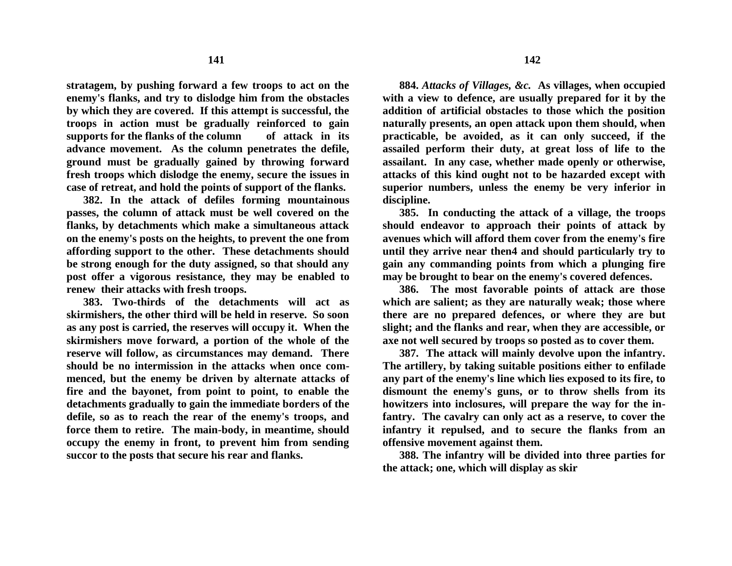**stratagem, by pushing forward a few troops to act on the enemy's flanks, and try to dislodge him from the obstacles by which they are covered. If this attempt is successful, the troops in action must be gradually reinforced to gain supports for the flanks of the column of attack in its advance movement. As the column penetrates the defile, ground must be gradually gained by throwing forward fresh troops which dislodge the enemy, secure the issues in case of retreat, and hold the points of support of the flanks.**

**382. In the attack of defiles forming mountainous passes, the column of attack must be well covered on the flanks, by detachments which make a simultaneous attack on the enemy's posts on the heights, to prevent the one from affording support to the other. These detachments should be strong enough for the duty assigned, so that should any post offer a vigorous resistance, they may be enabled to renew their attacks with fresh troops.**

**383. Two-thirds of the detachments will act as skirmishers, the other third will be held in reserve. So soon as any post is carried, the reserves will occupy it. When the skirmishers move forward, a portion of the whole of the reserve will follow, as circumstances may demand. There should be no intermission in the attacks when once commenced, but the enemy be driven by alternate attacks of fire and the bayonet, from point to point, to enable the detachments gradually to gain the immediate borders of the defile, so as to reach the rear of the enemy's troops, and force them to retire. The main-body, in meantime, should occupy the enemy in front, to prevent him from sending succor to the posts that secure his rear and flanks.**

**884.** *Attacks of Villages, &c.* **As villages, when occupied with a view to defence, are usually prepared for it by the addition of artificial obstacles to those which the position naturally presents, an open attack upon them should, when practicable, be avoided, as it can only succeed, if the assailed perform their duty, at great loss of life to the assailant. In any case, whether made openly or otherwise, attacks of this kind ought not to be hazarded except with superior numbers, unless the enemy be very inferior in discipline.**

**385. In conducting the attack of a village, the troops should endeavor to approach their points of attack by avenues which will afford them cover from the enemy's fire until they arrive near then4 and should particularly try to gain any commanding points from which a plunging fire may be brought to bear on the enemy's covered defences.**

**386. The most favorable points of attack are those which are salient; as they are naturally weak; those where there are no prepared defences, or where they are but slight; and the flanks and rear, when they are accessible, or axe not well secured by troops so posted as to cover them.**

**387. The attack will mainly devolve upon the infantry. The artillery, by taking suitable positions either to enfilade any part of the enemy's line which lies exposed to its fire, to dismount the enemy's guns, or to throw shells from its howitzers into inclosures, will prepare the way for the infantry. The cavalry can only act as a reserve, to cover the infantry it repulsed, and to secure the flanks from an offensive movement against them.**

**388. The infantry will be divided into three parties for the attack; one, which will display as skir**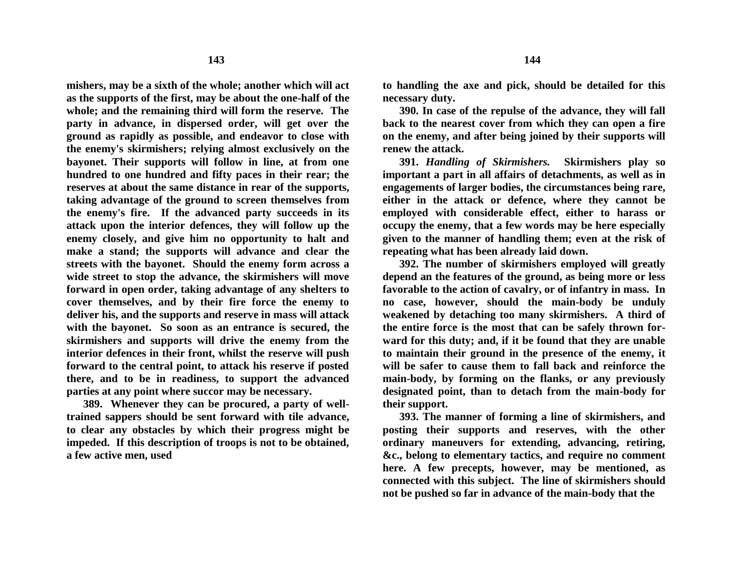**mishers, may be a sixth of the whole; another which will act as the supports of the first, may be about the one-half of the whole; and the remaining third will form the reserve. The party in advance, in dispersed order, will get over the ground as rapidly as possible, and endeavor to close with the enemy's skirmishers; relying almost exclusively on the bayonet. Their supports will follow in line, at from one hundred to one hundred and fifty paces in their rear; the reserves at about the same distance in rear of the supports, taking advantage of the ground to screen themselves from the enemy's fire. If the advanced party succeeds in its attack upon the interior defences, they will follow up the enemy closely, and give him no opportunity to halt and make a stand; the supports will advance and clear the streets with the bayonet. Should the enemy form across a wide street to stop the advance, the skirmishers will move forward in open order, taking advantage of any shelters to cover themselves, and by their fire force the enemy to deliver his, and the supports and reserve in mass will attack with the bayonet. So soon as an entrance is secured, the skirmishers and supports will drive the enemy from the interior defences in their front, whilst the reserve will push forward to the central point, to attack his reserve if posted there, and to be in readiness, to support the advanced parties at any point where succor may be necessary.**

**389. Whenever they can be procured, a party of welltrained sappers should be sent forward with tile advance, to clear any obstacles by which their progress might be impeded. If this description of troops is not to be obtained, a few active men, used**

**to handling the axe and pick, should be detailed for this necessary duty.**

**390. In case of the repulse of the advance, they will fall back to the nearest cover from which they can open a fire on the enemy, and after being joined by their supports will renew the attack.**

**391.** *Handling of Skirmishers.* **Skirmishers play so important a part in all affairs of detachments, as well as in engagements of larger bodies, the circumstances being rare, either in the attack or defence, where they cannot be employed with considerable effect, either to harass or occupy the enemy, that a few words may be here especially given to the manner of handling them; even at the risk of repeating what has been already laid down.**

**392. The number of skirmishers employed will greatly depend an the features of the ground, as being more or less favorable to the action of cavalry, or of infantry in mass. In no case, however, should the main-body be unduly weakened by detaching too many skirmishers. A third of the entire force is the most that can be safely thrown forward for this duty; and, if it be found that they are unable to maintain their ground in the presence of the enemy, it will be safer to cause them to fall back and reinforce the main-body, by forming on the flanks, or any previously designated point, than to detach from the main-body for their support.**

**393. The manner of forming a line of skirmishers, and posting their supports and reserves, with the other ordinary maneuvers for extending, advancing, retiring, &c., belong to elementary tactics, and require no comment here. A few precepts, however, may be mentioned, as connected with this subject. The line of skirmishers should not be pushed so far in advance of the main-body that the**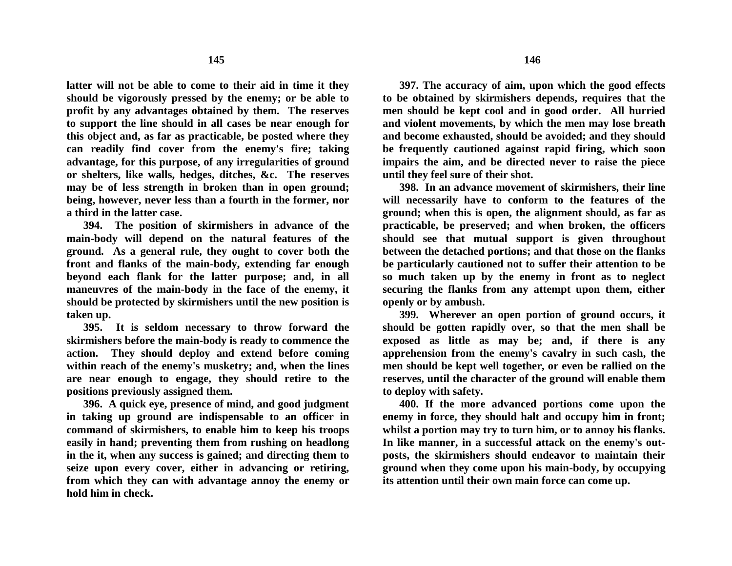**latter will not be able to come to their aid in time it they should be vigorously pressed by the enemy; or be able to profit by any advantages obtained by them. The reserves to support the line should in all cases be near enough for this object and, as far as practicable, be posted where they can readily find cover from the enemy's fire; taking advantage, for this purpose, of any irregularities of ground or shelters, like walls, hedges, ditches, &c. The reserves may be of less strength in broken than in open ground; being, however, never less than a fourth in the former, nor a third in the latter case.** 

**394. The position of skirmishers in advance of the main-body will depend on the natural features of the ground. As a general rule, they ought to cover both the front and flanks of the main-body, extending far enough beyond each flank for the latter purpose; and, in all maneuvres of the main-body in the face of the enemy, it should be protected by skirmishers until the new position is taken up.**

**395. It is seldom necessary to throw forward the skirmishers before the main-body is ready to commence the action. They should deploy and extend before coming within reach of the enemy's musketry; and, when the lines are near enough to engage, they should retire to the positions previously assigned them.** 

**396. A quick eye, presence of mind, and good judgment in taking up ground are indispensable to an officer in command of skirmishers, to enable him to keep his troops easily in hand; preventing them from rushing on headlong in the it, when any success is gained; and directing them to seize upon every cover, either in advancing or retiring, from which they can with advantage annoy the enemy or hold him in check.**

**397. The accuracy of aim, upon which the good effects to be obtained by skirmishers depends, requires that the men should be kept cool and in good order. All hurried and violent movements, by which the men may lose breath and become exhausted, should be avoided; and they should be frequently cautioned against rapid firing, which soon impairs the aim, and be directed never to raise the piece until they feel sure of their shot.**

**398. In an advance movement of skirmishers, their line will necessarily have to conform to the features of the ground; when this is open, the alignment should, as far as practicable, be preserved; and when broken, the officers should see that mutual support is given throughout between the detached portions; and that those on the flanks be particularly cautioned not to suffer their attention to be so much taken up by the enemy in front as to neglect securing the flanks from any attempt upon them, either openly or by ambush.**

**399. Wherever an open portion of ground occurs, it should be gotten rapidly over, so that the men shall be exposed as little as may be; and, if there is any apprehension from the enemy's cavalry in such cash, the men should be kept well together, or even be rallied on the reserves, until the character of the ground will enable them to deploy with safety.**

**400. If the more advanced portions come upon the enemy in force, they should halt and occupy him in front; whilst a portion may try to turn him, or to annoy his flanks. In like manner, in a successful attack on the enemy's outposts, the skirmishers should endeavor to maintain their ground when they come upon his main-body, by occupying its attention until their own main force can come up.**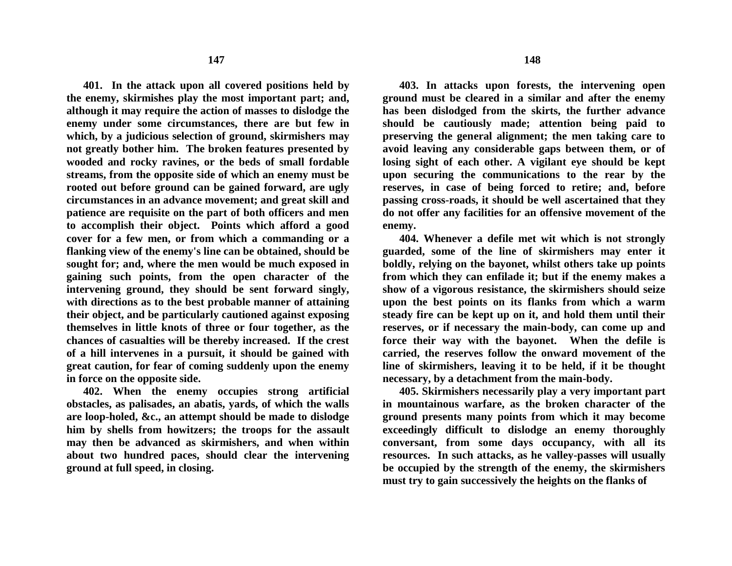**401. In the attack upon all covered positions held by the enemy, skirmishes play the most important part; and, although it may require the action of masses to dislodge the enemy under some circumstances, there are but few in which, by a judicious selection of ground, skirmishers may not greatly bother him. The broken features presented by wooded and rocky ravines, or the beds of small fordable streams, from the opposite side of which an enemy must be rooted out before ground can be gained forward, are ugly circumstances in an advance movement; and great skill and patience are requisite on the part of both officers and men to accomplish their object. Points which afford a good cover for a few men, or from which a commanding or a flanking view of the enemy's line can be obtained, should be sought for; and, where the men would be much exposed in gaining such points, from the open character of the intervening ground, they should be sent forward singly, with directions as to the best probable manner of attaining their object, and be particularly cautioned against exposing themselves in little knots of three or four together, as the chances of casualties will be thereby increased. If the crest of a hill intervenes in a pursuit, it should be gained with great caution, for fear of coming suddenly upon the enemy in force on the opposite side.**

**402. When the enemy occupies strong artificial obstacles, as palisades, an abatis, yards, of which the walls are loop-holed, &c., an attempt should be made to dislodge him by shells from howitzers; the troops for the assault may then be advanced as skirmishers, and when within about two hundred paces, should clear the intervening ground at full speed, in closing.**

**403. In attacks upon forests, the intervening open ground must be cleared in a similar and after the enemy has been dislodged from the skirts, the further advance should be cautiously made; attention being paid to preserving the general alignment; the men taking care to avoid leaving any considerable gaps between them, or of losing sight of each other. A vigilant eye should be kept upon securing the communications to the rear by the reserves, in case of being forced to retire; and, before passing cross-roads, it should be well ascertained that they do not offer any facilities for an offensive movement of the enemy.**

**404. Whenever a defile met wit which is not strongly guarded, some of the line of skirmishers may enter it boldly, relying on the bayonet, whilst others take up points from which they can enfilade it; but if the enemy makes a show of a vigorous resistance, the skirmishers should seize upon the best points on its flanks from which a warm steady fire can be kept up on it, and hold them until their reserves, or if necessary the main-body, can come up and force their way with the bayonet. When the defile is carried, the reserves follow the onward movement of the line of skirmishers, leaving it to be held, if it be thought necessary, by a detachment from the main-body.**

**405. Skirmishers necessarily play a very important part in mountainous warfare, as the broken character of the ground presents many points from which it may become exceedingly difficult to dislodge an enemy thoroughly conversant, from some days occupancy, with all its resources. In such attacks, as he valley-passes will usually be occupied by the strength of the enemy, the skirmishers must try to gain successively the heights on the flanks of**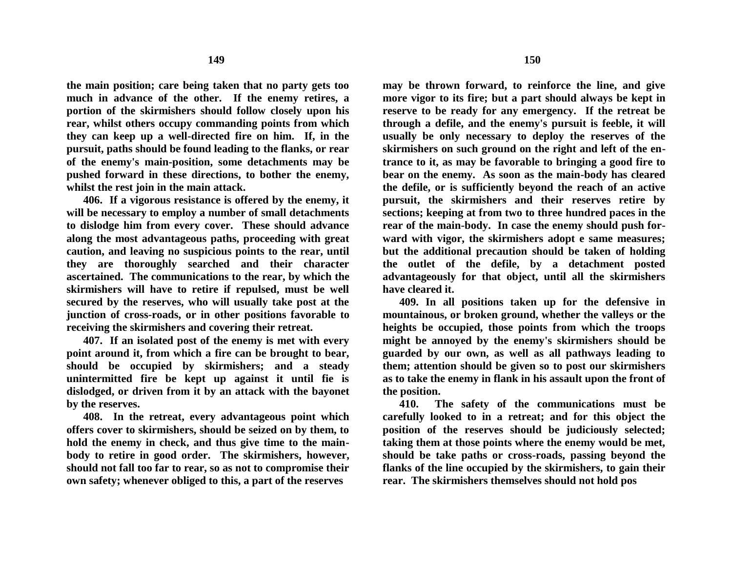**the main position; care being taken that no party gets too much in advance of the other. If the enemy retires, a portion of the skirmishers should follow closely upon his rear, whilst others occupy commanding points from which they can keep up a well-directed fire on him. If, in the pursuit, paths should be found leading to the flanks, or rear of the enemy's main-position, some detachments may be pushed forward in these directions, to bother the enemy, whilst the rest join in the main attack.**

**406. If a vigorous resistance is offered by the enemy, it will be necessary to employ a number of small detachments to dislodge him from every cover. These should advance along the most advantageous paths, proceeding with great caution, and leaving no suspicious points to the rear, until they are thoroughly searched and their character ascertained. The communications to the rear, by which the skirmishers will have to retire if repulsed, must be well secured by the reserves, who will usually take post at the junction of cross-roads, or in other positions favorable to receiving the skirmishers and covering their retreat.**

**407. If an isolated post of the enemy is met with every point around it, from which a fire can be brought to bear, should be occupied by skirmishers; and a steady unintermitted fire be kept up against it until fie is dislodged, or driven from it by an attack with the bayonet by the reserves.**

**408. In the retreat, every advantageous point which offers cover to skirmishers, should be seized on by them, to hold the enemy in check, and thus give time to the mainbody to retire in good order. The skirmishers, however, should not fall too far to rear, so as not to compromise their own safety; whenever obliged to this, a part of the reserves** 

**may be thrown forward, to reinforce the line, and give more vigor to its fire; but a part should always be kept in reserve to be ready for any emergency. If the retreat be through a defile, and the enemy's pursuit is feeble, it will usually be only necessary to deploy the reserves of the skirmishers on such ground on the right and left of the entrance to it, as may be favorable to bringing a good fire to bear on the enemy. As soon as the main-body has cleared the defile, or is sufficiently beyond the reach of an active pursuit, the skirmishers and their reserves retire by sections; keeping at from two to three hundred paces in the rear of the main-body. In case the enemy should push forward with vigor, the skirmishers adopt e same measures; but the additional precaution should be taken of holding the outlet of the defile, by a detachment posted advantageously for that object, until all the skirmishers have cleared it.**

**409. In all positions taken up for the defensive in mountainous, or broken ground, whether the valleys or the heights be occupied, those points from which the troops might be annoyed by the enemy's skirmishers should be guarded by our own, as well as all pathways leading to them; attention should be given so to post our skirmishers as to take the enemy in flank in his assault upon the front of the position.**

**410. The safety of the communications must be carefully looked to in a retreat; and for this object the position of the reserves should be judiciously selected; taking them at those points where the enemy would be met, should be take paths or cross-roads, passing beyond the flanks of the line occupied by the skirmishers, to gain their rear. The skirmishers themselves should not hold pos**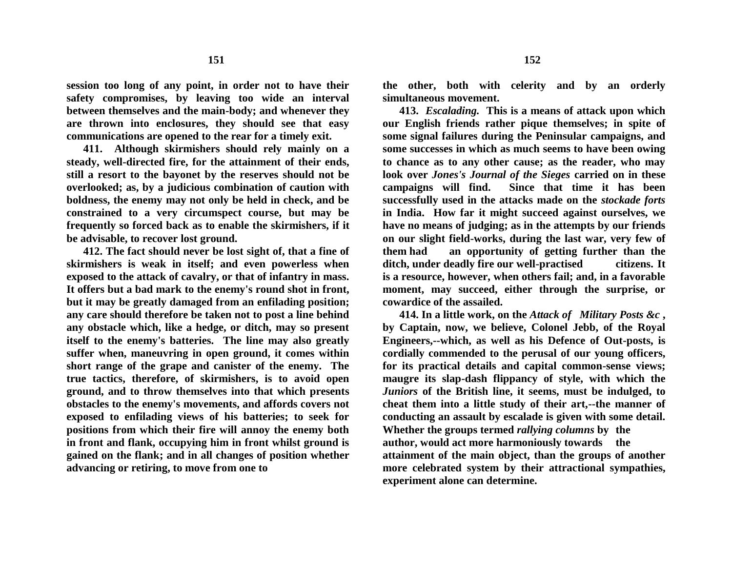**session too long of any point, in order not to have their safety compromises, by leaving too wide an interval between themselves and the main-body; and whenever they are thrown into enclosures, they should see that easy communications are opened to the rear for a timely exit.**

**411. Although skirmishers should rely mainly on a steady, well-directed fire, for the attainment of their ends, still a resort to the bayonet by the reserves should not be overlooked; as, by a judicious combination of caution with boldness, the enemy may not only be held in check, and be constrained to a very circumspect course, but may be frequently so forced back as to enable the skirmishers, if it be advisable, to recover lost ground.**

**412. The fact should never be lost sight of, that a fine of skirmishers is weak in itself; and even powerless when exposed to the attack of cavalry, or that of infantry in mass. It offers but a bad mark to the enemy's round shot in front, but it may be greatly damaged from an enfilading position; any care should therefore be taken not to post a line behind any obstacle which, like a hedge, or ditch, may so present itself to the enemy's batteries. The line may also greatly suffer when, maneuvring in open ground, it comes within short range of the grape and canister of the enemy. The true tactics, therefore, of skirmishers, is to avoid open ground, and to throw themselves into that which presents obstacles to the enemy's movements, and affords covers not exposed to enfilading views of his batteries; to seek for positions from which their fire will annoy the enemy both in front and flank, occupying him in front whilst ground is gained on the flank; and in all changes of position whether advancing or retiring, to move from one to**

**the other, both with celerity and by an orderly simultaneous movement.**

**413.** *Escalading.* **This is a means of attack upon which our English friends rather pique themselves; in spite of some signal failures during the Peninsular campaigns, and some successes in which as much seems to have been owing to chance as to any other cause; as the reader, who may look over** *Jones's Journal of the Sieges* **carried on in these campaigns will find. Since that time it has been successfully used in the attacks made on the** *stockade forts*  **in India. How far it might succeed against ourselves, we have no means of judging; as in the attempts by our friends on our slight field-works, during the last war, very few of them had an opportunity of getting further than the ditch, under deadly fire our well-practised citizens. It is a resource, however, when others fail; and, in a favorable moment, may succeed, either through the surprise, or cowardice of the assailed.**

**414. In a little work, on the** *Attack of Military Posts &c* **, by Captain, now, we believe, Colonel Jebb, of the Royal Engineers,--which, as well as his Defence of Out-posts, is cordially commended to the perusal of our young officers, for its practical details and capital common-sense views; maugre its slap-dash flippancy of style, with which the**  *Juniors* **of the British line, it seems, must be indulged, to cheat them into a little study of their art,--the manner of conducting an assault by escalade is given with some detail. Whether the groups termed** *rallying columns* **by the author, would act more harmoniously towards the attainment of the main object, than the groups of another more celebrated system by their attractional sympathies, experiment alone can determine.**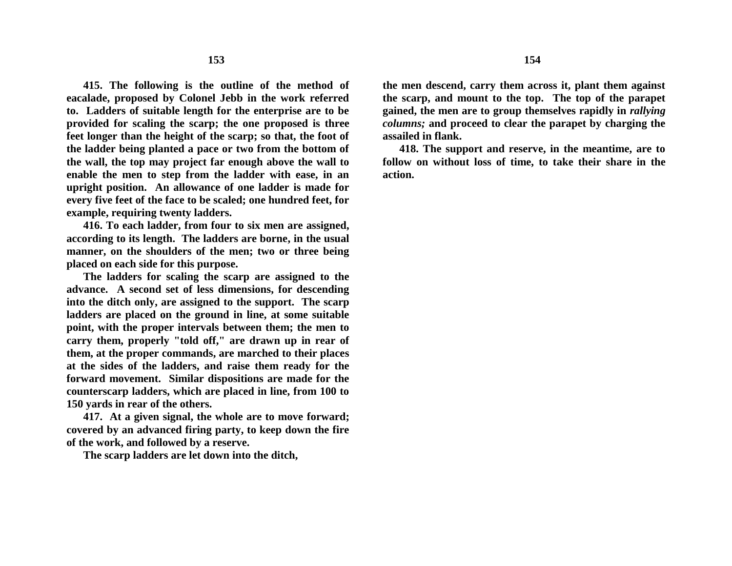**415. The following is the outline of the method of eacalade, proposed by Colonel Jebb in the work referred to. Ladders of suitable length for the enterprise are to be provided for scaling the scarp; the one proposed is three feet longer than the height of the scarp; so that, the foot of the ladder being planted a pace or two from the bottom of the wall, the top may project far enough above the wall to enable the men to step from the ladder with ease, in an upright position. An allowance of one ladder is made for every five feet of the face to be scaled; one hundred feet, for example, requiring twenty ladders.**

**416. To each ladder, from four to six men are assigned, according to its length. The ladders are borne, in the usual manner, on the shoulders of the men; two or three being placed on each side for this purpose.**

**The ladders for scaling the scarp are assigned to the advance. A second set of less dimensions, for descending into the ditch only, are assigned to the support. The scarp ladders are placed on the ground in line, at some suitable point, with the proper intervals between them; the men to carry them, properly "told off," are drawn up in rear of them, at the proper commands, are marched to their places at the sides of the ladders, and raise them ready for the forward movement. Similar dispositions are made for the counterscarp ladders, which are placed in line, from 100 to 150 yards in rear of the others.**

**417. At a given signal, the whole are to move forward; covered by an advanced firing party, to keep down the fire of the work, and followed by a reserve.**

**The scarp ladders are let down into the ditch,**

**the men descend, carry them across it, plant them against the scarp, and mount to the top. The top of the parapet gained, the men are to group themselves rapidly in** *rallying columns;* **and proceed to clear the parapet by charging the assailed in flank.** 

**418. The support and reserve, in the meantime, are to follow on without loss of time, to take their share in the action.**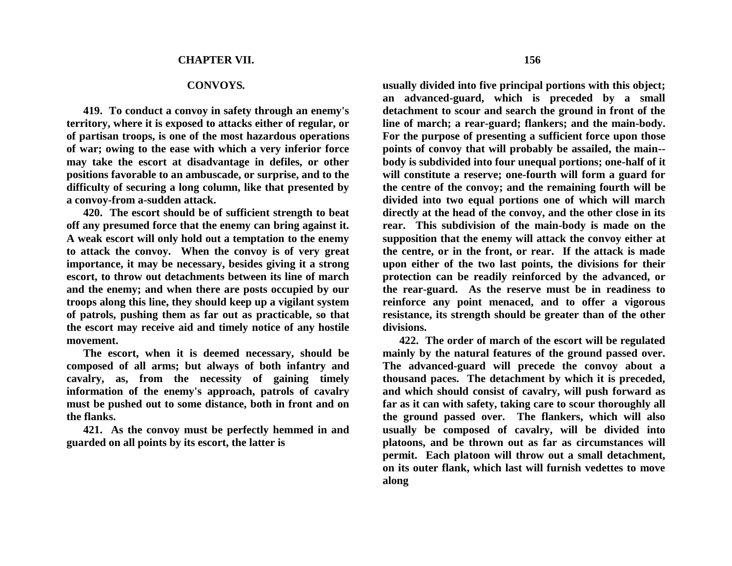## **CONVOYS***.*

**419. To conduct a convoy in safety through an enemy's territory, where it is exposed to attacks either of regular, or of partisan troops, is one of the most hazardous operations of war; owing to the ease with which a very inferior force may take the escort at disadvantage in defiles, or other positions favorable to an ambuscade, or surprise, and to the difficulty of securing a long column, like that presented by a convoy-from a-sudden attack.**

**420. The escort should be of sufficient strength to beat off any presumed force that the enemy can bring against it. A weak escort will only hold out a temptation to the enemy to attack the convoy. When the convoy is of very great importance, it may be necessary, besides giving it a strong escort, to throw out detachments between its line of march and the enemy; and when there are posts occupied by our troops along this line, they should keep up a vigilant system of patrols, pushing them as far out as practicable, so that the escort may receive aid and timely notice of any hostile movement.**

**The escort, when it is deemed necessary, should be composed of all arms; but always of both infantry and cavalry, as, from the necessity of gaining timely information of the enemy's approach, patrols of cavalry must be pushed out to some distance, both in front and on the flanks.**

**421. As the convoy must be perfectly hemmed in and guarded on all points by its escort, the latter is**

**usually divided into five principal portions with this object; an advanced-guard, which is preceded by a small detachment to scour and search the ground in front of the line of march; a rear-guard; flankers; and the main-body. For the purpose of presenting a sufficient force upon those points of convoy that will probably be assailed, the main- body is subdivided into four unequal portions; one-half of it will constitute a reserve; one-fourth will form a guard for the centre of the convoy; and the remaining fourth will be divided into two equal portions one of which will march directly at the head of the convoy, and the other close in its rear. This subdivision of the main-body is made on the supposition that the enemy will attack the convoy either at the centre, or in the front, or rear. If the attack is made upon either of the two last points, the divisions for their** 

**protection can be readily reinforced by the advanced, or the rear-guard. As the reserve must be in readiness to reinforce any point menaced, and to offer a vigorous resistance, its strength should be greater than of the other divisions.**

**422. The order of march of the escort will be regulated mainly by the natural features of the ground passed over. The advanced-guard will precede the convoy about a thousand paces. The detachment by which it is preceded, and which should consist of cavalry, will push forward as far as it can with safety, taking care to scour thoroughly all the ground passed over. The flankers, which will also usually be composed of cavalry, will be divided into platoons, and be thrown out as far as circumstances will permit. Each platoon will throw out a small detachment, on its outer flank, which last will furnish vedettes to move along**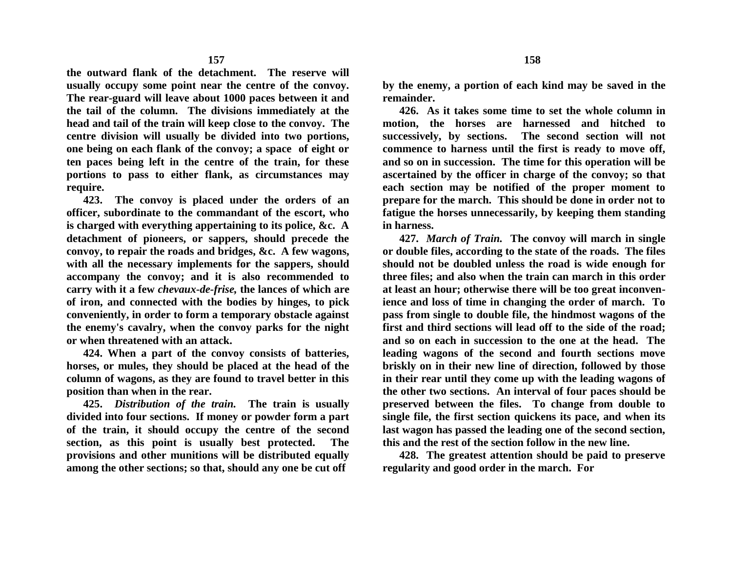**the outward flank of the detachment. The reserve will usually occupy some point near the centre of the convoy. The rear-guard will leave about 1000 paces between it and the tail of the column. The divisions immediately at the head and tail of the train will keep close to the convoy. The centre division will usually be divided into two portions, one being on each flank of the convoy; a space of eight or ten paces being left in the centre of the train, for these portions to pass to either flank, as circumstances may require.**

**423. The convoy is placed under the orders of an officer, subordinate to the commandant of the escort, who is charged with everything appertaining to its police, &c. A detachment of pioneers, or sappers, should precede the convoy, to repair the roads and bridges, &c. A few wagons, with all the necessary implements for the sappers, should accompany the convoy; and it is also recommended to carry with it a few** *chevaux-de-frise,* **the lances of which are of iron, and connected with the bodies by hinges, to pick conveniently, in order to form a temporary obstacle against the enemy's cavalry, when the convoy parks for the night or when threatened with an attack.**

**424. When a part of the convoy consists of batteries, horses, or mules, they should be placed at the head of the column of wagons, as they are found to travel better in this position than when in the rear.**

**425.** *Distribution of the train.* **The train is usually divided into four sections. If money or powder form a part of the train, it should occupy the centre of the second section, as this point is usually best protected. The provisions and other munitions will be distributed equally among the other sections; so that, should any one be cut off** 

**by the enemy, a portion of each kind may be saved in the remainder.**

**426. As it takes some time to set the whole column in motion, the horses are harnessed and hitched to successively, by sections. The second section will not commence to harness until the first is ready to move off, and so on in succession. The time for this operation will be ascertained by the officer in charge of the convoy; so that each section may be notified of the proper moment to prepare for the march. This should be done in order not to fatigue the horses unnecessarily, by keeping them standing in harness.**

**427.** *March of Train.* **The convoy will march in single or double files, according to the state of the roads. The files should not be doubled unless the road is wide enough for three files; and also when the train can march in this order at least an hour; otherwise there will be too great inconvenience and loss of time in changing the order of march. To pass from single to double file, the hindmost wagons of the first and third sections will lead off to the side of the road; and so on each in succession to the one at the head. The leading wagons of the second and fourth sections move briskly on in their new line of direction, followed by those in their rear until they come up with the leading wagons of the other two sections. An interval of four paces should be preserved between the files. To change from double to single file, the first section quickens its pace, and when its last wagon has passed the leading one of the second section, this and the rest of the section follow in the new line.**

**428. The greatest attention should be paid to preserve regularity and good order in the march. For**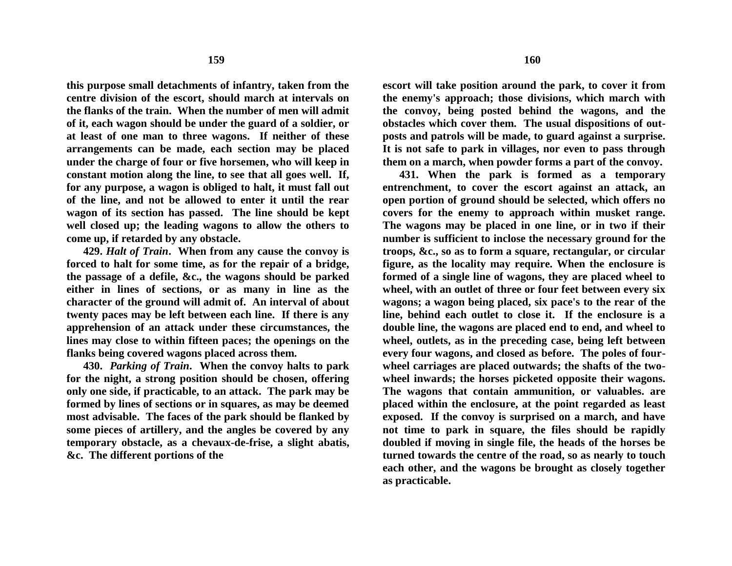**this purpose small detachments of infantry, taken from the centre division of the escort, should march at intervals on the flanks of the train. When the number of men will admit of it, each wagon should be under the guard of a soldier, or at least of one man to three wagons. If neither of these arrangements can be made, each section may be placed under the charge of four or five horsemen, who will keep in constant motion along the line, to see that all goes well. If, for any purpose, a wagon is obliged to halt, it must fall out of the line, and not be allowed to enter it until the rear wagon of its section has passed. The line should be kept well closed up; the leading wagons to allow the others to come up, if retarded by any obstacle.**

**429.** *Halt of Train***. When from any cause the convoy is forced to halt for some time, as for the repair of a bridge, the passage of a defile, &c., the wagons should be parked either in lines of sections, or as many in line as the character of the ground will admit of. An interval of about twenty paces may be left between each line. If there is any apprehension of an attack under these circumstances, the lines may close to within fifteen paces; the openings on the flanks being covered wagons placed across them.**

**430.** *Parking of Train***. When the convoy halts to park for the night, a strong position should be chosen, offering only one side, if practicable, to an attack. The park may be formed by lines of sections or in squares, as may be deemed most advisable. The faces of the park should be flanked by some pieces of artillery, and the angles be covered by any temporary obstacle, as a chevaux-de-frise, a slight abatis, &c. The different portions of the**

**escort will take position around the park, to cover it from the enemy's approach; those divisions, which march with the convoy, being posted behind the wagons, and the obstacles which cover them. The usual dispositions of outposts and patrols will be made, to guard against a surprise. It is not safe to park in villages, nor even to pass through them on a march, when powder forms a part of the convoy.**

**431. When the park is formed as a temporary entrenchment, to cover the escort against an attack, an open portion of ground should be selected, which offers no covers for the enemy to approach within musket range. The wagons may be placed in one line, or in two if their number is sufficient to inclose the necessary ground for the troops, &c., so as to form a square, rectangular, or circular figure, as the locality may require. When the enclosure is formed of a single line of wagons, they are placed wheel to wheel, with an outlet of three or four feet between every six wagons; a wagon being placed, six pace's to the rear of the line, behind each outlet to close it. If the enclosure is a double line, the wagons are placed end to end, and wheel to wheel, outlets, as in the preceding case, being left between every four wagons, and closed as before. The poles of fourwheel carriages are placed outwards; the shafts of the twowheel inwards; the horses picketed opposite their wagons. The wagons that contain ammunition, or valuables. are placed within the enclosure, at the point regarded as least exposed. If the convoy is surprised on a march, and have not time to park in square, the files should be rapidly doubled if moving in single file, the heads of the horses be turned towards the centre of the road, so as nearly to touch each other, and the wagons be brought as closely together as practicable.**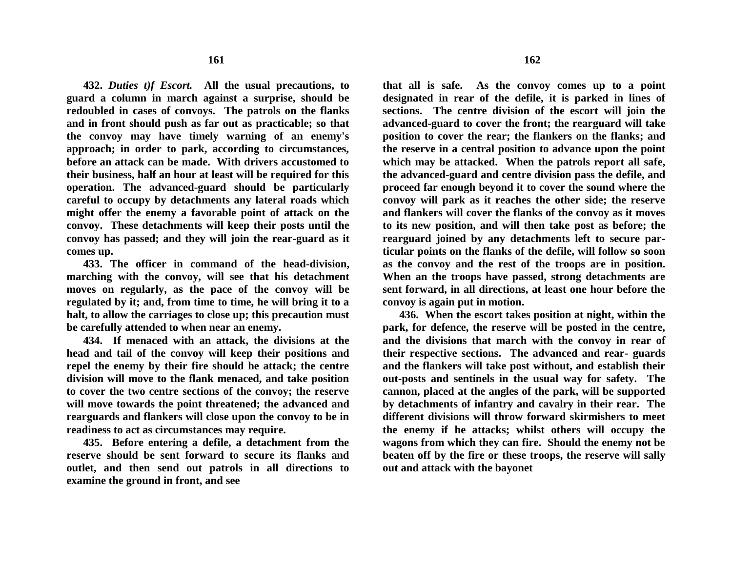**432.** *Duties t)f Escort.* **All the usual precautions, to guard a column in march against a surprise, should be redoubled in cases of convoys. The patrols on the flanks and in front should push as far out as practicable; so that the convoy may have timely warning of an enemy's approach; in order to park, according to circumstances, before an attack can be made. With drivers accustomed to their business, half an hour at least will be required for this operation. The advanced-guard should be particularly careful to occupy by detachments any lateral roads which might offer the enemy a favorable point of attack on the convoy. These detachments will keep their posts until the convoy has passed; and they will join the rear-guard as it comes up.**

**433. The officer in command of the head-division, marching with the convoy, will see that his detachment moves on regularly, as the pace of the convoy will be regulated by it; and, from time to time, he will bring it to a halt, to allow the carriages to close up; this precaution must be carefully attended to when near an enemy.**

**434. If menaced with an attack, the divisions at the head and tail of the convoy will keep their positions and repel the enemy by their fire should he attack; the centre division will move to the flank menaced, and take position to cover the two centre sections of the convoy; the reserve will move towards the point threatened; the advanced and rearguards and flankers will close upon the convoy to be in readiness to act as circumstances may require.** 

**435. Before entering a defile, a detachment from the reserve should be sent forward to secure its flanks and outlet, and then send out patrols in all directions to examine the ground in front, and see** 

**that all is safe. As the convoy comes up to a point designated in rear of the defile, it is parked in lines of sections. The centre division of the escort will join the advanced-guard to cover the front; the rearguard will take position to cover the rear; the flankers on the flanks; and the reserve in a central position to advance upon the point which may be attacked. When the patrols report all safe, the advanced-guard and centre division pass the defile, and proceed far enough beyond it to cover the sound where the convoy will park as it reaches the other side; the reserve and flankers will cover the flanks of the convoy as it moves to its new position, and will then take post as before; the rearguard joined by any detachments left to secure particular points on the flanks of the defile, will follow so soon as the convoy and the rest of the troops are in position. When an the troops have passed, strong detachments are sent forward, in all directions, at least one hour before the convoy is again put in motion.**

**436. When the escort takes position at night, within the park, for defence, the reserve will be posted in the centre, and the divisions that march with the convoy in rear of their respective sections. The advanced and rear- guards and the flankers will take post without, and establish their out-posts and sentinels in the usual way for safety. The cannon, placed at the angles of the park, will be supported by detachments of infantry and cavalry in their rear. The different divisions will throw forward skirmishers to meet the enemy if he attacks; whilst others will occupy the wagons from which they can fire. Should the enemy not be beaten off by the fire or these troops, the reserve will sally out and attack with the bayonet**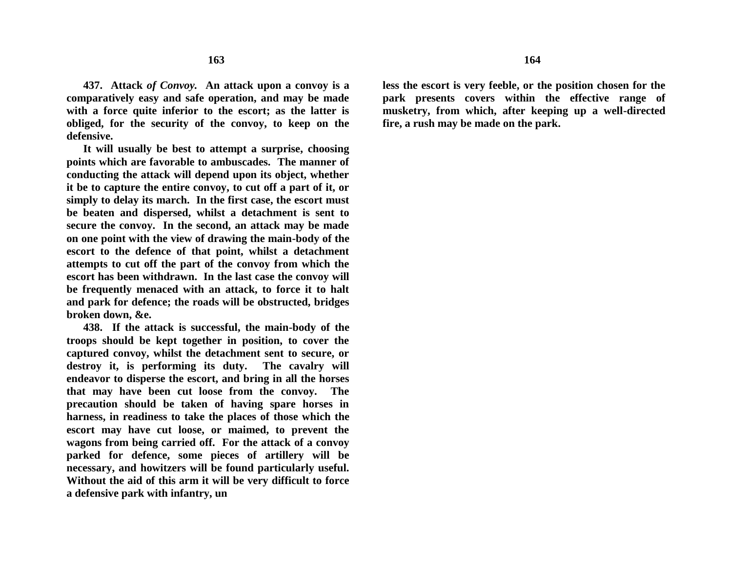**437. Attack** *of Convoy.* **An attack upon a convoy is a comparatively easy and safe operation, and may be made with a force quite inferior to the escort; as the latter is obliged, for the security of the convoy, to keep on the defensive.**

**It will usually be best to attempt a surprise, choosing points which are favorable to ambuscades. The manner of conducting the attack will depend upon its object, whether it be to capture the entire convoy, to cut off a part of it, or simply to delay its march. In the first case, the escort must be beaten and dispersed, whilst a detachment is sent to secure the convoy. In the second, an attack may be made on one point with the view of drawing the main-body of the escort to the defence of that point, whilst a detachment attempts to cut off the part of the convoy from which the escort has been withdrawn. In the last case the convoy will be frequently menaced with an attack, to force it to halt and park for defence; the roads will be obstructed, bridges broken down, &e.**

**438. If the attack is successful, the main-body of the troops should be kept together in position, to cover the captured convoy, whilst the detachment sent to secure, or destroy it, is performing its duty. The cavalry will endeavor to disperse the escort, and bring in all the horses that may have been cut loose from the convoy. The precaution should be taken of having spare horses in harness, in readiness to take the places of those which the escort may have cut loose, or maimed, to prevent the wagons from being carried off. For the attack of a convoy parked for defence, some pieces of artillery will be necessary, and howitzers will be found particularly useful. Without the aid of this arm it will be very difficult to force a defensive park with infantry, un**

**less the escort is very feeble, or the position chosen for the park presents covers within the effective range of musketry, from which, after keeping up a well-directed fire, a rush may be made on the park.**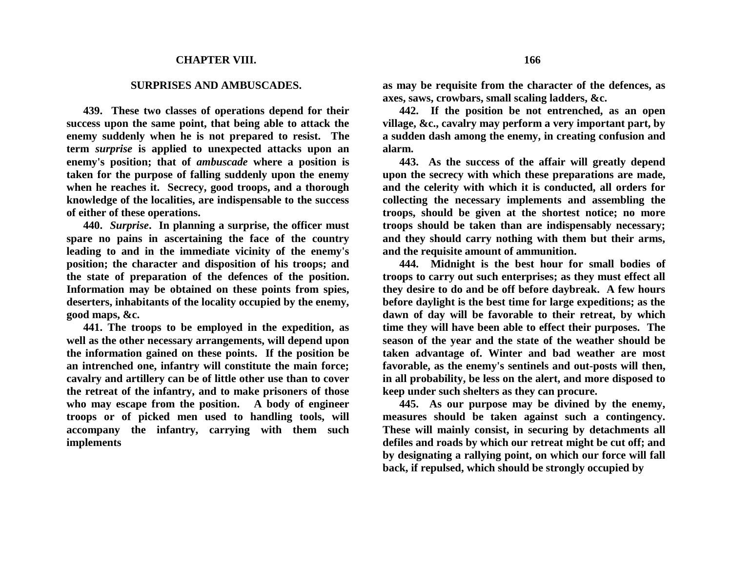## **CHAPTER VIII.**

## **SURPRISES AND AMBUSCADES.**

**439. These two classes of operations depend for their success upon the same point, that being able to attack the enemy suddenly when he is not prepared to resist. The term** *surprise* **is applied to unexpected attacks upon an enemy's position; that of** *ambuscade* **where a position is taken for the purpose of falling suddenly upon the enemy when he reaches it. Secrecy, good troops, and a thorough knowledge of the localities, are indispensable to the success of either of these operations.**

**440.** *Surprise***. In planning a surprise, the officer must spare no pains in ascertaining the face of the country leading to and in the immediate vicinity of the enemy's position; the character and disposition of his troops; and the state of preparation of the defences of the position. Information may be obtained on these points from spies, deserters, inhabitants of the locality occupied by the enemy, good maps, &c.**

**441. The troops to be employed in the expedition, as well as the other necessary arrangements, will depend upon the information gained on these points. If the position be an intrenched one, infantry will constitute the main force; cavalry and artillery can be of little other use than to cover the retreat of the infantry, and to make prisoners of those who may escape from the position. A body of engineer troops or of picked men used to handling tools, will accompany the infantry, carrying with them such implements**

**as may be requisite from the character of the defences, as axes, saws, crowbars, small scaling ladders, &c.**

**442. If the position be not entrenched, as an open village, &c., cavalry may perform a very important part, by a sudden dash among the enemy, in creating confusion and alarm.**

**443. As the success of the affair will greatly depend upon the secrecy with which these preparations are made, and the celerity with which it is conducted, all orders for collecting the necessary implements and assembling the troops, should be given at the shortest notice; no more troops should be taken than are indispensably necessary; and they should carry nothing with them but their arms, and the requisite amount of ammunition.**

**444. Midnight is the best hour for small bodies of troops to carry out such enterprises; as they must effect all they desire to do and be off before daybreak. A few hours before daylight is the best time for large expeditions; as the dawn of day will be favorable to their retreat, by which time they will have been able to effect their purposes. The season of the year and the state of the weather should be taken advantage of. Winter and bad weather are most favorable, as the enemy's sentinels and out-posts will then, in all probability, be less on the alert, and more disposed to keep under such shelters as they can procure.**

**445. As our purpose may be divined by the enemy, measures should be taken against such a contingency. These will mainly consist, in securing by detachments all defiles and roads by which our retreat might be cut off; and by designating a rallying point, on which our force will fall back, if repulsed, which should be strongly occupied by**